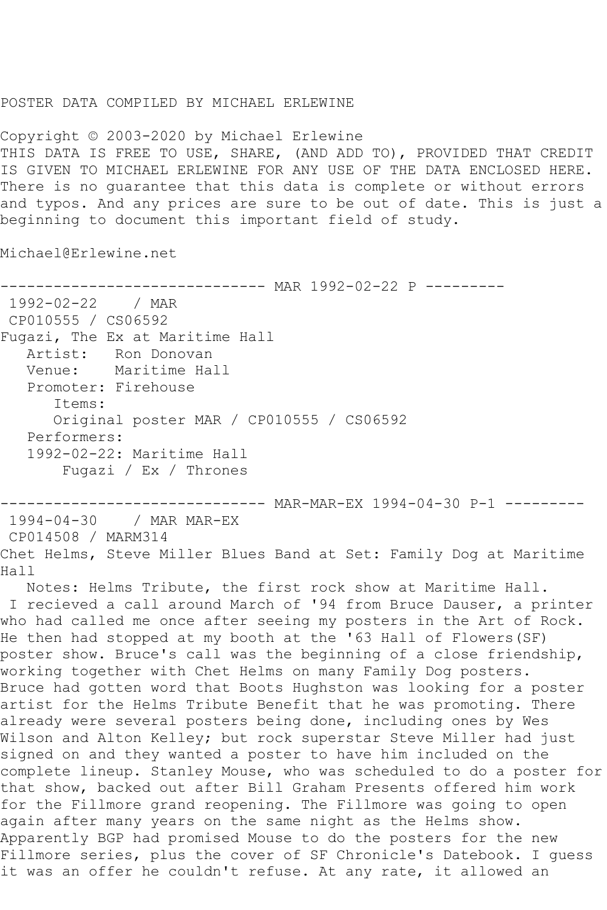## POSTER DATA COMPILED BY MICHAEL ERLEWINE

Copyright © 2003-2020 by Michael Erlewine THIS DATA IS FREE TO USE, SHARE, (AND ADD TO), PROVIDED THAT CREDIT IS GIVEN TO MICHAEL ERLEWINE FOR ANY USE OF THE DATA ENCLOSED HERE. There is no guarantee that this data is complete or without errors and typos. And any prices are sure to be out of date. This is just a beginning to document this important field of study.

Michael@Erlewine.net

------------------------------ MAR 1992-02-22 P --------- 1992-02-22 / MAR CP010555 / CS06592 Fugazi, The Ex at Maritime Hall Artist: Ron Donovan<br>Venue: Maritime Hal Maritime Hall Promoter: Firehouse Items: Original poster MAR / CP010555 / CS06592 Performers: 1992-02-22: Maritime Hall Fugazi / Ex / Thrones

------------------------------ MAR-MAR-EX 1994-04-30 P-1 --------- 1994-04-30 / MAR MAR-EX CP014508 / MARM314 Chet Helms, Steve Miller Blues Band at Set: Family Dog at Maritime Hall

 Notes: Helms Tribute, the first rock show at Maritime Hall. I recieved a call around March of '94 from Bruce Dauser, a printer who had called me once after seeing my posters in the Art of Rock. He then had stopped at my booth at the '63 Hall of Flowers(SF) poster show. Bruce's call was the beginning of a close friendship, working together with Chet Helms on many Family Dog posters. Bruce had gotten word that Boots Hughston was looking for a poster artist for the Helms Tribute Benefit that he was promoting. There already were several posters being done, including ones by Wes Wilson and Alton Kelley; but rock superstar Steve Miller had just signed on and they wanted a poster to have him included on the complete lineup. Stanley Mouse, who was scheduled to do a poster for that show, backed out after Bill Graham Presents offered him work for the Fillmore grand reopening. The Fillmore was going to open again after many years on the same night as the Helms show. Apparently BGP had promised Mouse to do the posters for the new Fillmore series, plus the cover of SF Chronicle's Datebook. I guess it was an offer he couldn't refuse. At any rate, it allowed an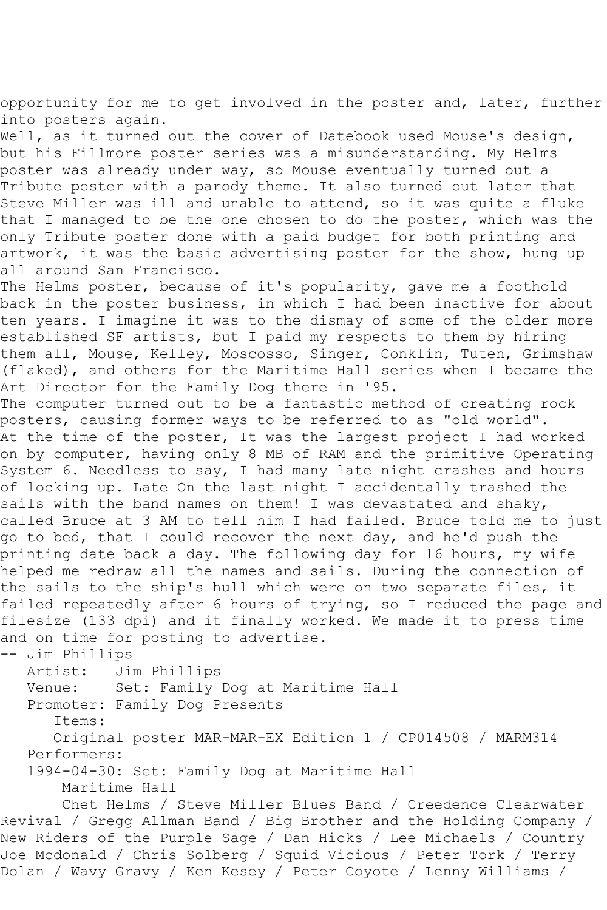opportunity for me to get involved in the poster and, later, further into posters again.

Well, as it turned out the cover of Datebook used Mouse's design, but his Fillmore poster series was a misunderstanding. My Helms poster was already under way, so Mouse eventually turned out a Tribute poster with a parody theme. It also turned out later that Steve Miller was ill and unable to attend, so it was quite a fluke that I managed to be the one chosen to do the poster, which was the only Tribute poster done with a paid budget for both printing and artwork, it was the basic advertising poster for the show, hung up all around San Francisco.

The Helms poster, because of it's popularity, gave me a foothold back in the poster business, in which I had been inactive for about ten years. I imagine it was to the dismay of some of the older more established SF artists, but I paid my respects to them by hiring them all, Mouse, Kelley, Moscosso, Singer, Conklin, Tuten, Grimshaw (flaked), and others for the Maritime Hall series when I became the Art Director for the Family Dog there in '95.

The computer turned out to be a fantastic method of creating rock posters, causing former ways to be referred to as "old world". At the time of the poster, It was the largest project I had worked on by computer, having only 8 MB of RAM and the primitive Operating System 6. Needless to say, I had many late night crashes and hours of locking up. Late On the last night I accidentally trashed the sails with the band names on them! I was devastated and shaky, called Bruce at 3 AM to tell him I had failed. Bruce told me to just go to bed, that I could recover the next day, and he'd push the printing date back a day. The following day for 16 hours, my wife helped me redraw all the names and sails. During the connection of the sails to the ship's hull which were on two separate files, it failed repeatedly after 6 hours of trying, so I reduced the page and filesize (133 dpi) and it finally worked. We made it to press time and on time for posting to advertise.

-- Jim Phillips

 Artist: Jim Phillips Venue: Set: Family Dog at Maritime Hall Promoter: Family Dog Presents Items: Original poster MAR-MAR-EX Edition 1 / CP014508 / MARM314 Performers: 1994-04-30: Set: Family Dog at Maritime Hall Maritime Hall

 Chet Helms / Steve Miller Blues Band / Creedence Clearwater Revival / Gregg Allman Band / Big Brother and the Holding Company / New Riders of the Purple Sage / Dan Hicks / Lee Michaels / Country Joe Mcdonald / Chris Solberg / Squid Vicious / Peter Tork / Terry Dolan / Wavy Gravy / Ken Kesey / Peter Coyote / Lenny Williams /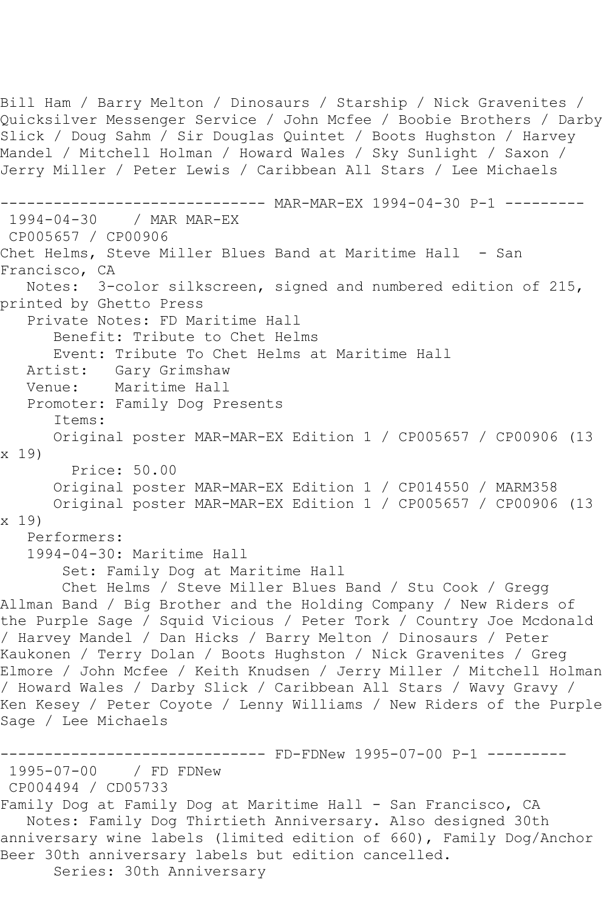Bill Ham / Barry Melton / Dinosaurs / Starship / Nick Gravenites / Quicksilver Messenger Service / John Mcfee / Boobie Brothers / Darby Slick / Doug Sahm / Sir Douglas Quintet / Boots Hughston / Harvey Mandel / Mitchell Holman / Howard Wales / Sky Sunlight / Saxon / Jerry Miller / Peter Lewis / Caribbean All Stars / Lee Michaels ------------------------------ MAR-MAR-EX 1994-04-30 P-1 --------- 1994-04-30 / MAR MAR-EX CP005657 / CP00906 Chet Helms, Steve Miller Blues Band at Maritime Hall - San Francisco, CA Notes: 3-color silkscreen, signed and numbered edition of 215, printed by Ghetto Press Private Notes: FD Maritime Hall Benefit: Tribute to Chet Helms Event: Tribute To Chet Helms at Maritime Hall Artist: Gary Grimshaw<br>Venue: Maritime Hall Maritime Hall Promoter: Family Dog Presents Items: Original poster MAR-MAR-EX Edition 1 / CP005657 / CP00906 (13 x 19) Price: 50.00 Original poster MAR-MAR-EX Edition 1 / CP014550 / MARM358 Original poster MAR-MAR-EX Edition 1 / CP005657 / CP00906 (13 x 19) Performers: 1994-04-30: Maritime Hall Set: Family Dog at Maritime Hall Chet Helms / Steve Miller Blues Band / Stu Cook / Gregg Allman Band / Big Brother and the Holding Company / New Riders of the Purple Sage / Squid Vicious / Peter Tork / Country Joe Mcdonald / Harvey Mandel / Dan Hicks / Barry Melton / Dinosaurs / Peter Kaukonen / Terry Dolan / Boots Hughston / Nick Gravenites / Greg Elmore / John Mcfee / Keith Knudsen / Jerry Miller / Mitchell Holman / Howard Wales / Darby Slick / Caribbean All Stars / Wavy Gravy / Ken Kesey / Peter Coyote / Lenny Williams / New Riders of the Purple Sage / Lee Michaels ------------------------------ FD-FDNew 1995-07-00 P-1 --------- 1995-07-00 / FD FDNew CP004494 / CD05733 Family Dog at Family Dog at Maritime Hall - San Francisco, CA Notes: Family Dog Thirtieth Anniversary. Also designed 30th anniversary wine labels (limited edition of 660), Family Dog/Anchor Beer 30th anniversary labels but edition cancelled. Series: 30th Anniversary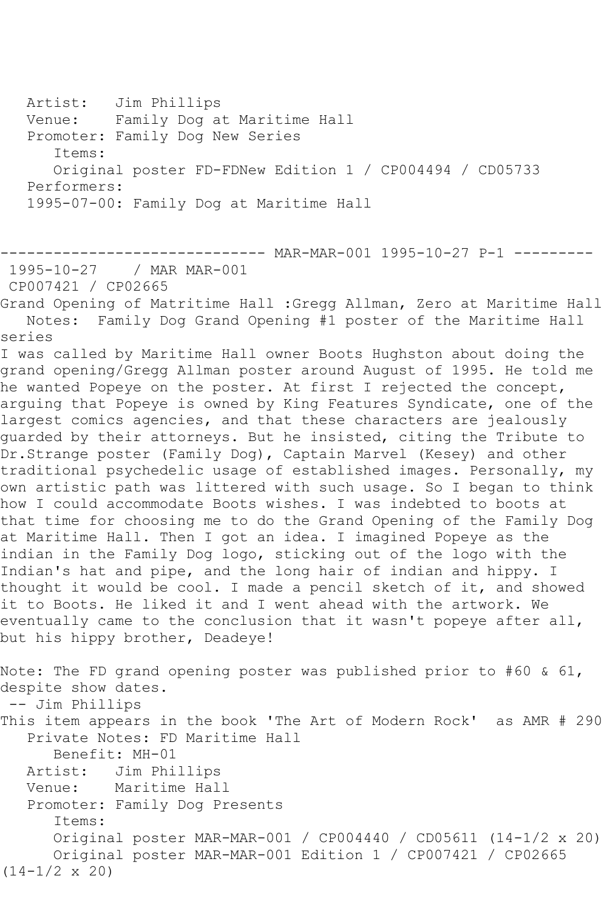Artist: Jim Phillips Venue: Family Dog at Maritime Hall Promoter: Family Dog New Series Items: Original poster FD-FDNew Edition 1 / CP004494 / CD05733 Performers: 1995-07-00: Family Dog at Maritime Hall

```
------------------------------ MAR-MAR-001 1995-10-27 P-1 ---------
1995-10-27 / MAR MAR-001
```
CP007421 / CP02665

Grand Opening of Matritime Hall :Gregg Allman, Zero at Maritime Hall Notes: Family Dog Grand Opening #1 poster of the Maritime Hall series

I was called by Maritime Hall owner Boots Hughston about doing the grand opening/Gregg Allman poster around August of 1995. He told me he wanted Popeye on the poster. At first I rejected the concept, arguing that Popeye is owned by King Features Syndicate, one of the largest comics agencies, and that these characters are jealously guarded by their attorneys. But he insisted, citing the Tribute to Dr.Strange poster (Family Dog), Captain Marvel (Kesey) and other traditional psychedelic usage of established images. Personally, my own artistic path was littered with such usage. So I began to think how I could accommodate Boots wishes. I was indebted to boots at that time for choosing me to do the Grand Opening of the Family Dog at Maritime Hall. Then I got an idea. I imagined Popeye as the indian in the Family Dog logo, sticking out of the logo with the Indian's hat and pipe, and the long hair of indian and hippy. I thought it would be cool. I made a pencil sketch of it, and showed it to Boots. He liked it and I went ahead with the artwork. We eventually came to the conclusion that it wasn't popeye after all, but his hippy brother, Deadeye!

Note: The FD grand opening poster was published prior to #60 & 61, despite show dates. -- Jim Phillips This item appears in the book 'The Art of Modern Rock' as AMR # 290 Private Notes: FD Maritime Hall Benefit: MH-01 Artist: Jim Phillips Venue: Maritime Hall Promoter: Family Dog Presents Items: Original poster MAR-MAR-001 / CP004440 / CD05611 (14-1/2 x 20) Original poster MAR-MAR-001 Edition 1 / CP007421 / CP02665 (14-1/2 x 20)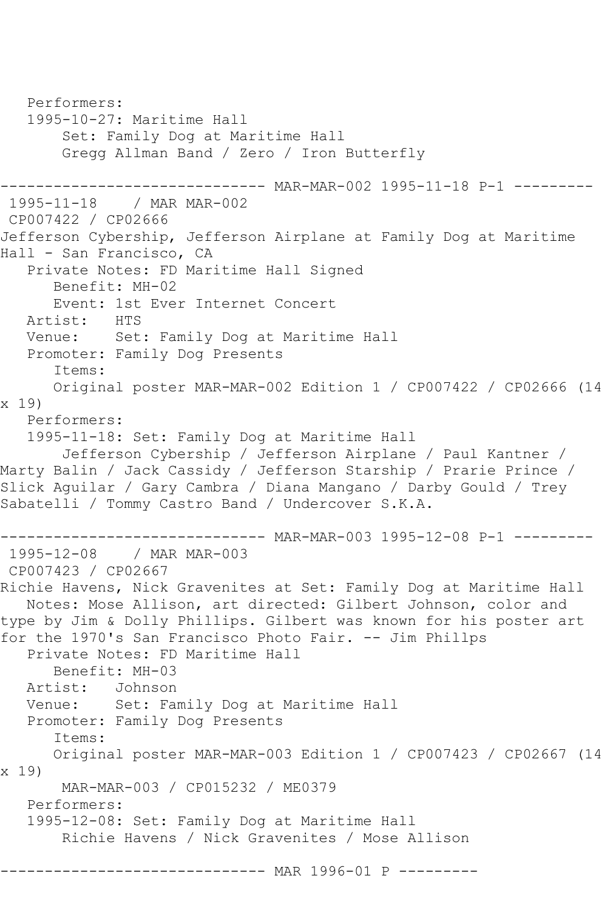```
 Performers:
   1995-10-27: Maritime Hall
        Set: Family Dog at Maritime Hall
        Gregg Allman Band / Zero / Iron Butterfly
                -------------- MAR-MAR-002 1995-11-18 P-1 ---------
1995-11-18 / MAR MAR-002
CP007422 / CP02666
Jefferson Cybership, Jefferson Airplane at Family Dog at Maritime 
Hall - San Francisco, CA
   Private Notes: FD Maritime Hall Signed
      Benefit: MH-02
     Event: 1st Ever Internet Concert<br>ist: HTS
  Artist:
   Venue: Set: Family Dog at Maritime Hall
   Promoter: Family Dog Presents
       Items:
      Original poster MAR-MAR-002 Edition 1 / CP007422 / CP02666 (14 
x 19)
   Performers:
   1995-11-18: Set: Family Dog at Maritime Hall
       Jefferson Cybership / Jefferson Airplane / Paul Kantner /
Marty Balin / Jack Cassidy / Jefferson Starship / Prarie Prince / 
Slick Aguilar / Gary Cambra / Diana Mangano / Darby Gould / Trey 
Sabatelli / Tommy Castro Band / Undercover S.K.A.
------------------------------ MAR-MAR-003 1995-12-08 P-1 ---------
1995-12-08 / MAR MAR-003
CP007423 / CP02667
Richie Havens, Nick Gravenites at Set: Family Dog at Maritime Hall
   Notes: Mose Allison, art directed: Gilbert Johnson, color and 
type by Jim & Dolly Phillips. Gilbert was known for his poster art 
for the 1970's San Francisco Photo Fair. -- Jim Phillps
   Private Notes: FD Maritime Hall
      Benefit: MH-03
   Artist: Johnson
   Venue: Set: Family Dog at Maritime Hall
   Promoter: Family Dog Presents
       Items:
      Original poster MAR-MAR-003 Edition 1 / CP007423 / CP02667 (14 
x 19)
       MAR-MAR-003 / CP015232 / ME0379
   Performers:
   1995-12-08: Set: Family Dog at Maritime Hall
       Richie Havens / Nick Gravenites / Mose Allison
                  ------------ MAR 1996-01 P ---------
```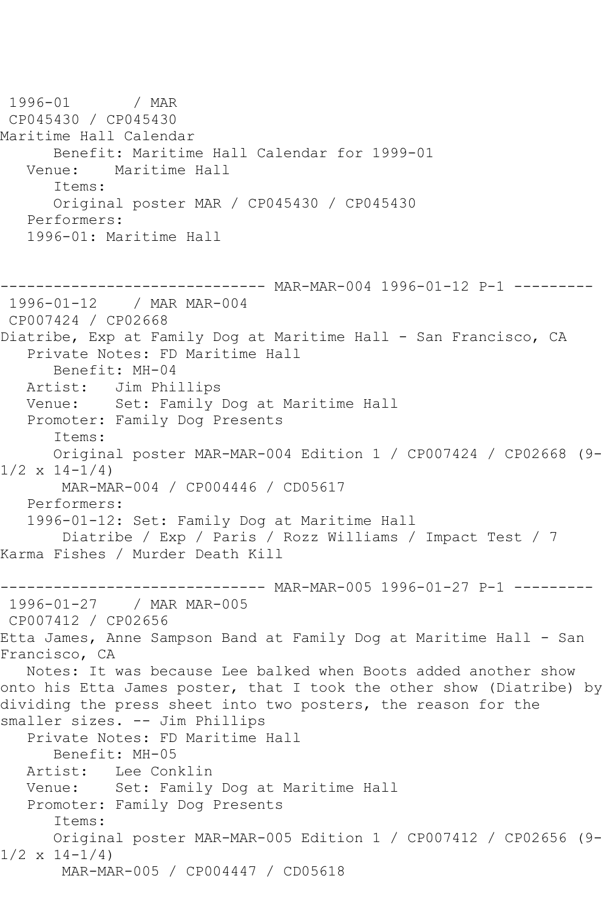```
1996-01 / MAR 
CP045430 / CP045430
Maritime Hall Calendar
  Benefit: Maritime Hall Calendar for 1999-01<br>Venue: Maritime Hall
          Maritime Hall
       Items:
      Original poster MAR / CP045430 / CP045430
   Performers:
   1996-01: Maritime Hall
      ------------------------------ MAR-MAR-004 1996-01-12 P-1 ---------
1996-01-12 / MAR MAR-004
CP007424 / CP02668
Diatribe, Exp at Family Dog at Maritime Hall - San Francisco, CA
   Private Notes: FD Maritime Hall
      Benefit: MH-04
   Artist: Jim Phillips
   Venue: Set: Family Dog at Maritime Hall
   Promoter: Family Dog Presents
       Items:
      Original poster MAR-MAR-004 Edition 1 / CP007424 / CP02668 (9-
1/2 \times 14 - 1/4 MAR-MAR-004 / CP004446 / CD05617
   Performers:
   1996-01-12: Set: Family Dog at Maritime Hall
        Diatribe / Exp / Paris / Rozz Williams / Impact Test / 7 
Karma Fishes / Murder Death Kill
------------------------------ MAR-MAR-005 1996-01-27 P-1 ---------
1996-01-27 / MAR MAR-005
CP007412 / CP02656
Etta James, Anne Sampson Band at Family Dog at Maritime Hall - San 
Francisco, CA
   Notes: It was because Lee balked when Boots added another show 
onto his Etta James poster, that I took the other show (Diatribe) by 
dividing the press sheet into two posters, the reason for the 
smaller sizes. -- Jim Phillips
   Private Notes: FD Maritime Hall
      Benefit: MH-05
   Artist: Lee Conklin
   Venue: Set: Family Dog at Maritime Hall
   Promoter: Family Dog Presents
       Items:
      Original poster MAR-MAR-005 Edition 1 / CP007412 / CP02656 (9-
1/2 \times 14 - 1/4 MAR-MAR-005 / CP004447 / CD05618
```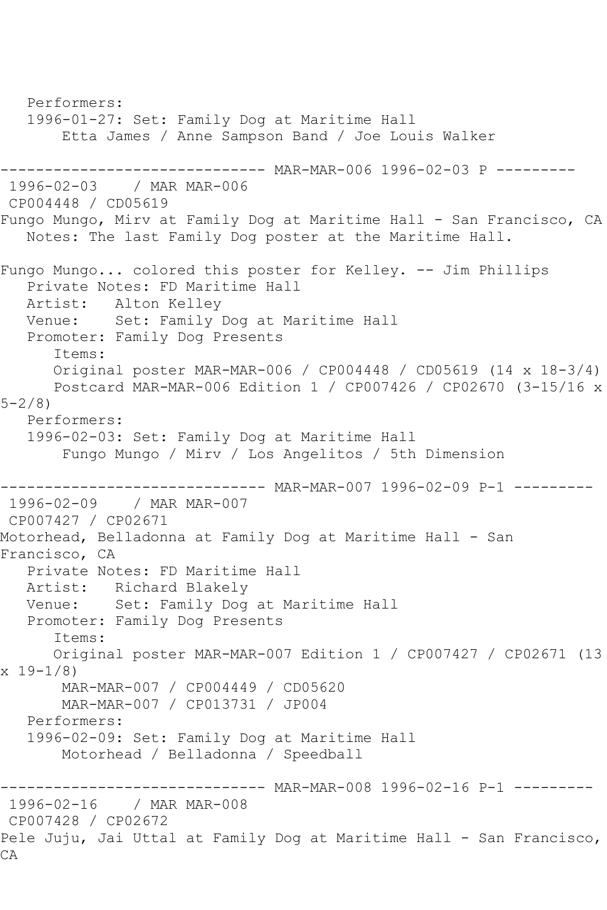Performers: 1996-01-27: Set: Family Dog at Maritime Hall Etta James / Anne Sampson Band / Joe Louis Walker ------------------------------ MAR-MAR-006 1996-02-03 P --------- 1996-02-03 / MAR MAR-006 CP004448 / CD05619 Fungo Mungo, Mirv at Family Dog at Maritime Hall - San Francisco, CA Notes: The last Family Dog poster at the Maritime Hall. Fungo Mungo... colored this poster for Kelley. -- Jim Phillips Private Notes: FD Maritime Hall Artist: Alton Kelley Venue: Set: Family Dog at Maritime Hall Promoter: Family Dog Presents Items: Original poster MAR-MAR-006 / CP004448 / CD05619 (14 x 18-3/4) Postcard MAR-MAR-006 Edition 1 / CP007426 / CP02670 (3-15/16 x 5-2/8) Performers: 1996-02-03: Set: Family Dog at Maritime Hall Fungo Mungo / Mirv / Los Angelitos / 5th Dimension ------------------------------ MAR-MAR-007 1996-02-09 P-1 --------- 1996-02-09 / MAR MAR-007 CP007427 / CP02671 Motorhead, Belladonna at Family Dog at Maritime Hall - San Francisco, CA Private Notes: FD Maritime Hall Artist: Richard Blakely Venue: Set: Family Dog at Maritime Hall Promoter: Family Dog Presents Items: Original poster MAR-MAR-007 Edition 1 / CP007427 / CP02671 (13 x 19-1/8) MAR-MAR-007 / CP004449 / CD05620 MAR-MAR-007 / CP013731 / JP004 Performers: 1996-02-09: Set: Family Dog at Maritime Hall Motorhead / Belladonna / Speedball ------------------------------ MAR-MAR-008 1996-02-16 P-1 --------- 1996-02-16 / MAR MAR-008 CP007428 / CP02672 Pele Juju, Jai Uttal at Family Dog at Maritime Hall - San Francisco, CA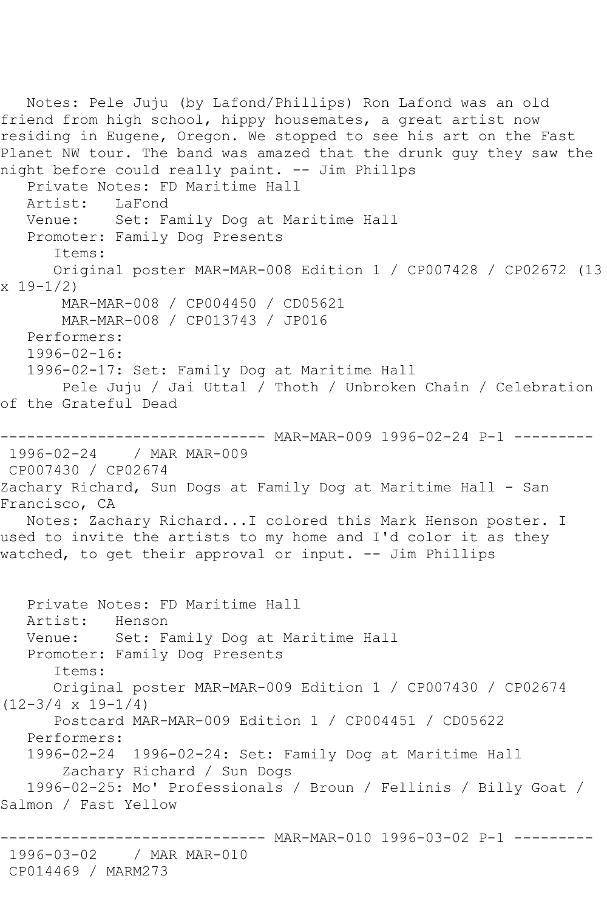Notes: Pele Juju (by Lafond/Phillips) Ron Lafond was an old friend from high school, hippy housemates, a great artist now residing in Eugene, Oregon. We stopped to see his art on the Fast Planet NW tour. The band was amazed that the drunk guy they saw the night before could really paint. -- Jim Phillps Private Notes: FD Maritime Hall<br>Artist: LaFond Artist: Venue: Set: Family Dog at Maritime Hall Promoter: Family Dog Presents Items: Original poster MAR-MAR-008 Edition 1 / CP007428 / CP02672 (13  $x 19-1/2$  MAR-MAR-008 / CP004450 / CD05621 MAR-MAR-008 / CP013743 / JP016 Performers: 1996-02-16: 1996-02-17: Set: Family Dog at Maritime Hall Pele Juju / Jai Uttal / Thoth / Unbroken Chain / Celebration of the Grateful Dead ------------------------------ MAR-MAR-009 1996-02-24 P-1 --------- 1996-02-24 / MAR MAR-009 CP007430 / CP02674 Zachary Richard, Sun Dogs at Family Dog at Maritime Hall - San Francisco, CA Notes: Zachary Richard...I colored this Mark Henson poster. I used to invite the artists to my home and I'd color it as they watched, to get their approval or input. -- Jim Phillips Private Notes: FD Maritime Hall Artist: Henson<br>Venue: Set: Fa Set: Family Dog at Maritime Hall Promoter: Family Dog Presents Items: Original poster MAR-MAR-009 Edition 1 / CP007430 / CP02674  $(12-3/4 \times 19-1/4)$  Postcard MAR-MAR-009 Edition 1 / CP004451 / CD05622 Performers: 1996-02-24 1996-02-24: Set: Family Dog at Maritime Hall Zachary Richard / Sun Dogs 1996-02-25: Mo' Professionals / Broun / Fellinis / Billy Goat / Salmon / Fast Yellow ------- MAR-MAR-010 1996-03-02 P-1 ---------1996-03-02 / MAR MAR-010 CP014469 / MARM273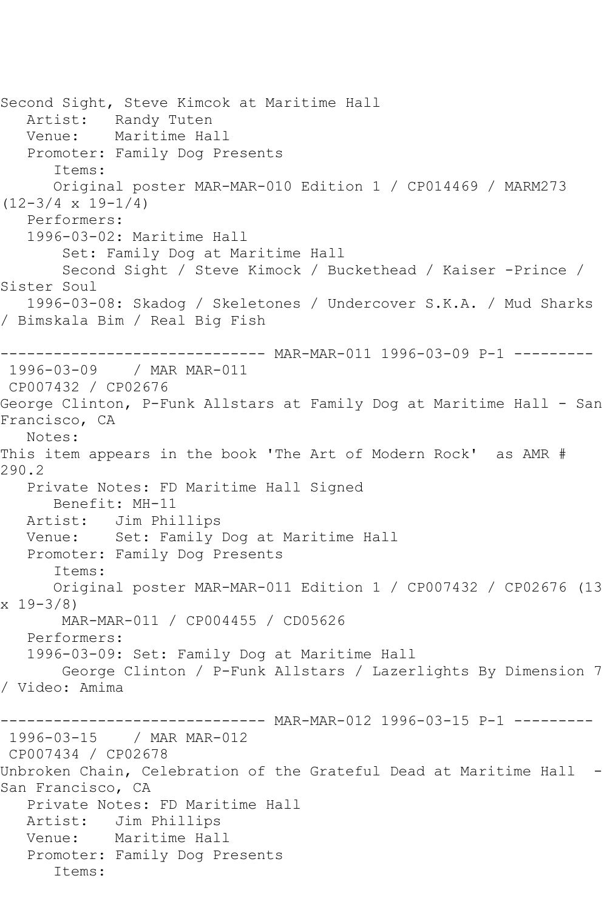Second Sight, Steve Kimcok at Maritime Hall Artist: Randy Tuten Venue: Maritime Hall Promoter: Family Dog Presents Items: Original poster MAR-MAR-010 Edition 1 / CP014469 / MARM273  $(12-3/4 \times 19-1/4)$  Performers: 1996-03-02: Maritime Hall Set: Family Dog at Maritime Hall Second Sight / Steve Kimock / Buckethead / Kaiser -Prince / Sister Soul 1996-03-08: Skadog / Skeletones / Undercover S.K.A. / Mud Sharks / Bimskala Bim / Real Big Fish ------------------------------ MAR-MAR-011 1996-03-09 P-1 --------- 1996-03-09 / MAR MAR-011 CP007432 / CP02676 George Clinton, P-Funk Allstars at Family Dog at Maritime Hall - San Francisco, CA Notes: This item appears in the book 'The Art of Modern Rock' as AMR # 290.2 Private Notes: FD Maritime Hall Signed Benefit: MH-11 Artist: Jim Phillips Venue: Set: Family Dog at Maritime Hall Promoter: Family Dog Presents Items: Original poster MAR-MAR-011 Edition 1 / CP007432 / CP02676 (13 x 19-3/8) MAR-MAR-011 / CP004455 / CD05626 Performers: 1996-03-09: Set: Family Dog at Maritime Hall George Clinton / P-Funk Allstars / Lazerlights By Dimension 7 / Video: Amima ------------------------------ MAR-MAR-012 1996-03-15 P-1 --------- 1996-03-15 / MAR MAR-012 CP007434 / CP02678 Unbroken Chain, Celebration of the Grateful Dead at Maritime Hall - San Francisco, CA Private Notes: FD Maritime Hall Artist: Jim Phillips Venue: Maritime Hall Promoter: Family Dog Presents Items: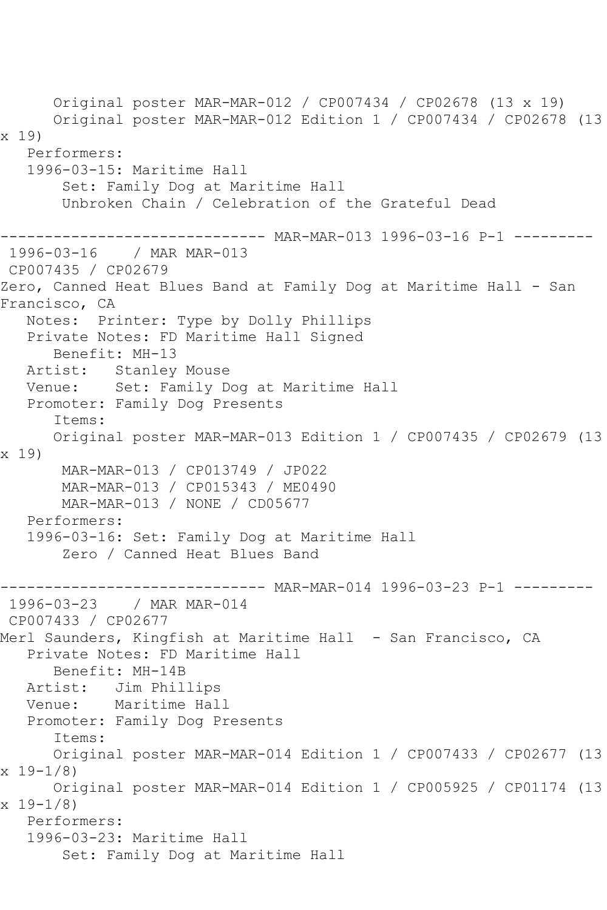Original poster MAR-MAR-012 / CP007434 / CP02678 (13 x 19) Original poster MAR-MAR-012 Edition 1 / CP007434 / CP02678 (13 x 19) Performers: 1996-03-15: Maritime Hall Set: Family Dog at Maritime Hall Unbroken Chain / Celebration of the Grateful Dead -------- MAR-MAR-013 1996-03-16 P-1 ---------1996-03-16 / MAR MAR-013 CP007435 / CP02679 Zero, Canned Heat Blues Band at Family Dog at Maritime Hall - San Francisco, CA Notes: Printer: Type by Dolly Phillips Private Notes: FD Maritime Hall Signed Benefit: MH-13 Artist: Stanley Mouse Venue: Set: Family Dog at Maritime Hall Promoter: Family Dog Presents Items: Original poster MAR-MAR-013 Edition 1 / CP007435 / CP02679 (13 x 19) MAR-MAR-013 / CP013749 / JP022 MAR-MAR-013 / CP015343 / ME0490 MAR-MAR-013 / NONE / CD05677 Performers: 1996-03-16: Set: Family Dog at Maritime Hall Zero / Canned Heat Blues Band ----------------------------- MAR-MAR-014 1996-03-23 P-1 ---------<br>1996-03-23 / MAR MAR-014 / MAR MAR-014 CP007433 / CP02677 Merl Saunders, Kingfish at Maritime Hall - San Francisco, CA Private Notes: FD Maritime Hall Benefit: MH-14B Artist: Jim Phillips Venue: Maritime Hall Promoter: Family Dog Presents Items: Original poster MAR-MAR-014 Edition 1 / CP007433 / CP02677 (13 x 19-1/8) Original poster MAR-MAR-014 Edition 1 / CP005925 / CP01174 (13 x 19-1/8) Performers: 1996-03-23: Maritime Hall Set: Family Dog at Maritime Hall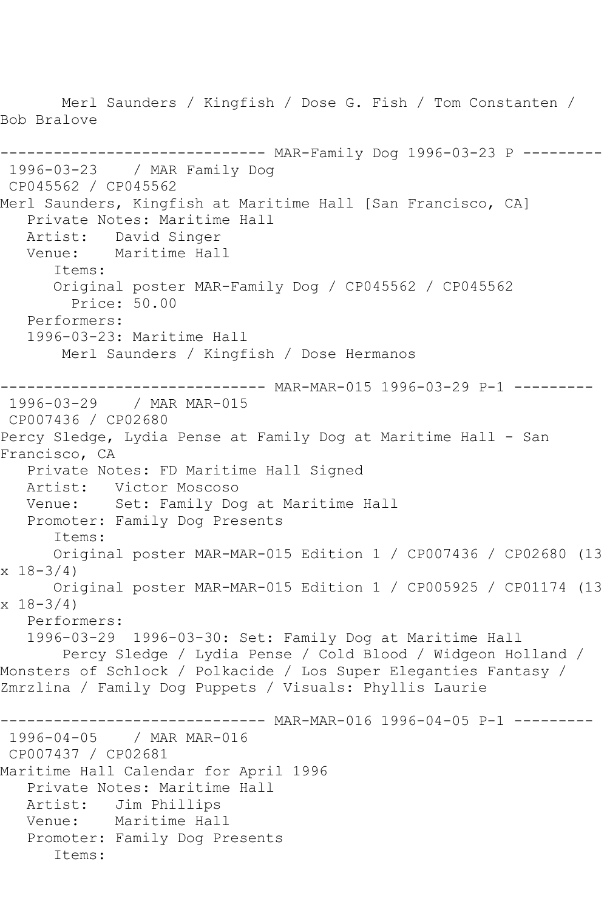Merl Saunders / Kingfish / Dose G. Fish / Tom Constanten / Bob Bralove ------------------------------ MAR-Family Dog 1996-03-23 P --------- 1996-03-23 / MAR Family Dog CP045562 / CP045562 Merl Saunders, Kingfish at Maritime Hall [San Francisco, CA] Private Notes: Maritime Hall Artist: David Singer Venue: Maritime Hall Items: Original poster MAR-Family Dog / CP045562 / CP045562 Price: 50.00 Performers: 1996-03-23: Maritime Hall Merl Saunders / Kingfish / Dose Hermanos ------------------------------ MAR-MAR-015 1996-03-29 P-1 --------- 1996-03-29 / MAR MAR-015 CP007436 / CP02680 Percy Sledge, Lydia Pense at Family Dog at Maritime Hall - San Francisco, CA Private Notes: FD Maritime Hall Signed Artist: Victor Moscoso Venue: Set: Family Dog at Maritime Hall Promoter: Family Dog Presents Items: Original poster MAR-MAR-015 Edition 1 / CP007436 / CP02680 (13  $x 18-3/4$  Original poster MAR-MAR-015 Edition 1 / CP005925 / CP01174 (13  $x \ 18 - 3/4$  Performers: 1996-03-29 1996-03-30: Set: Family Dog at Maritime Hall Percy Sledge / Lydia Pense / Cold Blood / Widgeon Holland / Monsters of Schlock / Polkacide / Los Super Eleganties Fantasy / Zmrzlina / Family Dog Puppets / Visuals: Phyllis Laurie ------------------------------ MAR-MAR-016 1996-04-05 P-1 --------- 1996-04-05 / MAR MAR-016 CP007437 / CP02681 Maritime Hall Calendar for April 1996 Private Notes: Maritime Hall Artist: Jim Phillips<br>Venue: Maritime Hal Maritime Hall Promoter: Family Dog Presents Items: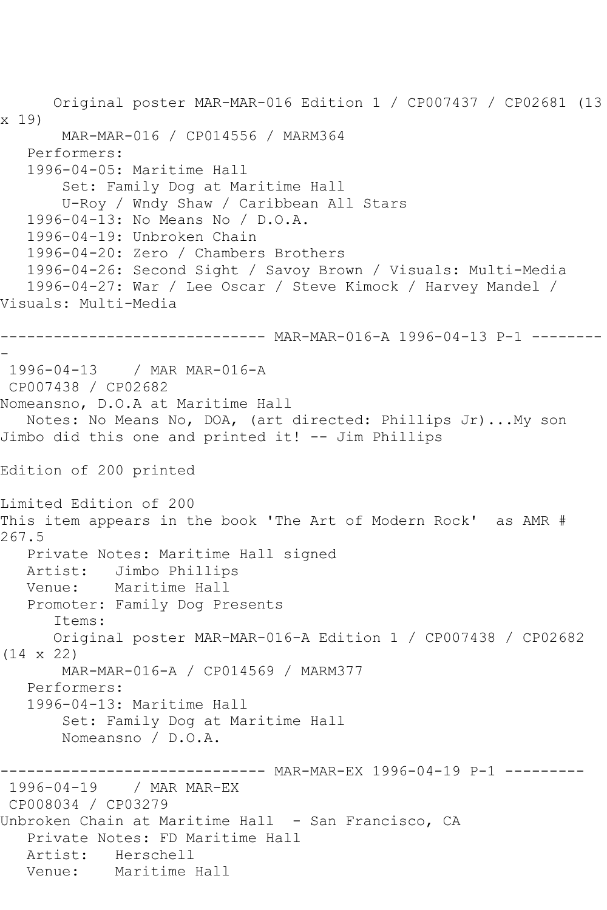```
 Original poster MAR-MAR-016 Edition 1 / CP007437 / CP02681 (13 
x 19)
       MAR-MAR-016 / CP014556 / MARM364
   Performers:
   1996-04-05: Maritime Hall
        Set: Family Dog at Maritime Hall
       U-Roy / Wndy Shaw / Caribbean All Stars
   1996-04-13: No Means No / D.O.A.
   1996-04-19: Unbroken Chain
   1996-04-20: Zero / Chambers Brothers
   1996-04-26: Second Sight / Savoy Brown / Visuals: Multi-Media
   1996-04-27: War / Lee Oscar / Steve Kimock / Harvey Mandel / 
Visuals: Multi-Media
------------------------------ MAR-MAR-016-A 1996-04-13 P-1 --------
-
1996-04-13 / MAR MAR-016-A
CP007438 / CP02682
Nomeansno, D.O.A at Maritime Hall
   Notes: No Means No, DOA, (art directed: Phillips Jr)...My son 
Jimbo did this one and printed it! -- Jim Phillips
Edition of 200 printed
Limited Edition of 200
This item appears in the book 'The Art of Modern Rock' as AMR # 
267.5
   Private Notes: Maritime Hall signed
   Artist: Jimbo Phillips
   Venue: Maritime Hall
   Promoter: Family Dog Presents
       Items:
      Original poster MAR-MAR-016-A Edition 1 / CP007438 / CP02682 
(14 x 22)
       MAR-MAR-016-A / CP014569 / MARM377
   Performers:
   1996-04-13: Maritime Hall
        Set: Family Dog at Maritime Hall
       Nomeansno / D.O.A.
                  ------------ MAR-MAR-EX 1996-04-19 P-1 ---------
1996-04-19 / MAR MAR-EX
CP008034 / CP03279
Unbroken Chain at Maritime Hall - San Francisco, CA
   Private Notes: FD Maritime Hall
   Artist: Herschell
   Venue: Maritime Hall
```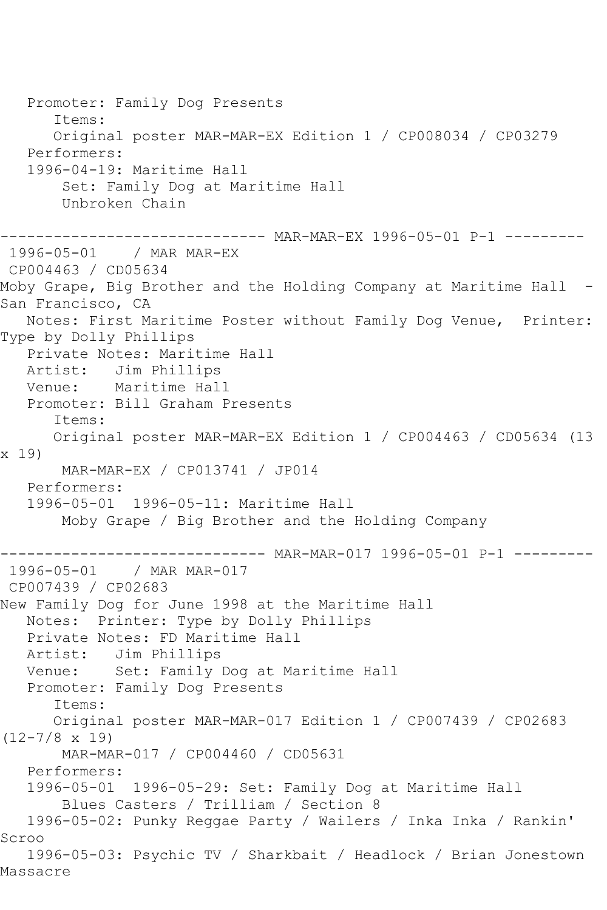Promoter: Family Dog Presents Items: Original poster MAR-MAR-EX Edition 1 / CP008034 / CP03279 Performers: 1996-04-19: Maritime Hall Set: Family Dog at Maritime Hall Unbroken Chain ------------------------------ MAR-MAR-EX 1996-05-01 P-1 --------- 1996-05-01 / MAR MAR-EX CP004463 / CD05634 Moby Grape, Big Brother and the Holding Company at Maritime Hall -San Francisco, CA Notes: First Maritime Poster without Family Dog Venue, Printer: Type by Dolly Phillips Private Notes: Maritime Hall Artist: Jim Phillips<br>Venue: Maritime Hal Maritime Hall Promoter: Bill Graham Presents Items: Original poster MAR-MAR-EX Edition 1 / CP004463 / CD05634 (13 x 19) MAR-MAR-EX / CP013741 / JP014 Performers: 1996-05-01 1996-05-11: Maritime Hall Moby Grape / Big Brother and the Holding Company ------------- MAR-MAR-017 1996-05-01 P-1 -------1996-05-01 / MAR MAR-017 CP007439 / CP02683 New Family Dog for June 1998 at the Maritime Hall Notes: Printer: Type by Dolly Phillips Private Notes: FD Maritime Hall Artist: Jim Phillips Venue: Set: Family Dog at Maritime Hall Promoter: Family Dog Presents Items: Original poster MAR-MAR-017 Edition 1 / CP007439 / CP02683 (12-7/8 x 19) MAR-MAR-017 / CP004460 / CD05631 Performers: 1996-05-01 1996-05-29: Set: Family Dog at Maritime Hall Blues Casters / Trilliam / Section 8 1996-05-02: Punky Reggae Party / Wailers / Inka Inka / Rankin' Scroo 1996-05-03: Psychic TV / Sharkbait / Headlock / Brian Jonestown Massacre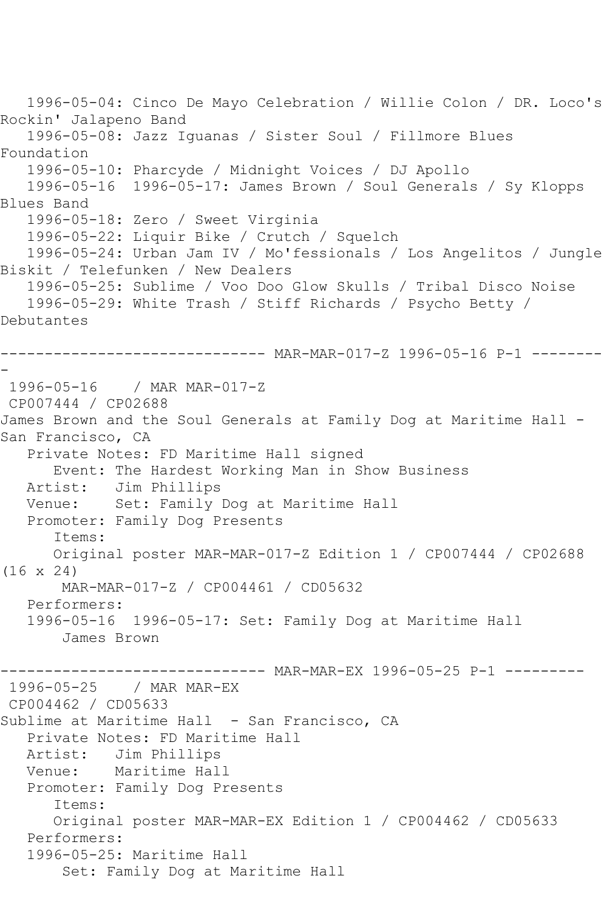1996-05-04: Cinco De Mayo Celebration / Willie Colon / DR. Loco's Rockin' Jalapeno Band 1996-05-08: Jazz Iguanas / Sister Soul / Fillmore Blues Foundation 1996-05-10: Pharcyde / Midnight Voices / DJ Apollo 1996-05-16 1996-05-17: James Brown / Soul Generals / Sy Klopps Blues Band 1996-05-18: Zero / Sweet Virginia 1996-05-22: Liquir Bike / Crutch / Squelch 1996-05-24: Urban Jam IV / Mo'fessionals / Los Angelitos / Jungle Biskit / Telefunken / New Dealers 1996-05-25: Sublime / Voo Doo Glow Skulls / Tribal Disco Noise 1996-05-29: White Trash / Stiff Richards / Psycho Betty / Debutantes ------------------------------ MAR-MAR-017-Z 1996-05-16 P-1 -------- - 1996-05-16 / MAR MAR-017-Z CP007444 / CP02688 James Brown and the Soul Generals at Family Dog at Maritime Hall - San Francisco, CA Private Notes: FD Maritime Hall signed Event: The Hardest Working Man in Show Business Artist: Jim Phillips Venue: Set: Family Dog at Maritime Hall Promoter: Family Dog Presents Items: Original poster MAR-MAR-017-Z Edition 1 / CP007444 / CP02688 (16 x 24) MAR-MAR-017-Z / CP004461 / CD05632 Performers: 1996-05-16 1996-05-17: Set: Family Dog at Maritime Hall James Brown ----- MAR-MAR-EX 1996-05-25 P-1 ---------1996-05-25 / MAR MAR-EX CP004462 / CD05633 Sublime at Maritime Hall - San Francisco, CA Private Notes: FD Maritime Hall Artist: Jim Phillips Venue: Maritime Hall Promoter: Family Dog Presents Items: Original poster MAR-MAR-EX Edition 1 / CP004462 / CD05633 Performers: 1996-05-25: Maritime Hall Set: Family Dog at Maritime Hall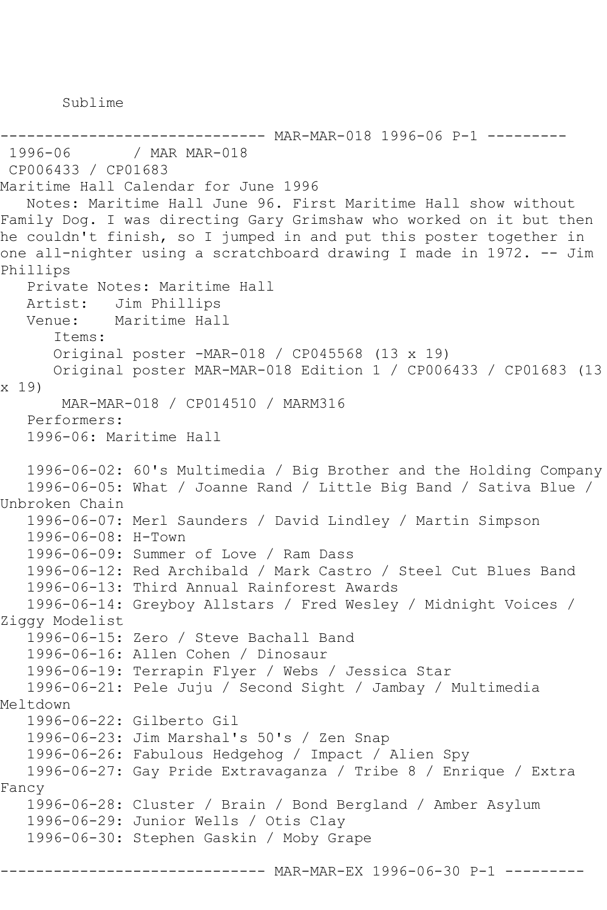Sublime

----------------------------- MAR-MAR-018 1996-06 P-1 ---------<br>1996-06 / MAR MAR-018 / MAR MAR-018 CP006433 / CP01683 Maritime Hall Calendar for June 1996 Notes: Maritime Hall June 96. First Maritime Hall show without Family Dog. I was directing Gary Grimshaw who worked on it but then he couldn't finish, so I jumped in and put this poster together in one all-nighter using a scratchboard drawing I made in 1972. -- Jim Phillips Private Notes: Maritime Hall Artist: Jim Phillips Venue: Maritime Hall Items: Original poster -MAR-018 / CP045568 (13 x 19) Original poster MAR-MAR-018 Edition 1 / CP006433 / CP01683 (13 x 19) MAR-MAR-018 / CP014510 / MARM316 Performers: 1996-06: Maritime Hall 1996-06-02: 60's Multimedia / Big Brother and the Holding Company 1996-06-05: What / Joanne Rand / Little Big Band / Sativa Blue / Unbroken Chain 1996-06-07: Merl Saunders / David Lindley / Martin Simpson 1996-06-08: H-Town 1996-06-09: Summer of Love / Ram Dass 1996-06-12: Red Archibald / Mark Castro / Steel Cut Blues Band 1996-06-13: Third Annual Rainforest Awards 1996-06-14: Greyboy Allstars / Fred Wesley / Midnight Voices / Ziggy Modelist 1996-06-15: Zero / Steve Bachall Band 1996-06-16: Allen Cohen / Dinosaur 1996-06-19: Terrapin Flyer / Webs / Jessica Star 1996-06-21: Pele Juju / Second Sight / Jambay / Multimedia Meltdown 1996-06-22: Gilberto Gil 1996-06-23: Jim Marshal's 50's / Zen Snap 1996-06-26: Fabulous Hedgehog / Impact / Alien Spy 1996-06-27: Gay Pride Extravaganza / Tribe 8 / Enrique / Extra Fancy 1996-06-28: Cluster / Brain / Bond Bergland / Amber Asylum 1996-06-29: Junior Wells / Otis Clay 1996-06-30: Stephen Gaskin / Moby Grape ------- MAR-MAR-EX 1996-06-30 P-1 ------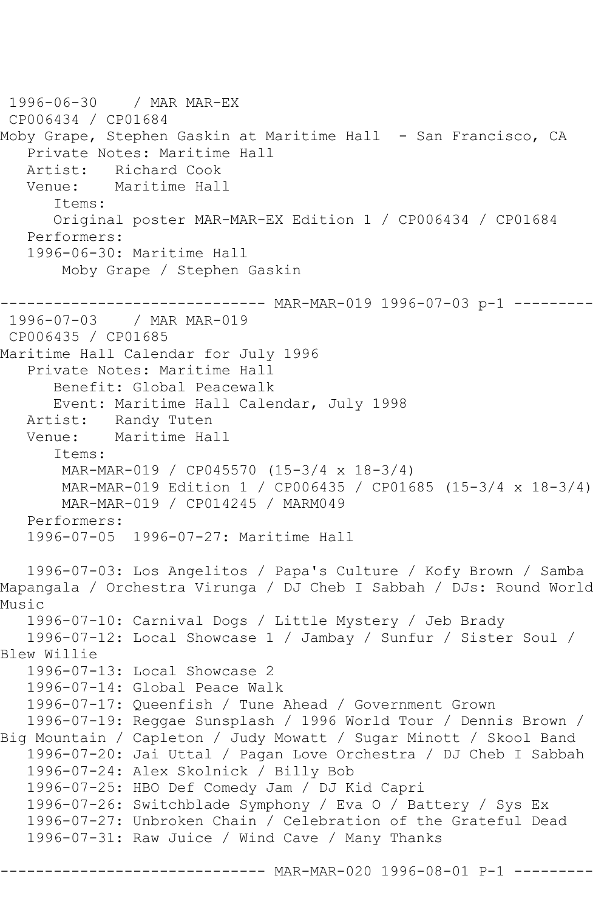1996-06-30 / MAR MAR-EX CP006434 / CP01684 Moby Grape, Stephen Gaskin at Maritime Hall - San Francisco, CA Private Notes: Maritime Hall Artist: Richard Cook Venue: Maritime Hall Items: Original poster MAR-MAR-EX Edition 1 / CP006434 / CP01684 Performers: 1996-06-30: Maritime Hall Moby Grape / Stephen Gaskin ------------- MAR-MAR-019 1996-07-03 p-1 ---------1996-07-03 / MAR MAR-019 CP006435 / CP01685 Maritime Hall Calendar for July 1996 Private Notes: Maritime Hall Benefit: Global Peacewalk Event: Maritime Hall Calendar, July 1998 Artist: Randy Tuten<br>Venue: Maritime Ha Maritime Hall Items: MAR-MAR-019 / CP045570 (15-3/4 x 18-3/4) MAR-MAR-019 Edition 1 / CP006435 / CP01685 (15-3/4 x 18-3/4) MAR-MAR-019 / CP014245 / MARM049 Performers: 1996-07-05 1996-07-27: Maritime Hall 1996-07-03: Los Angelitos / Papa's Culture / Kofy Brown / Samba Mapangala / Orchestra Virunga / DJ Cheb I Sabbah / DJs: Round World Music 1996-07-10: Carnival Dogs / Little Mystery / Jeb Brady 1996-07-12: Local Showcase 1 / Jambay / Sunfur / Sister Soul / Blew Willie 1996-07-13: Local Showcase 2 1996-07-14: Global Peace Walk 1996-07-17: Queenfish / Tune Ahead / Government Grown 1996-07-19: Reggae Sunsplash / 1996 World Tour / Dennis Brown / Big Mountain / Capleton / Judy Mowatt / Sugar Minott / Skool Band 1996-07-20: Jai Uttal / Pagan Love Orchestra / DJ Cheb I Sabbah 1996-07-24: Alex Skolnick / Billy Bob 1996-07-25: HBO Def Comedy Jam / DJ Kid Capri 1996-07-26: Switchblade Symphony / Eva O / Battery / Sys Ex 1996-07-27: Unbroken Chain / Celebration of the Grateful Dead 1996-07-31: Raw Juice / Wind Cave / Many Thanks

------ MAR-MAR-020 1996-08-01 P-1 ---------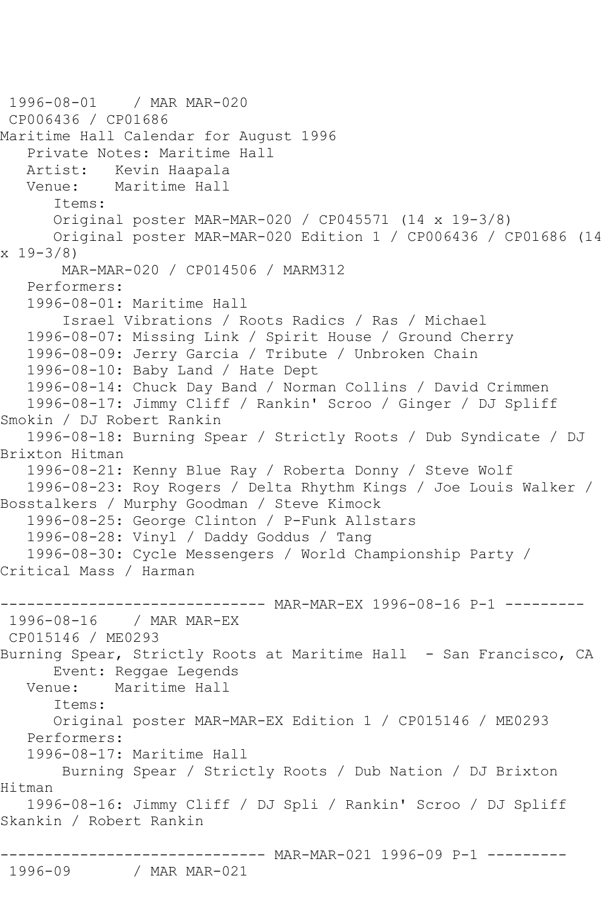1996-08-01 / MAR MAR-020 CP006436 / CP01686 Maritime Hall Calendar for August 1996 Private Notes: Maritime Hall Artist: Kevin Haapala Venue: Maritime Hall Items: Original poster MAR-MAR-020 / CP045571 (14 x 19-3/8) Original poster MAR-MAR-020 Edition 1 / CP006436 / CP01686 (14 x 19-3/8) MAR-MAR-020 / CP014506 / MARM312 Performers: 1996-08-01: Maritime Hall Israel Vibrations / Roots Radics / Ras / Michael 1996-08-07: Missing Link / Spirit House / Ground Cherry 1996-08-09: Jerry Garcia / Tribute / Unbroken Chain 1996-08-10: Baby Land / Hate Dept 1996-08-14: Chuck Day Band / Norman Collins / David Crimmen 1996-08-17: Jimmy Cliff / Rankin' Scroo / Ginger / DJ Spliff Smokin / DJ Robert Rankin 1996-08-18: Burning Spear / Strictly Roots / Dub Syndicate / DJ Brixton Hitman 1996-08-21: Kenny Blue Ray / Roberta Donny / Steve Wolf 1996-08-23: Roy Rogers / Delta Rhythm Kings / Joe Louis Walker / Bosstalkers / Murphy Goodman / Steve Kimock 1996-08-25: George Clinton / P-Funk Allstars 1996-08-28: Vinyl / Daddy Goddus / Tang 1996-08-30: Cycle Messengers / World Championship Party / Critical Mass / Harman --------- MAR-MAR-EX 1996-08-16 P-1 ---------1996-08-16 / MAR MAR-EX CP015146 / ME0293 Burning Spear, Strictly Roots at Maritime Hall - San Francisco, CA Event: Reggae Legends Venue: Maritime Hall Items: Original poster MAR-MAR-EX Edition 1 / CP015146 / ME0293 Performers: 1996-08-17: Maritime Hall Burning Spear / Strictly Roots / Dub Nation / DJ Brixton Hitman 1996-08-16: Jimmy Cliff / DJ Spli / Rankin' Scroo / DJ Spliff Skankin / Robert Rankin ------------------------------ MAR-MAR-021 1996-09 P-1 --------- / MAR MAR-021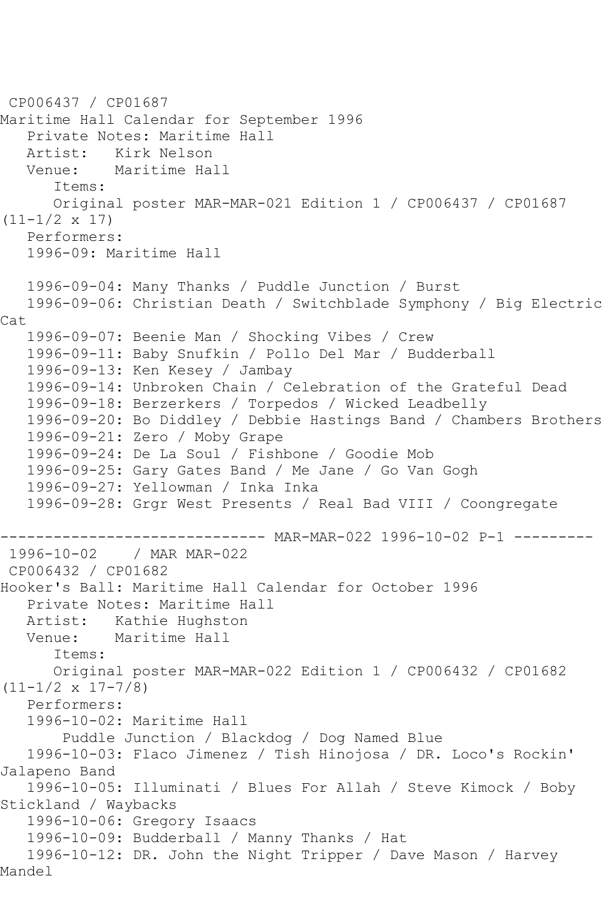```
CP006437 / CP01687
Maritime Hall Calendar for September 1996
    Private Notes: Maritime Hall
  Artist: Kirk Nelson<br>Venue: Maritime Ha
            Maritime Hall
       Items:
       Original poster MAR-MAR-021 Edition 1 / CP006437 / CP01687 
(11-1/2 \times 17) Performers:
    1996-09: Maritime Hall
    1996-09-04: Many Thanks / Puddle Junction / Burst
   1996-09-06: Christian Death / Switchblade Symphony / Big Electric 
Cat
   1996-09-07: Beenie Man / Shocking Vibes / Crew
   1996-09-11: Baby Snufkin / Pollo Del Mar / Budderball
    1996-09-13: Ken Kesey / Jambay
   1996-09-14: Unbroken Chain / Celebration of the Grateful Dead
   1996-09-18: Berzerkers / Torpedos / Wicked Leadbelly
   1996-09-20: Bo Diddley / Debbie Hastings Band / Chambers Brothers
    1996-09-21: Zero / Moby Grape
    1996-09-24: De La Soul / Fishbone / Goodie Mob
   1996-09-25: Gary Gates Band / Me Jane / Go Van Gogh
    1996-09-27: Yellowman / Inka Inka
   1996-09-28: Grgr West Presents / Real Bad VIII / Coongregate
------------------------------ MAR-MAR-022 1996-10-02 P-1 ---------
1996-10-02 / MAR MAR-022
CP006432 / CP01682
Hooker's Ball: Maritime Hall Calendar for October 1996
   Private Notes: Maritime Hall
   Artist: Kathie Hughston
   Venue: Maritime Hall
       Items:
       Original poster MAR-MAR-022 Edition 1 / CP006432 / CP01682 
(11-1/2 \times 17-7/8) Performers:
    1996-10-02: Maritime Hall
        Puddle Junction / Blackdog / Dog Named Blue
    1996-10-03: Flaco Jimenez / Tish Hinojosa / DR. Loco's Rockin' 
Jalapeno Band
    1996-10-05: Illuminati / Blues For Allah / Steve Kimock / Boby 
Stickland / Waybacks
    1996-10-06: Gregory Isaacs
    1996-10-09: Budderball / Manny Thanks / Hat
    1996-10-12: DR. John the Night Tripper / Dave Mason / Harvey 
Mandel
```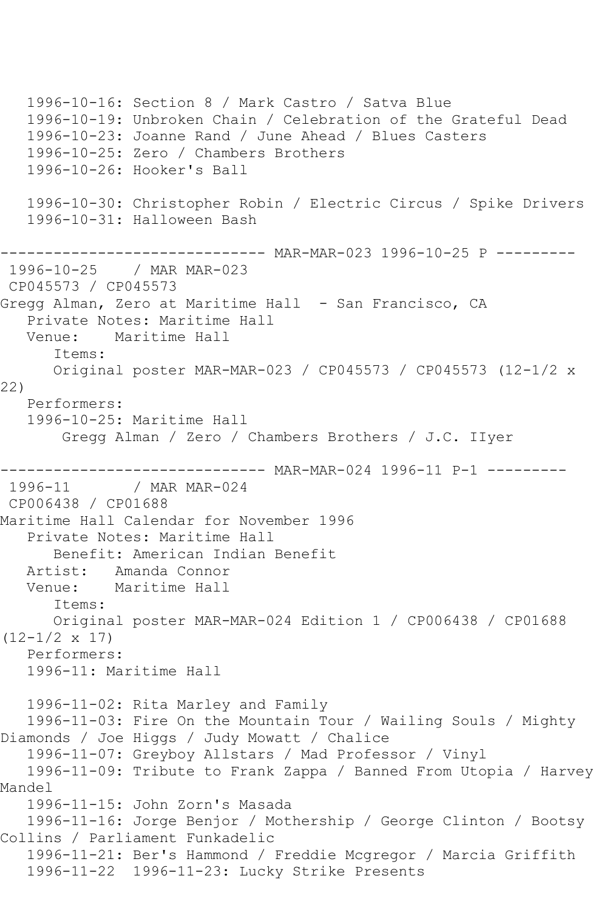1996-10-16: Section 8 / Mark Castro / Satva Blue 1996-10-19: Unbroken Chain / Celebration of the Grateful Dead 1996-10-23: Joanne Rand / June Ahead / Blues Casters 1996-10-25: Zero / Chambers Brothers 1996-10-26: Hooker's Ball 1996-10-30: Christopher Robin / Electric Circus / Spike Drivers 1996-10-31: Halloween Bash ------------------------------ MAR-MAR-023 1996-10-25 P --------- 1996-10-25 / MAR MAR-023 CP045573 / CP045573 Gregg Alman, Zero at Maritime Hall - San Francisco, CA Private Notes: Maritime Hall Venue: Maritime Hall Items: Original poster MAR-MAR-023 / CP045573 / CP045573 (12-1/2 x 22) Performers: 1996-10-25: Maritime Hall Gregg Alman / Zero / Chambers Brothers / J.C. IIyer ----------------------------- MAR-MAR-024 1996-11 P-1 ---------<br>1996-11 / MAR MAR-024 / MAR MAR-024 CP006438 / CP01688 Maritime Hall Calendar for November 1996 Private Notes: Maritime Hall Benefit: American Indian Benefit Artist: Amanda Connor Venue: Maritime Hall Items: Original poster MAR-MAR-024 Edition 1 / CP006438 / CP01688 (12-1/2 x 17) Performers: 1996-11: Maritime Hall 1996-11-02: Rita Marley and Family 1996-11-03: Fire On the Mountain Tour / Wailing Souls / Mighty Diamonds / Joe Higgs / Judy Mowatt / Chalice 1996-11-07: Greyboy Allstars / Mad Professor / Vinyl 1996-11-09: Tribute to Frank Zappa / Banned From Utopia / Harvey Mandel 1996-11-15: John Zorn's Masada 1996-11-16: Jorge Benjor / Mothership / George Clinton / Bootsy Collins / Parliament Funkadelic 1996-11-21: Ber's Hammond / Freddie Mcgregor / Marcia Griffith 1996-11-22 1996-11-23: Lucky Strike Presents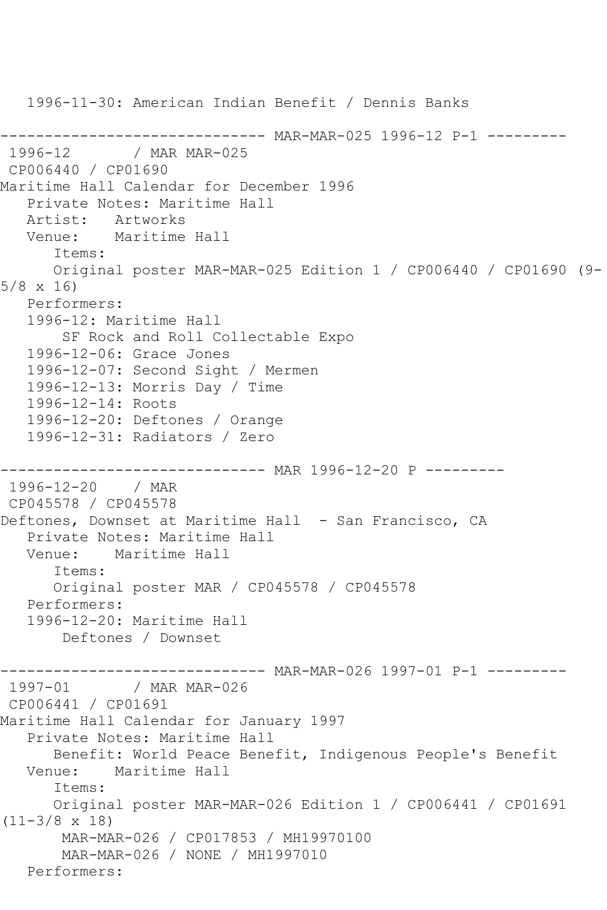1996-11-30: American Indian Benefit / Dennis Banks ------------------------------ MAR-MAR-025 1996-12 P-1 --------- / MAR MAR-025 CP006440 / CP01690 Maritime Hall Calendar for December 1996 Private Notes: Maritime Hall Artist: Artworks Venue: Maritime Hall Items: Original poster MAR-MAR-025 Edition 1 / CP006440 / CP01690 (9- 5/8 x 16) Performers: 1996-12: Maritime Hall SF Rock and Roll Collectable Expo 1996-12-06: Grace Jones 1996-12-07: Second Sight / Mermen 1996-12-13: Morris Day / Time 1996-12-14: Roots 1996-12-20: Deftones / Orange 1996-12-31: Radiators / Zero ------------------------------ MAR 1996-12-20 P --------- 1996-12-20 / MAR CP045578 / CP045578 Deftones, Downset at Maritime Hall - San Francisco, CA Private Notes: Maritime Hall Venue: Maritime Hall Items: Original poster MAR / CP045578 / CP045578 Performers: 1996-12-20: Maritime Hall Deftones / Downset ------- MAR-MAR-026 1997-01 P-1 ---------1997-01 / MAR MAR-026 CP006441 / CP01691 Maritime Hall Calendar for January 1997 Private Notes: Maritime Hall Benefit: World Peace Benefit, Indigenous People's Benefit Venue: Maritime Hall Items: Original poster MAR-MAR-026 Edition 1 / CP006441 / CP01691 (11-3/8 x 18) MAR-MAR-026 / CP017853 / MH19970100 MAR-MAR-026 / NONE / MH1997010 Performers: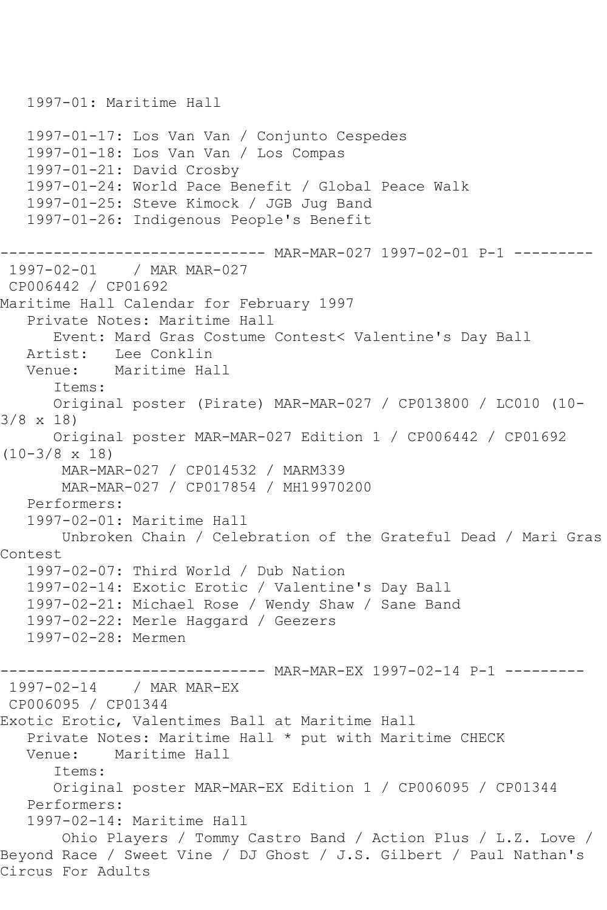```
 1997-01: Maritime Hall
   1997-01-17: Los Van Van / Conjunto Cespedes
   1997-01-18: Los Van Van / Los Compas
   1997-01-21: David Crosby
   1997-01-24: World Pace Benefit / Global Peace Walk
   1997-01-25: Steve Kimock / JGB Jug Band
   1997-01-26: Indigenous People's Benefit
------------------------------ MAR-MAR-027 1997-02-01 P-1 ---------
1997-02-01 / MAR MAR-027
CP006442 / CP01692
Maritime Hall Calendar for February 1997
   Private Notes: Maritime Hall
      Event: Mard Gras Costume Contest< Valentine's Day Ball
   Artist: Lee Conklin
   Venue: Maritime Hall
       Items:
      Original poster (Pirate) MAR-MAR-027 / CP013800 / LC010 (10-
3/8 x 18)
      Original poster MAR-MAR-027 Edition 1 / CP006442 / CP01692 
(10-3/8 x 18)
       MAR-MAR-027 / CP014532 / MARM339
        MAR-MAR-027 / CP017854 / MH19970200
   Performers:
   1997-02-01: Maritime Hall
       Unbroken Chain / Celebration of the Grateful Dead / Mari Gras 
Contest
   1997-02-07: Third World / Dub Nation
   1997-02-14: Exotic Erotic / Valentine's Day Ball
   1997-02-21: Michael Rose / Wendy Shaw / Sane Band
   1997-02-22: Merle Haggard / Geezers
   1997-02-28: Mermen
                          ----- MAR-MAR-EX 1997-02-14 P-1 ---------
1997-02-14 / MAR MAR-EX
CP006095 / CP01344
Exotic Erotic, Valentimes Ball at Maritime Hall
  Private Notes: Maritime Hall * put with Maritime CHECK<br>Venue: Maritime Hall
           Maritime Hall
       Items:
      Original poster MAR-MAR-EX Edition 1 / CP006095 / CP01344
   Performers:
   1997-02-14: Maritime Hall
        Ohio Players / Tommy Castro Band / Action Plus / L.Z. Love / 
Beyond Race / Sweet Vine / DJ Ghost / J.S. Gilbert / Paul Nathan's 
Circus For Adults
```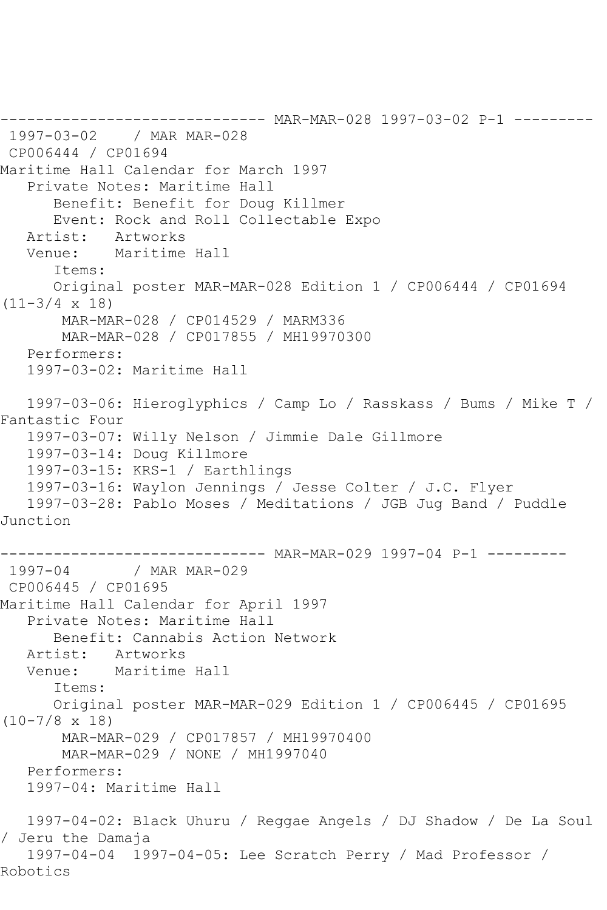------------------------------ MAR-MAR-028 1997-03-02 P-1 --------- 1997-03-02 / MAR MAR-028 CP006444 / CP01694 Maritime Hall Calendar for March 1997 Private Notes: Maritime Hall Benefit: Benefit for Doug Killmer Event: Rock and Roll Collectable Expo Artist: Artworks Venue: Maritime Hall Items: Original poster MAR-MAR-028 Edition 1 / CP006444 / CP01694  $(11-3/4 \times 18)$  MAR-MAR-028 / CP014529 / MARM336 MAR-MAR-028 / CP017855 / MH19970300 Performers: 1997-03-02: Maritime Hall 1997-03-06: Hieroglyphics / Camp Lo / Rasskass / Bums / Mike T / Fantastic Four 1997-03-07: Willy Nelson / Jimmie Dale Gillmore 1997-03-14: Doug Killmore 1997-03-15: KRS-1 / Earthlings 1997-03-16: Waylon Jennings / Jesse Colter / J.C. Flyer 1997-03-28: Pablo Moses / Meditations / JGB Jug Band / Puddle Junction ----------------------------- MAR-MAR-029 1997-04 P-1 ---------<br>1997-04 / MAR MAR-029 / MAR MAR-029 CP006445 / CP01695 Maritime Hall Calendar for April 1997 Private Notes: Maritime Hall Benefit: Cannabis Action Network Artist: Artworks Venue: Maritime Hall Items: Original poster MAR-MAR-029 Edition 1 / CP006445 / CP01695 (10-7/8 x 18) MAR-MAR-029 / CP017857 / MH19970400 MAR-MAR-029 / NONE / MH1997040 Performers: 1997-04: Maritime Hall 1997-04-02: Black Uhuru / Reggae Angels / DJ Shadow / De La Soul / Jeru the Damaja 1997-04-04 1997-04-05: Lee Scratch Perry / Mad Professor / Robotics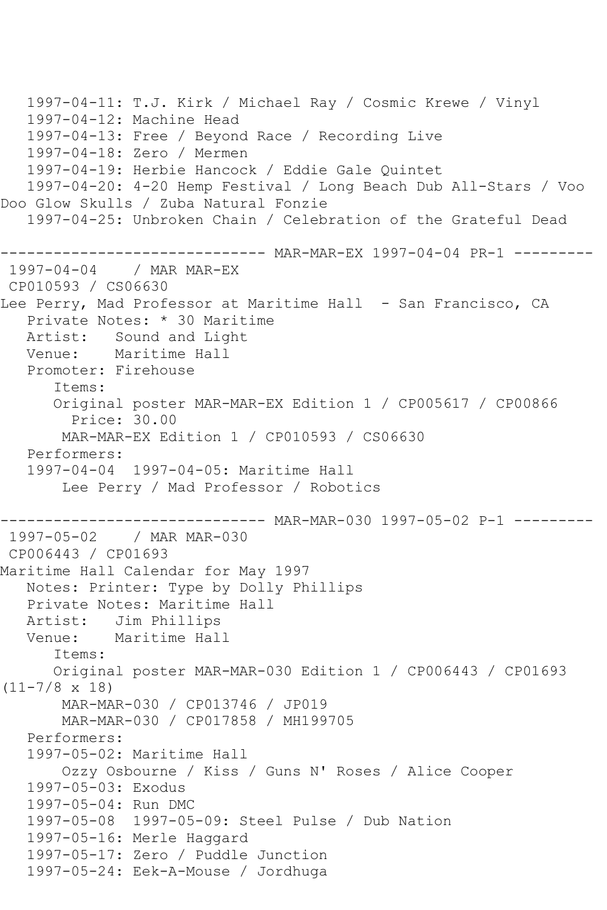```
 1997-04-11: T.J. Kirk / Michael Ray / Cosmic Krewe / Vinyl
   1997-04-12: Machine Head
   1997-04-13: Free / Beyond Race / Recording Live
   1997-04-18: Zero / Mermen
   1997-04-19: Herbie Hancock / Eddie Gale Quintet
   1997-04-20: 4-20 Hemp Festival / Long Beach Dub All-Stars / Voo 
Doo Glow Skulls / Zuba Natural Fonzie
   1997-04-25: Unbroken Chain / Celebration of the Grateful Dead
------------------------------ MAR-MAR-EX 1997-04-04 PR-1 ---------
1997-04-04 / MAR MAR-EX
CP010593 / CS06630
Lee Perry, Mad Professor at Maritime Hall - San Francisco, CA
   Private Notes: * 30 Maritime
   Artist: Sound and Light
   Venue: Maritime Hall
   Promoter: Firehouse
       Items:
       Original poster MAR-MAR-EX Edition 1 / CP005617 / CP00866
         Price: 30.00
       MAR-MAR-EX Edition 1 / CP010593 / CS06630
   Performers:
   1997-04-04 1997-04-05: Maritime Hall
       Lee Perry / Mad Professor / Robotics
------------------------------ MAR-MAR-030 1997-05-02 P-1 ---------
1997-05-02 / MAR MAR-030
CP006443 / CP01693
Maritime Hall Calendar for May 1997
   Notes: Printer: Type by Dolly Phillips
   Private Notes: Maritime Hall
   Artist: Jim Phillips
   Venue: Maritime Hall
       Items:
       Original poster MAR-MAR-030 Edition 1 / CP006443 / CP01693 
(11-7/8 x 18)
       MAR-MAR-030 / CP013746 / JP019
       MAR-MAR-030 / CP017858 / MH199705
   Performers:
   1997-05-02: Maritime Hall
       Ozzy Osbourne / Kiss / Guns N' Roses / Alice Cooper
   1997-05-03: Exodus
   1997-05-04: Run DMC
   1997-05-08 1997-05-09: Steel Pulse / Dub Nation
   1997-05-16: Merle Haggard
   1997-05-17: Zero / Puddle Junction
   1997-05-24: Eek-A-Mouse / Jordhuga
```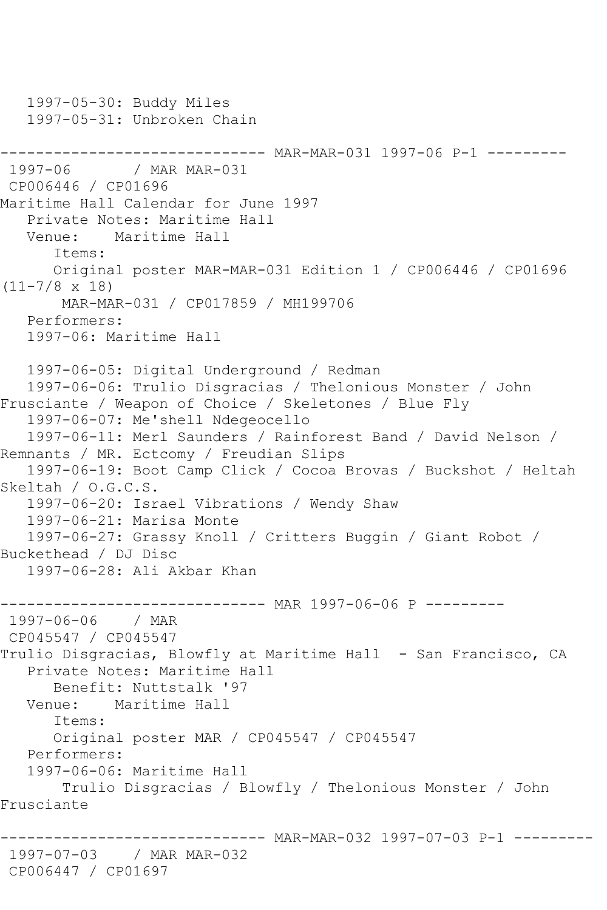1997-05-30: Buddy Miles 1997-05-31: Unbroken Chain ----------------------------- MAR-MAR-031 1997-06 P-1 ---------<br>1997-06 / MAR MAR-031 / MAR MAR-031 CP006446 / CP01696 Maritime Hall Calendar for June 1997 Private Notes: Maritime Hall Venue: Maritime Hall Items: Original poster MAR-MAR-031 Edition 1 / CP006446 / CP01696 (11-7/8 x 18) MAR-MAR-031 / CP017859 / MH199706 Performers: 1997-06: Maritime Hall 1997-06-05: Digital Underground / Redman 1997-06-06: Trulio Disgracias / Thelonious Monster / John Frusciante / Weapon of Choice / Skeletones / Blue Fly 1997-06-07: Me'shell Ndegeocello 1997-06-11: Merl Saunders / Rainforest Band / David Nelson / Remnants / MR. Ectcomy / Freudian Slips 1997-06-19: Boot Camp Click / Cocoa Brovas / Buckshot / Heltah Skeltah / O.G.C.S. 1997-06-20: Israel Vibrations / Wendy Shaw 1997-06-21: Marisa Monte 1997-06-27: Grassy Knoll / Critters Buggin / Giant Robot / Buckethead / DJ Disc 1997-06-28: Ali Akbar Khan ------------------------------ MAR 1997-06-06 P --------- 1997-06-06 / MAR CP045547 / CP045547 Trulio Disgracias, Blowfly at Maritime Hall - San Francisco, CA Private Notes: Maritime Hall Benefit: Nuttstalk '97 Venue: Maritime Hall Items: Original poster MAR / CP045547 / CP045547 Performers: 1997-06-06: Maritime Hall Trulio Disgracias / Blowfly / Thelonious Monster / John Frusciante ------------------------------ MAR-MAR-032 1997-07-03 P-1 --------- 1997-07-03 / MAR MAR-032 CP006447 / CP01697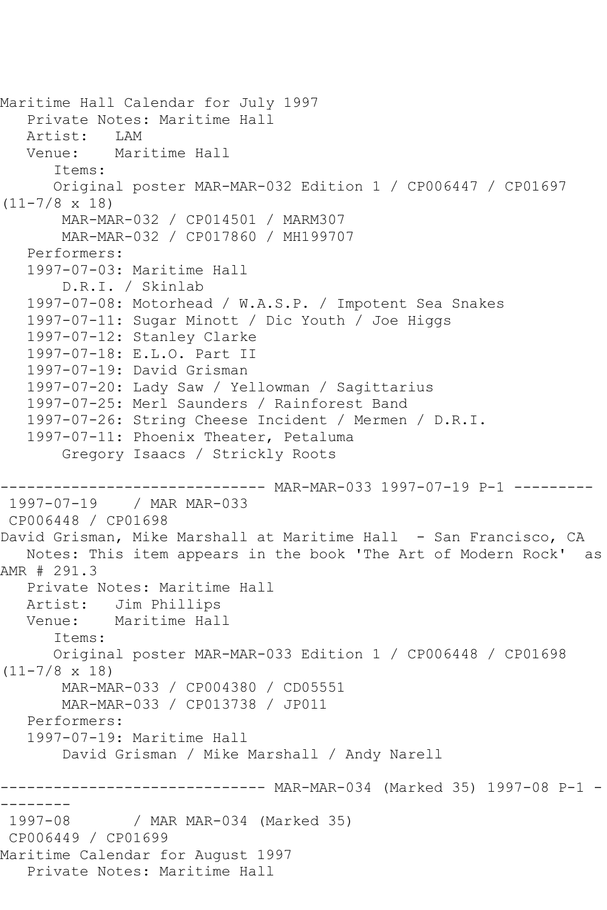```
Maritime Hall Calendar for July 1997
  Private Notes: Maritime Hall<br>Artist: LAM
  Artist:
   Venue: Maritime Hall
       Items:
       Original poster MAR-MAR-032 Edition 1 / CP006447 / CP01697 
(11-7/8 x 18)
       MAR-MAR-032 / CP014501 / MARM307
        MAR-MAR-032 / CP017860 / MH199707
   Performers:
   1997-07-03: Maritime Hall
        D.R.I. / Skinlab
   1997-07-08: Motorhead / W.A.S.P. / Impotent Sea Snakes
   1997-07-11: Sugar Minott / Dic Youth / Joe Higgs
   1997-07-12: Stanley Clarke
   1997-07-18: E.L.O. Part II
   1997-07-19: David Grisman
   1997-07-20: Lady Saw / Yellowman / Sagittarius
   1997-07-25: Merl Saunders / Rainforest Band
   1997-07-26: String Cheese Incident / Mermen / D.R.I.
   1997-07-11: Phoenix Theater, Petaluma
        Gregory Isaacs / Strickly Roots
------------------------------ MAR-MAR-033 1997-07-19 P-1 ---------
1997-07-19 / MAR MAR-033
CP006448 / CP01698
David Grisman, Mike Marshall at Maritime Hall - San Francisco, CA
   Notes: This item appears in the book 'The Art of Modern Rock' as 
AMR # 291.3
   Private Notes: Maritime Hall
   Artist: Jim Phillips
   Venue: Maritime Hall
       Items:
      Original poster MAR-MAR-033 Edition 1 / CP006448 / CP01698 
(11-7/8 x 18)
       MAR-MAR-033 / CP004380 / CD05551
        MAR-MAR-033 / CP013738 / JP011
   Performers:
   1997-07-19: Maritime Hall
        David Grisman / Mike Marshall / Andy Narell
________
        ------------------------------ MAR-MAR-034 (Marked 35) 1997-08 P-1 -
--------
1997-08 / MAR MAR-034 (Marked 35)
CP006449 / CP01699
Maritime Calendar for August 1997
   Private Notes: Maritime Hall
```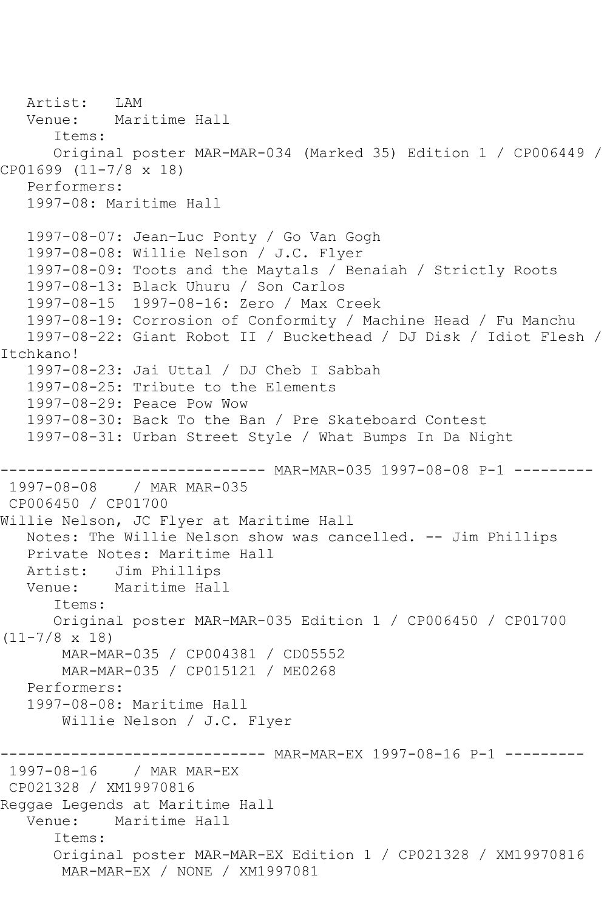Artist: LAM Venue: Maritime Hall Items: Original poster MAR-MAR-034 (Marked 35) Edition 1 / CP006449 / CP01699 (11-7/8 x 18) Performers: 1997-08: Maritime Hall 1997-08-07: Jean-Luc Ponty / Go Van Gogh 1997-08-08: Willie Nelson / J.C. Flyer 1997-08-09: Toots and the Maytals / Benaiah / Strictly Roots 1997-08-13: Black Uhuru / Son Carlos 1997-08-15 1997-08-16: Zero / Max Creek 1997-08-19: Corrosion of Conformity / Machine Head / Fu Manchu 1997-08-22: Giant Robot II / Buckethead / DJ Disk / Idiot Flesh / Itchkano! 1997-08-23: Jai Uttal / DJ Cheb I Sabbah 1997-08-25: Tribute to the Elements 1997-08-29: Peace Pow Wow 1997-08-30: Back To the Ban / Pre Skateboard Contest 1997-08-31: Urban Street Style / What Bumps In Da Night ------------------------------ MAR-MAR-035 1997-08-08 P-1 --------- 1997-08-08 / MAR MAR-035 CP006450 / CP01700 Willie Nelson, JC Flyer at Maritime Hall Notes: The Willie Nelson show was cancelled. -- Jim Phillips Private Notes: Maritime Hall Artist: Jim Phillips Venue: Maritime Hall Items: Original poster MAR-MAR-035 Edition 1 / CP006450 / CP01700  $(11-7/8 \times 18)$  MAR-MAR-035 / CP004381 / CD05552 MAR-MAR-035 / CP015121 / ME0268 Performers: 1997-08-08: Maritime Hall Willie Nelson / J.C. Flyer ------------------------------- MAR-MAR-EX 1997-08-16 P-1 ----------<br>1997-08-16 / MAR MAR-EX / MAR MAR-EX CP021328 / XM19970816 Reggae Legends at Maritime Hall Venue: Maritime Hall Items: Original poster MAR-MAR-EX Edition 1 / CP021328 / XM19970816 MAR-MAR-EX / NONE / XM1997081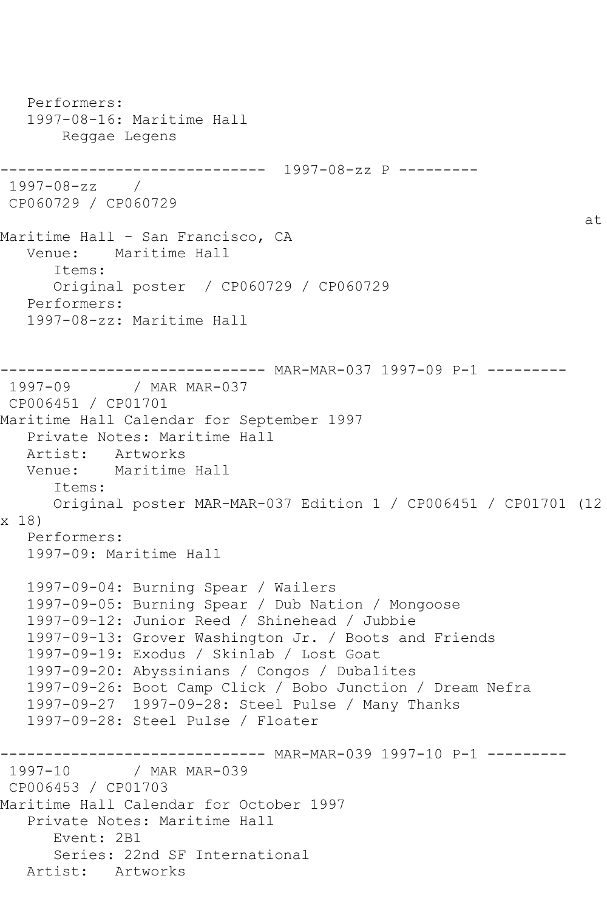```
 Performers:
    1997-08-16: Maritime Hall
        Reggae Legens
------------------------------ 1997-08-zz P ---------
1997-08-zz / 
CP060729 / CP060729
at the contract of the contract of the contract of the contract of the contract of the contract of the contract of the contract of the contract of the contract of the contract of the contract of the contract of the contrac
Maritime Hall - San Francisco, CA
   Venue: Maritime Hall
       Items:
       Original poster / CP060729 / CP060729
    Performers:
    1997-08-zz: Maritime Hall
------------------------------ MAR-MAR-037 1997-09 P-1 ---------
               / MAR MAR-037
CP006451 / CP01701
Maritime Hall Calendar for September 1997
    Private Notes: Maritime Hall
   Artist: Artworks
   Venue: Maritime Hall
       Items:
       Original poster MAR-MAR-037 Edition 1 / CP006451 / CP01701 (12 
x 18)
   Performers:
   1997-09: Maritime Hall
    1997-09-04: Burning Spear / Wailers
   1997-09-05: Burning Spear / Dub Nation / Mongoose
    1997-09-12: Junior Reed / Shinehead / Jubbie
    1997-09-13: Grover Washington Jr. / Boots and Friends
    1997-09-19: Exodus / Skinlab / Lost Goat
    1997-09-20: Abyssinians / Congos / Dubalites
    1997-09-26: Boot Camp Click / Bobo Junction / Dream Nefra
    1997-09-27 1997-09-28: Steel Pulse / Many Thanks
    1997-09-28: Steel Pulse / Floater
------------------------------ MAR-MAR-039 1997-10 P-1 ---------
1997-10 / MAR MAR-039
CP006453 / CP01703
Maritime Hall Calendar for October 1997
    Private Notes: Maritime Hall
       Event: 2B1
       Series: 22nd SF International
   Artist: Artworks
```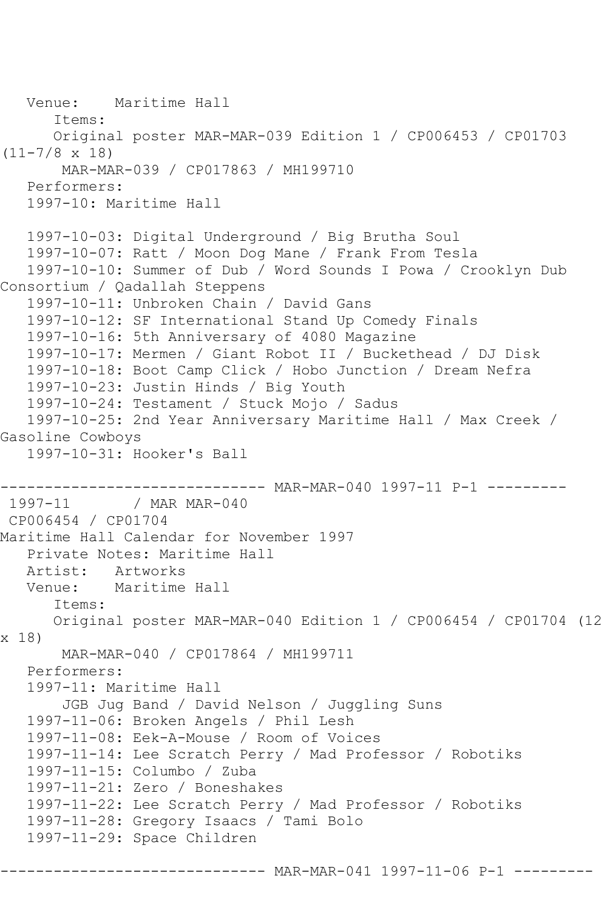```
 Venue: Maritime Hall
       Items:
       Original poster MAR-MAR-039 Edition 1 / CP006453 / CP01703 
(11-7/8 x 18)
       MAR-MAR-039 / CP017863 / MH199710
   Performers:
   1997-10: Maritime Hall
   1997-10-03: Digital Underground / Big Brutha Soul
   1997-10-07: Ratt / Moon Dog Mane / Frank From Tesla
   1997-10-10: Summer of Dub / Word Sounds I Powa / Crooklyn Dub 
Consortium / Qadallah Steppens
   1997-10-11: Unbroken Chain / David Gans
   1997-10-12: SF International Stand Up Comedy Finals
   1997-10-16: 5th Anniversary of 4080 Magazine
   1997-10-17: Mermen / Giant Robot II / Buckethead / DJ Disk
   1997-10-18: Boot Camp Click / Hobo Junction / Dream Nefra
   1997-10-23: Justin Hinds / Big Youth
   1997-10-24: Testament / Stuck Mojo / Sadus
   1997-10-25: 2nd Year Anniversary Maritime Hall / Max Creek / 
Gasoline Cowboys
   1997-10-31: Hooker's Ball
------------------------------ MAR-MAR-040 1997-11 P-1 ---------
1997-11 / MAR MAR-040
CP006454 / CP01704
Maritime Hall Calendar for November 1997
   Private Notes: Maritime Hall
   Artist: Artworks
   Venue: Maritime Hall
       Items:
       Original poster MAR-MAR-040 Edition 1 / CP006454 / CP01704 (12 
x 18)
       MAR-MAR-040 / CP017864 / MH199711
   Performers:
   1997-11: Maritime Hall
        JGB Jug Band / David Nelson / Juggling Suns
   1997-11-06: Broken Angels / Phil Lesh
   1997-11-08: Eek-A-Mouse / Room of Voices
   1997-11-14: Lee Scratch Perry / Mad Professor / Robotiks
   1997-11-15: Columbo / Zuba
   1997-11-21: Zero / Boneshakes
   1997-11-22: Lee Scratch Perry / Mad Professor / Robotiks
   1997-11-28: Gregory Isaacs / Tami Bolo
   1997-11-29: Space Children
                   ------------------------------ MAR-MAR-041 1997-11-06 P-1 ---------
```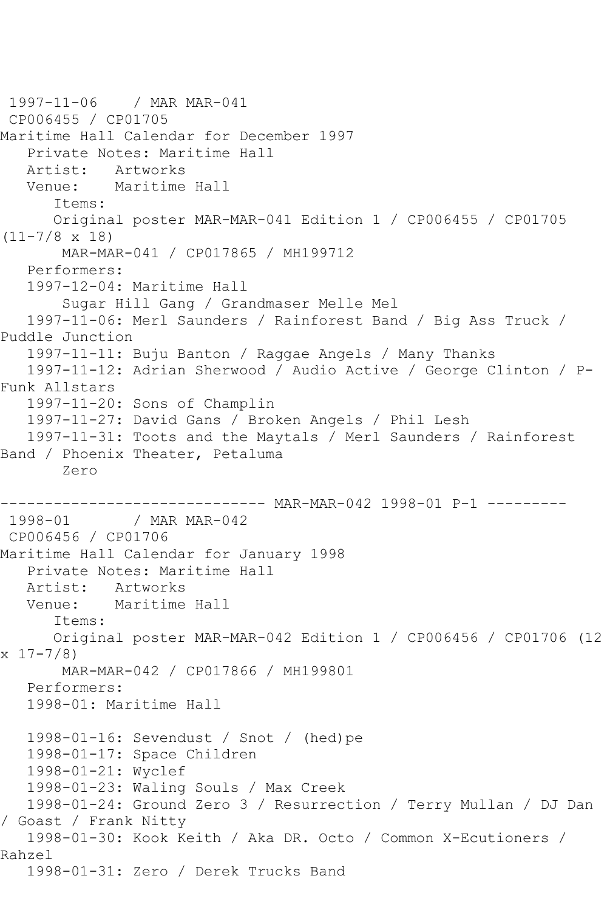```
1997-11-06 / MAR MAR-041
CP006455 / CP01705
Maritime Hall Calendar for December 1997
   Private Notes: Maritime Hall
   Artist: Artworks
   Venue: Maritime Hall
       Items:
       Original poster MAR-MAR-041 Edition 1 / CP006455 / CP01705 
(11-7/8 x 18)
        MAR-MAR-041 / CP017865 / MH199712
    Performers:
    1997-12-04: Maritime Hall
        Sugar Hill Gang / Grandmaser Melle Mel
    1997-11-06: Merl Saunders / Rainforest Band / Big Ass Truck / 
Puddle Junction
    1997-11-11: Buju Banton / Raggae Angels / Many Thanks
    1997-11-12: Adrian Sherwood / Audio Active / George Clinton / P-
Funk Allstars
   1997-11-20: Sons of Champlin
    1997-11-27: David Gans / Broken Angels / Phil Lesh
   1997-11-31: Toots and the Maytals / Merl Saunders / Rainforest 
Band / Phoenix Theater, Petaluma
        Zero
----------------------------- MAR-MAR-042 1998-01 P-1 ---------<br>1998-01 / MAR MAR-042
              / MAR MAR-042
CP006456 / CP01706
Maritime Hall Calendar for January 1998
   Private Notes: Maritime Hall
   Artist: Artworks
   Venue: Maritime Hall
       Items:
       Original poster MAR-MAR-042 Edition 1 / CP006456 / CP01706 (12 
x \ 17 - 7/8 MAR-MAR-042 / CP017866 / MH199801
   Performers:
   1998-01: Maritime Hall
   1998-01-16: Sevendust / Snot / (hed)pe
   1998-01-17: Space Children
    1998-01-21: Wyclef
   1998-01-23: Waling Souls / Max Creek
   1998-01-24: Ground Zero 3 / Resurrection / Terry Mullan / DJ Dan 
/ Goast / Frank Nitty
   1998-01-30: Kook Keith / Aka DR. Octo / Common X-Ecutioners / 
Rahzel
    1998-01-31: Zero / Derek Trucks Band
```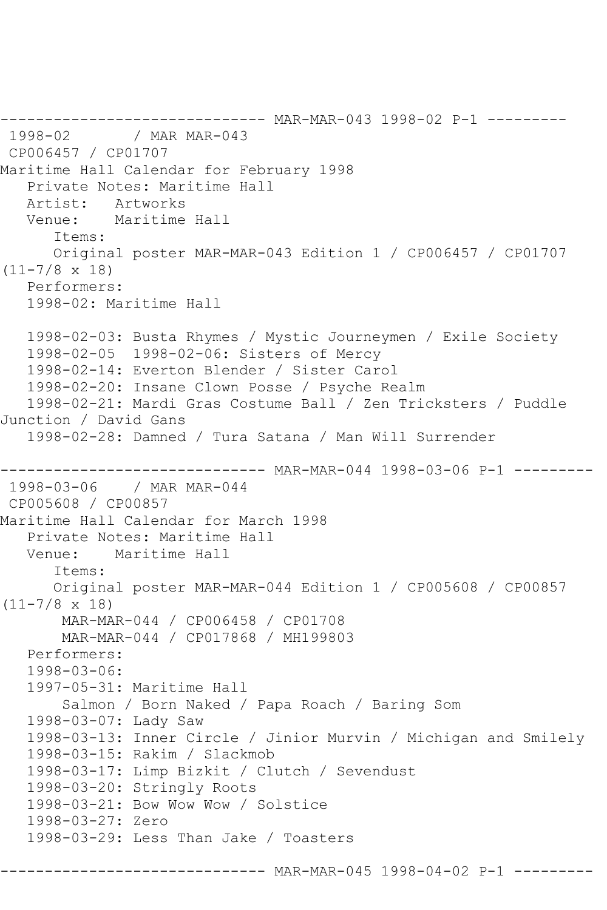```
------------------------------ MAR-MAR-043 1998-02 P-1 ---------
1998-02 / MAR MAR-043
CP006457 / CP01707
Maritime Hall Calendar for February 1998
   Private Notes: Maritime Hall
   Artist: Artworks
   Venue: Maritime Hall
       Items:
      Original poster MAR-MAR-043 Edition 1 / CP006457 / CP01707 
(11-7/8 x 18)
   Performers:
   1998-02: Maritime Hall
   1998-02-03: Busta Rhymes / Mystic Journeymen / Exile Society
   1998-02-05 1998-02-06: Sisters of Mercy
   1998-02-14: Everton Blender / Sister Carol
   1998-02-20: Insane Clown Posse / Psyche Realm
   1998-02-21: Mardi Gras Costume Ball / Zen Tricksters / Puddle 
Junction / David Gans
   1998-02-28: Damned / Tura Satana / Man Will Surrender
------------------------------ MAR-MAR-044 1998-03-06 P-1 ---------
1998-03-06 / MAR MAR-044
CP005608 / CP00857
Maritime Hall Calendar for March 1998
   Private Notes: Maritime Hall
   Venue: Maritime Hall
       Items:
       Original poster MAR-MAR-044 Edition 1 / CP005608 / CP00857 
(11-7/8 x 18)
       MAR-MAR-044 / CP006458 / CP01708
        MAR-MAR-044 / CP017868 / MH199803
   Performers:
   1998-03-06:
   1997-05-31: Maritime Hall
        Salmon / Born Naked / Papa Roach / Baring Som
   1998-03-07: Lady Saw
   1998-03-13: Inner Circle / Jinior Murvin / Michigan and Smilely
   1998-03-15: Rakim / Slackmob
   1998-03-17: Limp Bizkit / Clutch / Sevendust
   1998-03-20: Stringly Roots
   1998-03-21: Bow Wow Wow / Solstice
   1998-03-27: Zero
   1998-03-29: Less Than Jake / Toasters
                      -------- MAR-MAR-045 1998-04-02 P-1 ---------
```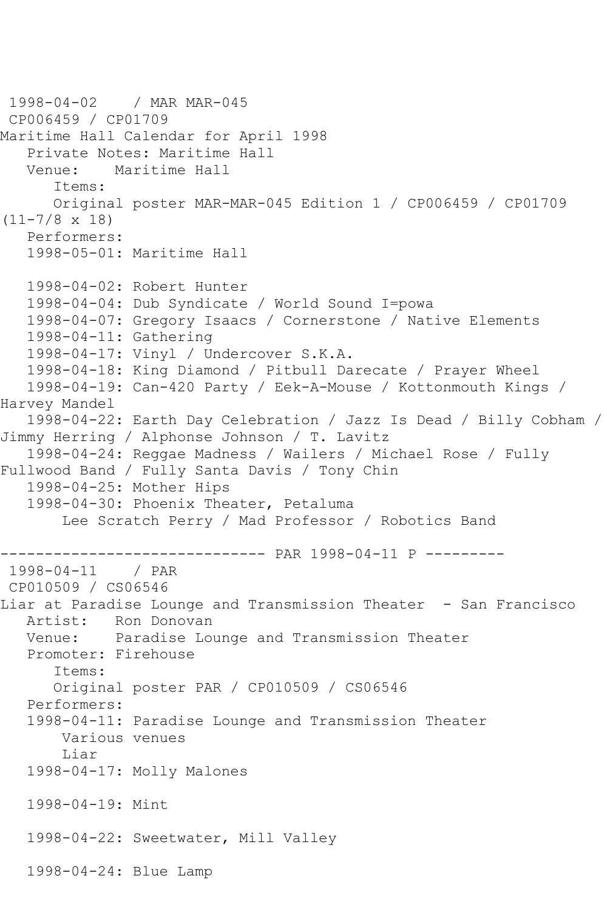```
1998-04-02 / MAR MAR-045
CP006459 / CP01709
Maritime Hall Calendar for April 1998
   Private Notes: Maritime Hall
           Maritime Hall
       Items:
      Original poster MAR-MAR-045 Edition 1 / CP006459 / CP01709 
(11-7/8 x 18)
   Performers:
   1998-05-01: Maritime Hall
   1998-04-02: Robert Hunter
   1998-04-04: Dub Syndicate / World Sound I=powa
   1998-04-07: Gregory Isaacs / Cornerstone / Native Elements
   1998-04-11: Gathering
   1998-04-17: Vinyl / Undercover S.K.A.
   1998-04-18: King Diamond / Pitbull Darecate / Prayer Wheel
   1998-04-19: Can-420 Party / Eek-A-Mouse / Kottonmouth Kings / 
Harvey Mandel
   1998-04-22: Earth Day Celebration / Jazz Is Dead / Billy Cobham / 
Jimmy Herring / Alphonse Johnson / T. Lavitz
   1998-04-24: Reggae Madness / Wailers / Michael Rose / Fully 
Fullwood Band / Fully Santa Davis / Tony Chin
   1998-04-25: Mother Hips
   1998-04-30: Phoenix Theater, Petaluma
        Lee Scratch Perry / Mad Professor / Robotics Band
              ------------------------------ PAR 1998-04-11 P ---------
1998 - 04 - 11CP010509 / CS06546
Liar at Paradise Lounge and Transmission Theater - San Francisco
   Artist: Ron Donovan
   Venue: Paradise Lounge and Transmission Theater
   Promoter: Firehouse
       Items:
       Original poster PAR / CP010509 / CS06546
   Performers:
   1998-04-11: Paradise Lounge and Transmission Theater
       Various venues
        Liar
   1998-04-17: Molly Malones
   1998-04-19: Mint
   1998-04-22: Sweetwater, Mill Valley
   1998-04-24: Blue Lamp
```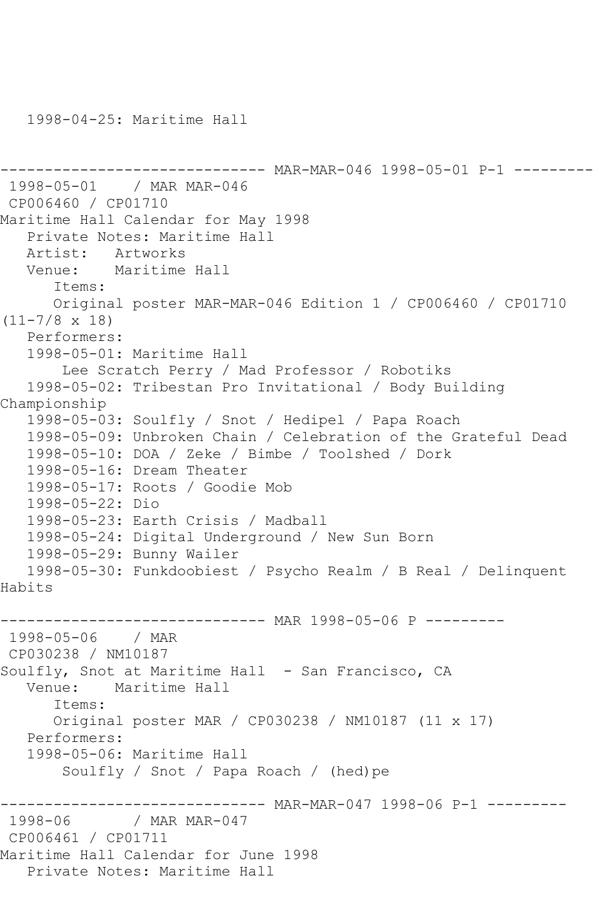------------------------------ MAR-MAR-046 1998-05-01 P-1 --------- 1998-05-01 / MAR MAR-046 CP006460 / CP01710 Maritime Hall Calendar for May 1998 Private Notes: Maritime Hall Artist: Artworks Venue: Maritime Hall Items: Original poster MAR-MAR-046 Edition 1 / CP006460 / CP01710 (11-7/8 x 18) Performers: 1998-05-01: Maritime Hall Lee Scratch Perry / Mad Professor / Robotiks 1998-05-02: Tribestan Pro Invitational / Body Building Championship 1998-05-03: Soulfly / Snot / Hedipel / Papa Roach 1998-05-09: Unbroken Chain / Celebration of the Grateful Dead 1998-05-10: DOA / Zeke / Bimbe / Toolshed / Dork 1998-05-16: Dream Theater 1998-05-17: Roots / Goodie Mob 1998-05-22: Dio 1998-05-23: Earth Crisis / Madball 1998-05-24: Digital Underground / New Sun Born 1998-05-29: Bunny Wailer 1998-05-30: Funkdoobiest / Psycho Realm / B Real / Delinquent Habits ------------------------------ MAR 1998-05-06 P --------- 1998-05-06 / MAR CP030238 / NM10187 Soulfly, Snot at Maritime Hall - San Francisco, CA Venue: Maritime Hall Items: Original poster MAR / CP030238 / NM10187 (11 x 17) Performers: 1998-05-06: Maritime Hall Soulfly / Snot / Papa Roach / (hed)pe ----------------------------- MAR-MAR-047 1998-06 P-1 ---------<br>1998-06 / MAR MAR-047 / MAR MAR-047 CP006461 / CP01711 Maritime Hall Calendar for June 1998 Private Notes: Maritime Hall

1998-04-25: Maritime Hall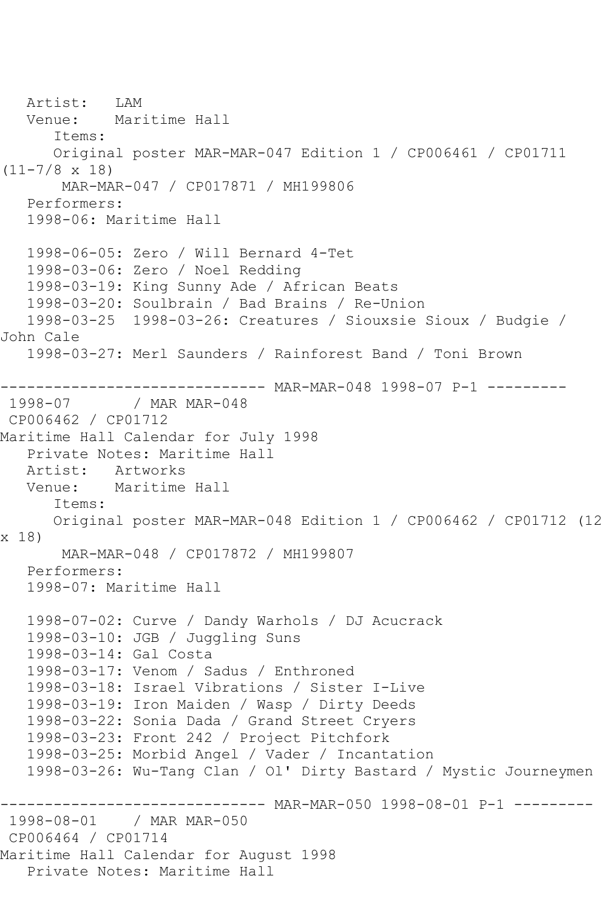```
 Artist: LAM
   Venue: Maritime Hall
       Items:
      Original poster MAR-MAR-047 Edition 1 / CP006461 / CP01711 
(11-7/8 x 18)
       MAR-MAR-047 / CP017871 / MH199806
   Performers:
   1998-06: Maritime Hall
   1998-06-05: Zero / Will Bernard 4-Tet
   1998-03-06: Zero / Noel Redding
   1998-03-19: King Sunny Ade / African Beats
   1998-03-20: Soulbrain / Bad Brains / Re-Union
   1998-03-25 1998-03-26: Creatures / Siouxsie Sioux / Budgie / 
John Cale
   1998-03-27: Merl Saunders / Rainforest Band / Toni Brown
------------------------------ MAR-MAR-048 1998-07 P-1 ---------
1998-07 / MAR MAR-048
CP006462 / CP01712
Maritime Hall Calendar for July 1998
   Private Notes: Maritime Hall
  Artist: Artworks<br>Venue: Maritime
          Maritime Hall
       Items:
      Original poster MAR-MAR-048 Edition 1 / CP006462 / CP01712 (12 
x 18)
       MAR-MAR-048 / CP017872 / MH199807
   Performers:
   1998-07: Maritime Hall
   1998-07-02: Curve / Dandy Warhols / DJ Acucrack
   1998-03-10: JGB / Juggling Suns
   1998-03-14: Gal Costa
   1998-03-17: Venom / Sadus / Enthroned
   1998-03-18: Israel Vibrations / Sister I-Live
   1998-03-19: Iron Maiden / Wasp / Dirty Deeds
   1998-03-22: Sonia Dada / Grand Street Cryers
   1998-03-23: Front 242 / Project Pitchfork
   1998-03-25: Morbid Angel / Vader / Incantation
   1998-03-26: Wu-Tang Clan / Ol' Dirty Bastard / Mystic Journeymen
------------------------------ MAR-MAR-050 1998-08-01 P-1 ---------
1998-08-01 / MAR MAR-050
CP006464 / CP01714
Maritime Hall Calendar for August 1998
   Private Notes: Maritime Hall
```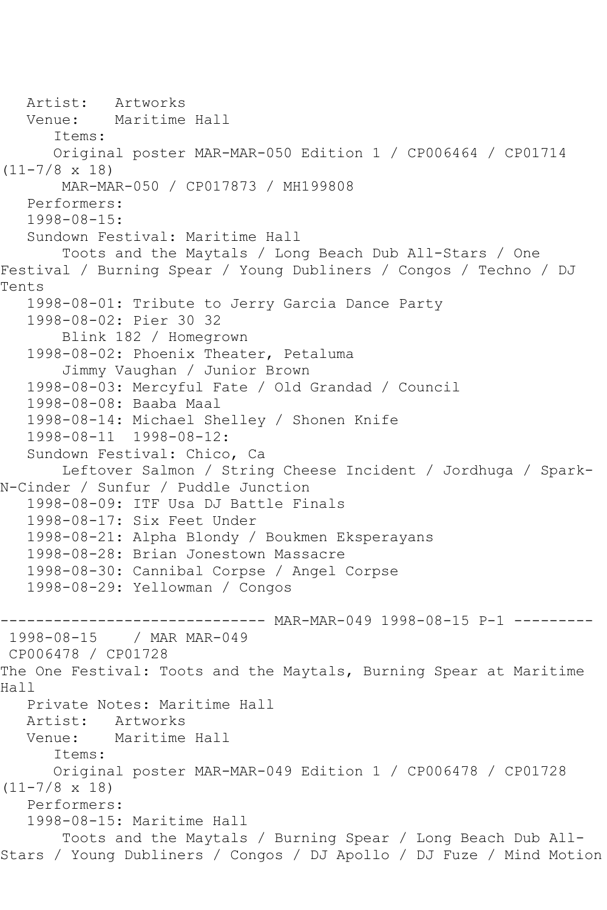```
 Artist: Artworks
   Venue: Maritime Hall
       Items:
      Original poster MAR-MAR-050 Edition 1 / CP006464 / CP01714 
(11-7/8 x 18)
        MAR-MAR-050 / CP017873 / MH199808
   Performers:
   1998-08-15:
   Sundown Festival: Maritime Hall
        Toots and the Maytals / Long Beach Dub All-Stars / One 
Festival / Burning Spear / Young Dubliners / Congos / Techno / DJ 
Tents
   1998-08-01: Tribute to Jerry Garcia Dance Party
   1998-08-02: Pier 30 32
        Blink 182 / Homegrown
   1998-08-02: Phoenix Theater, Petaluma
        Jimmy Vaughan / Junior Brown
   1998-08-03: Mercyful Fate / Old Grandad / Council
   1998-08-08: Baaba Maal
   1998-08-14: Michael Shelley / Shonen Knife
   1998-08-11 1998-08-12:
   Sundown Festival: Chico, Ca
        Leftover Salmon / String Cheese Incident / Jordhuga / Spark-
N-Cinder / Sunfur / Puddle Junction
   1998-08-09: ITF Usa DJ Battle Finals
   1998-08-17: Six Feet Under
   1998-08-21: Alpha Blondy / Boukmen Eksperayans
   1998-08-28: Brian Jonestown Massacre
   1998-08-30: Cannibal Corpse / Angel Corpse
   1998-08-29: Yellowman / Congos
------------------------------ MAR-MAR-049 1998-08-15 P-1 ---------
1998-08-15 / MAR MAR-049
CP006478 / CP01728
The One Festival: Toots and the Maytals, Burning Spear at Maritime 
Hall
   Private Notes: Maritime Hall
   Artist: Artworks
   Venue: Maritime Hall
       Items:
      Original poster MAR-MAR-049 Edition 1 / CP006478 / CP01728 
(11-7/8 \times 18) Performers:
   1998-08-15: Maritime Hall
        Toots and the Maytals / Burning Spear / Long Beach Dub All-
Stars / Young Dubliners / Congos / DJ Apollo / DJ Fuze / Mind Motion
```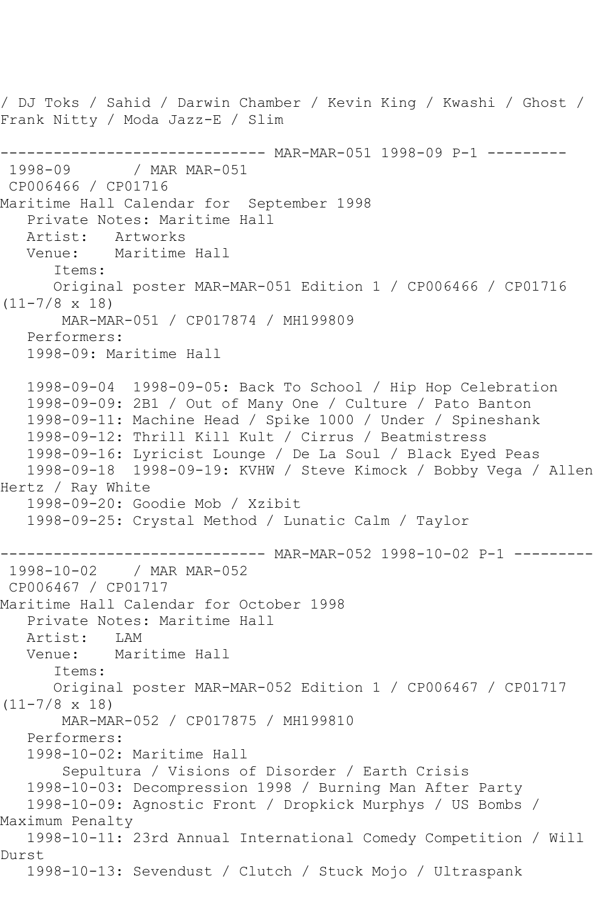/ DJ Toks / Sahid / Darwin Chamber / Kevin King / Kwashi / Ghost / Frank Nitty / Moda Jazz-E / Slim ----------------------------- MAR-MAR-051 1998-09 P-1 ---------<br>1998-09 / MAR MAR-051 / MAR MAR-051 CP006466 / CP01716 Maritime Hall Calendar for September 1998 Private Notes: Maritime Hall<br>Artist: Artworks Artist: Venue: Maritime Hall Items: Original poster MAR-MAR-051 Edition 1 / CP006466 / CP01716 (11-7/8 x 18) MAR-MAR-051 / CP017874 / MH199809 Performers: 1998-09: Maritime Hall 1998-09-04 1998-09-05: Back To School / Hip Hop Celebration 1998-09-09: 2B1 / Out of Many One / Culture / Pato Banton 1998-09-11: Machine Head / Spike 1000 / Under / Spineshank 1998-09-12: Thrill Kill Kult / Cirrus / Beatmistress 1998-09-16: Lyricist Lounge / De La Soul / Black Eyed Peas 1998-09-18 1998-09-19: KVHW / Steve Kimock / Bobby Vega / Allen Hertz / Ray White 1998-09-20: Goodie Mob / Xzibit 1998-09-25: Crystal Method / Lunatic Calm / Taylor ------------------------------ MAR-MAR-052 1998-10-02 P-1 --------- 1998-10-02 / MAR MAR-052 CP006467 / CP01717 Maritime Hall Calendar for October 1998 Private Notes: Maritime Hall<br>Artist: LAM Artist:<br>Venue: Maritime Hall Items: Original poster MAR-MAR-052 Edition 1 / CP006467 / CP01717  $(11-7/8 \times 18)$  MAR-MAR-052 / CP017875 / MH199810 Performers: 1998-10-02: Maritime Hall Sepultura / Visions of Disorder / Earth Crisis 1998-10-03: Decompression 1998 / Burning Man After Party 1998-10-09: Agnostic Front / Dropkick Murphys / US Bombs / Maximum Penalty 1998-10-11: 23rd Annual International Comedy Competition / Will Durst 1998-10-13: Sevendust / Clutch / Stuck Mojo / Ultraspank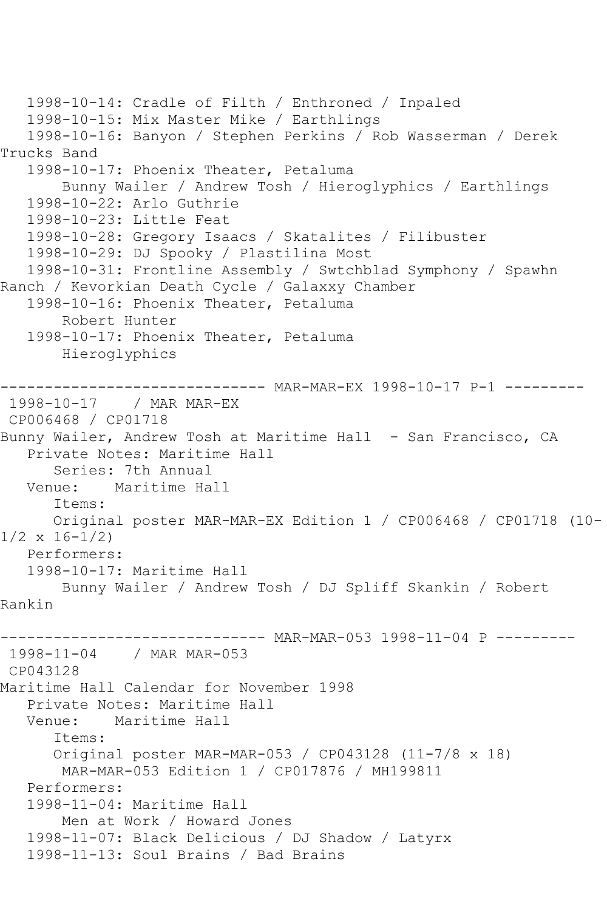```
 1998-10-14: Cradle of Filth / Enthroned / Inpaled
   1998-10-15: Mix Master Mike / Earthlings
   1998-10-16: Banyon / Stephen Perkins / Rob Wasserman / Derek 
Trucks Band
   1998-10-17: Phoenix Theater, Petaluma
        Bunny Wailer / Andrew Tosh / Hieroglyphics / Earthlings
   1998-10-22: Arlo Guthrie
   1998-10-23: Little Feat
   1998-10-28: Gregory Isaacs / Skatalites / Filibuster
   1998-10-29: DJ Spooky / Plastilina Most
   1998-10-31: Frontline Assembly / Swtchblad Symphony / Spawhn 
Ranch / Kevorkian Death Cycle / Galaxxy Chamber
   1998-10-16: Phoenix Theater, Petaluma
        Robert Hunter
   1998-10-17: Phoenix Theater, Petaluma
        Hieroglyphics
------------------------------ MAR-MAR-EX 1998-10-17 P-1 ---------
1998-10-17 / MAR MAR-EX
CP006468 / CP01718
Bunny Wailer, Andrew Tosh at Maritime Hall - San Francisco, CA
   Private Notes: Maritime Hall
  Series: 7th Annual<br>Venue: Maritime Ha
           Maritime Hall
       Items:
      Original poster MAR-MAR-EX Edition 1 / CP006468 / CP01718 (10-
1/2 x 16-1/2)
   Performers:
   1998-10-17: Maritime Hall
        Bunny Wailer / Andrew Tosh / DJ Spliff Skankin / Robert 
Rankin
------------------------------ MAR-MAR-053 1998-11-04 P ---------
1998-11-04 / MAR MAR-053
CP043128
Maritime Hall Calendar for November 1998
   Private Notes: Maritime Hall
   Venue: Maritime Hall
       Items:
       Original poster MAR-MAR-053 / CP043128 (11-7/8 x 18)
       MAR-MAR-053 Edition 1 / CP017876 / MH199811
   Performers:
   1998-11-04: Maritime Hall
        Men at Work / Howard Jones
   1998-11-07: Black Delicious / DJ Shadow / Latyrx
   1998-11-13: Soul Brains / Bad Brains
```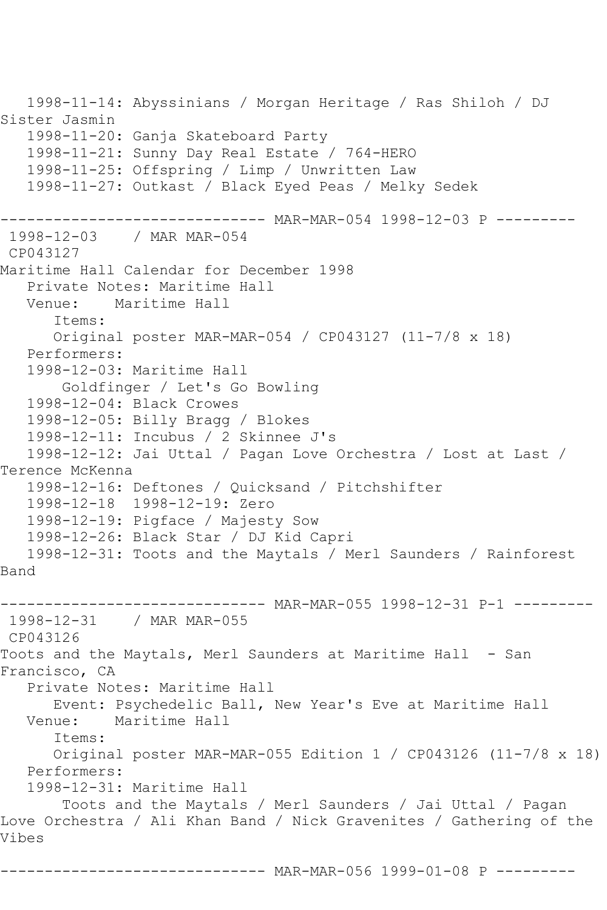1998-11-14: Abyssinians / Morgan Heritage / Ras Shiloh / DJ Sister Jasmin 1998-11-20: Ganja Skateboard Party 1998-11-21: Sunny Day Real Estate / 764-HERO 1998-11-25: Offspring / Limp / Unwritten Law 1998-11-27: Outkast / Black Eyed Peas / Melky Sedek ------------------------------ MAR-MAR-054 1998-12-03 P --------- 1998-12-03 / MAR MAR-054 CP043127 Maritime Hall Calendar for December 1998 Private Notes: Maritime Hall Venue: Maritime Hall Items: Original poster MAR-MAR-054 / CP043127 (11-7/8 x 18) Performers: 1998-12-03: Maritime Hall Goldfinger / Let's Go Bowling 1998-12-04: Black Crowes 1998-12-05: Billy Bragg / Blokes 1998-12-11: Incubus / 2 Skinnee J's 1998-12-12: Jai Uttal / Pagan Love Orchestra / Lost at Last / Terence McKenna 1998-12-16: Deftones / Quicksand / Pitchshifter 1998-12-18 1998-12-19: Zero 1998-12-19: Pigface / Majesty Sow 1998-12-26: Black Star / DJ Kid Capri 1998-12-31: Toots and the Maytals / Merl Saunders / Rainforest Band ------------------------------ MAR-MAR-055 1998-12-31 P-1 --------- 1998-12-31 / MAR MAR-055 CP043126 Toots and the Maytals, Merl Saunders at Maritime Hall - San Francisco, CA Private Notes: Maritime Hall Event: Psychedelic Ball, New Year's Eve at Maritime Hall Maritime Hall Items: Original poster MAR-MAR-055 Edition 1 / CP043126 (11-7/8 x 18) Performers: 1998-12-31: Maritime Hall Toots and the Maytals / Merl Saunders / Jai Uttal / Pagan Love Orchestra / Ali Khan Band / Nick Gravenites / Gathering of the Vibes

------------------------------ MAR-MAR-056 1999-01-08 P ---------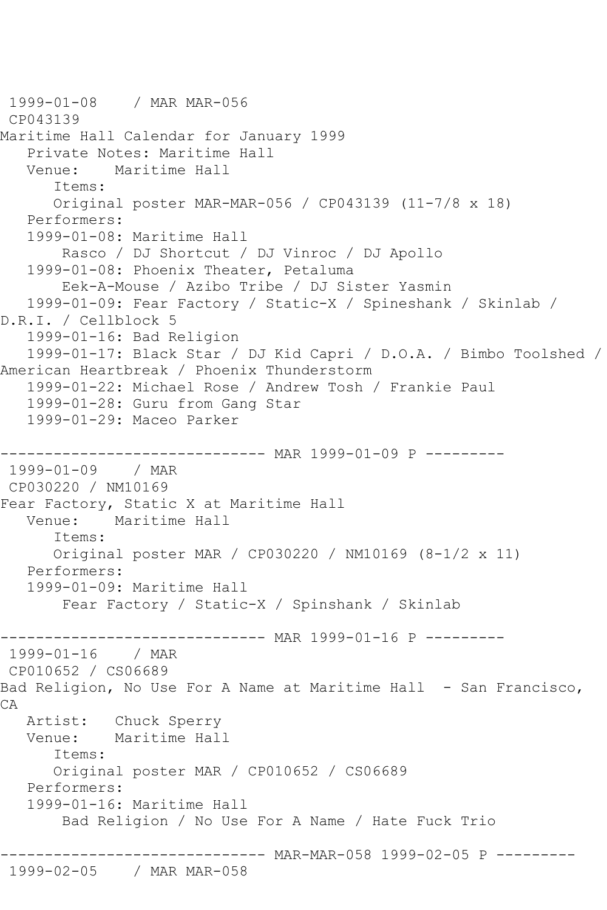```
1999-01-08 / MAR MAR-056
CP043139
Maritime Hall Calendar for January 1999
   Private Notes: Maritime Hall
           Maritime Hall
       Items:
       Original poster MAR-MAR-056 / CP043139 (11-7/8 x 18)
   Performers:
    1999-01-08: Maritime Hall
        Rasco / DJ Shortcut / DJ Vinroc / DJ Apollo
    1999-01-08: Phoenix Theater, Petaluma
        Eek-A-Mouse / Azibo Tribe / DJ Sister Yasmin
    1999-01-09: Fear Factory / Static-X / Spineshank / Skinlab / 
D.R.I. / Cellblock 5
    1999-01-16: Bad Religion
    1999-01-17: Black Star / DJ Kid Capri / D.O.A. / Bimbo Toolshed / 
American Heartbreak / Phoenix Thunderstorm
    1999-01-22: Michael Rose / Andrew Tosh / Frankie Paul
   1999-01-28: Guru from Gang Star
    1999-01-29: Maceo Parker
                   ------------------------------ MAR 1999-01-09 P ---------
1999-01-09 / MAR 
CP030220 / NM10169
Fear Factory, Static X at Maritime Hall
   Venue: Maritime Hall
       Items:
       Original poster MAR / CP030220 / NM10169 (8-1/2 x 11)
   Performers:
    1999-01-09: Maritime Hall
        Fear Factory / Static-X / Spinshank / Skinlab
------------------------------ MAR 1999-01-16 P ---------<br>1999-01-16   / MAR
1999 - 01 - 16CP010652 / CS06689
Bad Religion, No Use For A Name at Maritime Hall - San Francisco,
CA
   Artist: Chuck Sperry
   Venue: Maritime Hall
       Items:
       Original poster MAR / CP010652 / CS06689
   Performers:
    1999-01-16: Maritime Hall
        Bad Religion / No Use For A Name / Hate Fuck Trio
                ------------------------------ MAR-MAR-058 1999-02-05 P ---------
1999-02-05 / MAR MAR-058
```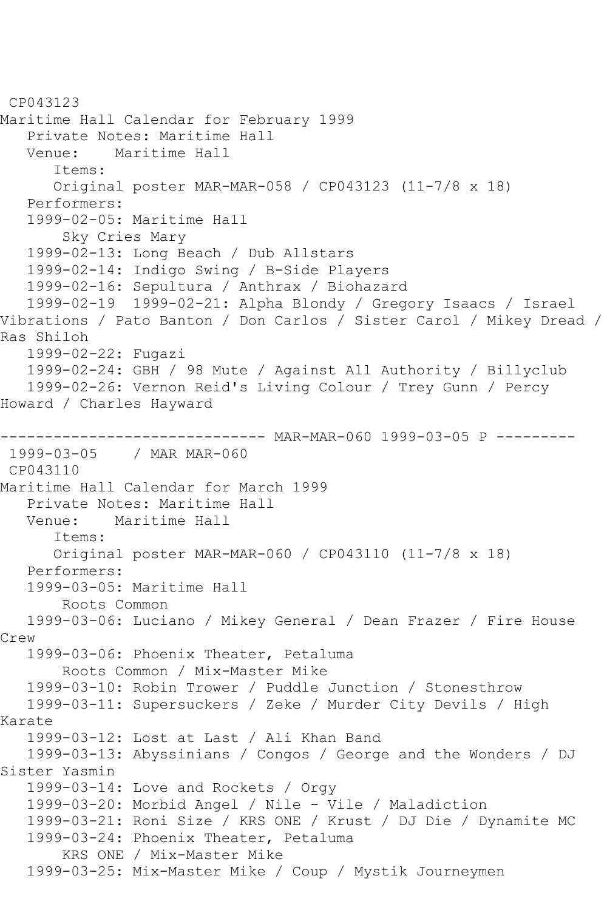```
CP043123
Maritime Hall Calendar for February 1999
   Private Notes: Maritime Hall
   Venue: Maritime Hall
       Items:
       Original poster MAR-MAR-058 / CP043123 (11-7/8 x 18)
   Performers:
   1999-02-05: Maritime Hall
        Sky Cries Mary
   1999-02-13: Long Beach / Dub Allstars
   1999-02-14: Indigo Swing / B-Side Players
   1999-02-16: Sepultura / Anthrax / Biohazard
   1999-02-19 1999-02-21: Alpha Blondy / Gregory Isaacs / Israel 
Vibrations / Pato Banton / Don Carlos / Sister Carol / Mikey Dread / 
Ras Shiloh
   1999-02-22: Fugazi
   1999-02-24: GBH / 98 Mute / Against All Authority / Billyclub
   1999-02-26: Vernon Reid's Living Colour / Trey Gunn / Percy 
Howard / Charles Hayward
------------------------------ MAR-MAR-060 1999-03-05 P ---------
1999-03-05 / MAR MAR-060
CP043110
Maritime Hall Calendar for March 1999
   Private Notes: Maritime Hall
   Venue: Maritime Hall
       Items:
      Original poster MAR-MAR-060 / CP043110 (11-7/8 x 18)
   Performers:
   1999-03-05: Maritime Hall
        Roots Common
   1999-03-06: Luciano / Mikey General / Dean Frazer / Fire House 
Crew
   1999-03-06: Phoenix Theater, Petaluma
        Roots Common / Mix-Master Mike
   1999-03-10: Robin Trower / Puddle Junction / Stonesthrow
   1999-03-11: Supersuckers / Zeke / Murder City Devils / High 
Karate
   1999-03-12: Lost at Last / Ali Khan Band
   1999-03-13: Abyssinians / Congos / George and the Wonders / DJ 
Sister Yasmin
   1999-03-14: Love and Rockets / Orgy
   1999-03-20: Morbid Angel / Nile - Vile / Maladiction
   1999-03-21: Roni Size / KRS ONE / Krust / DJ Die / Dynamite MC
   1999-03-24: Phoenix Theater, Petaluma
        KRS ONE / Mix-Master Mike
   1999-03-25: Mix-Master Mike / Coup / Mystik Journeymen
```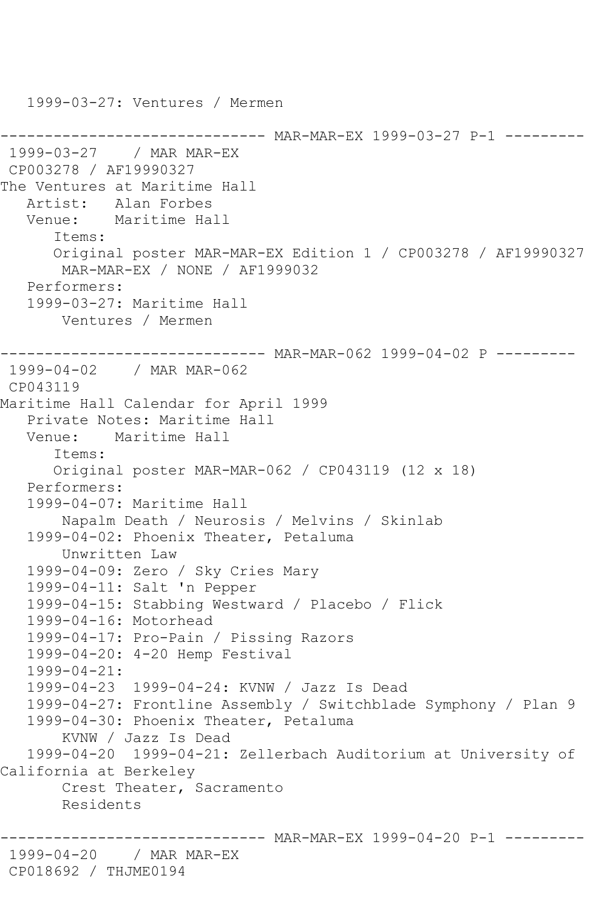-------- MAR-MAR-EX 1999-03-27 P-1 ---------1999-03-27 / MAR MAR-EX CP003278 / AF19990327 The Ventures at Maritime Hall Artist: Alan Forbes Venue: Maritime Hall Items: Original poster MAR-MAR-EX Edition 1 / CP003278 / AF19990327 MAR-MAR-EX / NONE / AF1999032 Performers: 1999-03-27: Maritime Hall Ventures / Mermen ------------------------------ MAR-MAR-062 1999-04-02 P --------- 1999-04-02 / MAR MAR-062 CP043119 Maritime Hall Calendar for April 1999 Private Notes: Maritime Hall Venue: Maritime Hall Items: Original poster MAR-MAR-062 / CP043119 (12 x 18) Performers: 1999-04-07: Maritime Hall Napalm Death / Neurosis / Melvins / Skinlab 1999-04-02: Phoenix Theater, Petaluma Unwritten Law 1999-04-09: Zero / Sky Cries Mary 1999-04-11: Salt 'n Pepper 1999-04-15: Stabbing Westward / Placebo / Flick 1999-04-16: Motorhead 1999-04-17: Pro-Pain / Pissing Razors 1999-04-20: 4-20 Hemp Festival 1999-04-21: 1999-04-23 1999-04-24: KVNW / Jazz Is Dead 1999-04-27: Frontline Assembly / Switchblade Symphony / Plan 9 1999-04-30: Phoenix Theater, Petaluma KVNW / Jazz Is Dead 1999-04-20 1999-04-21: Zellerbach Auditorium at University of California at Berkeley Crest Theater, Sacramento Residents ------------------------------ MAR-MAR-EX 1999-04-20 P-1 --------- 1999-04-20 / MAR MAR-EX CP018692 / THJME0194

1999-03-27: Ventures / Mermen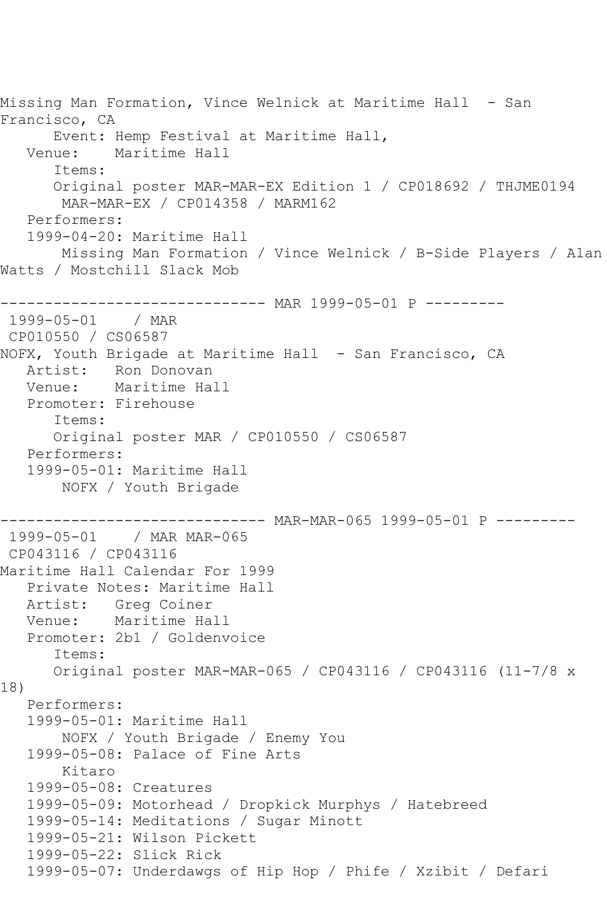Missing Man Formation, Vince Welnick at Maritime Hall - San Francisco, CA Event: Hemp Festival at Maritime Hall, Venue: Maritime Hall Items: Original poster MAR-MAR-EX Edition 1 / CP018692 / THJME0194 MAR-MAR-EX / CP014358 / MARM162 Performers: 1999-04-20: Maritime Hall Missing Man Formation / Vince Welnick / B-Side Players / Alan Watts / Mostchill Slack Mob ------------------------------ MAR 1999-05-01 P --------- 1999-05-01 / MAR CP010550 / CS06587 NOFX, Youth Brigade at Maritime Hall - San Francisco, CA Artist: Ron Donovan<br>Venue: Maritime Ha Maritime Hall Promoter: Firehouse Items: Original poster MAR / CP010550 / CS06587 Performers: 1999-05-01: Maritime Hall NOFX / Youth Brigade ------------------------------ MAR-MAR-065 1999-05-01 P --------- 1999-05-01 / MAR MAR-065 CP043116 / CP043116 Maritime Hall Calendar For 1999 Private Notes: Maritime Hall Artist: Greg Coiner Venue: Maritime Hall Promoter: 2b1 / Goldenvoice Items: Original poster MAR-MAR-065 / CP043116 / CP043116 (11-7/8 x 18) Performers: 1999-05-01: Maritime Hall NOFX / Youth Brigade / Enemy You 1999-05-08: Palace of Fine Arts Kitaro 1999-05-08: Creatures 1999-05-09: Motorhead / Dropkick Murphys / Hatebreed 1999-05-14: Meditations / Sugar Minott 1999-05-21: Wilson Pickett 1999-05-22: Slick Rick 1999-05-07: Underdawgs of Hip Hop / Phife / Xzibit / Defari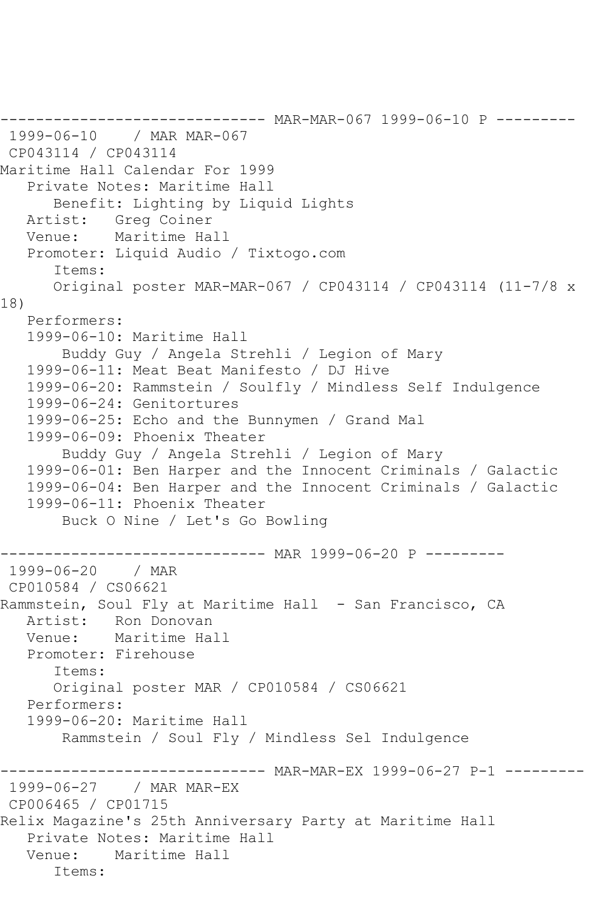------------------------------ MAR-MAR-067 1999-06-10 P --------- 1999-06-10 / MAR MAR-067 CP043114 / CP043114 Maritime Hall Calendar For 1999 Private Notes: Maritime Hall Benefit: Lighting by Liquid Lights Artist: Greg Coiner Venue: Maritime Hall Promoter: Liquid Audio / Tixtogo.com Items: Original poster MAR-MAR-067 / CP043114 / CP043114 (11-7/8 x 18) Performers: 1999-06-10: Maritime Hall Buddy Guy / Angela Strehli / Legion of Mary 1999-06-11: Meat Beat Manifesto / DJ Hive 1999-06-20: Rammstein / Soulfly / Mindless Self Indulgence 1999-06-24: Genitortures 1999-06-25: Echo and the Bunnymen / Grand Mal 1999-06-09: Phoenix Theater Buddy Guy / Angela Strehli / Legion of Mary 1999-06-01: Ben Harper and the Innocent Criminals / Galactic 1999-06-04: Ben Harper and the Innocent Criminals / Galactic 1999-06-11: Phoenix Theater Buck O Nine / Let's Go Bowling ------------------------------ MAR 1999-06-20 P --------- 1999-06-20 / MAR CP010584 / CS06621 Rammstein, Soul Fly at Maritime Hall - San Francisco, CA Artist: Ron Donovan<br>Venue: Maritime Ha Maritime Hall Promoter: Firehouse Items: Original poster MAR / CP010584 / CS06621 Performers: 1999-06-20: Maritime Hall Rammstein / Soul Fly / Mindless Sel Indulgence ------------ MAR-MAR-EX 1999-06-27 P-1 --------1999-06-27 / MAR MAR-EX CP006465 / CP01715 Relix Magazine's 25th Anniversary Party at Maritime Hall Private Notes: Maritime Hall Venue: Maritime Hall Items: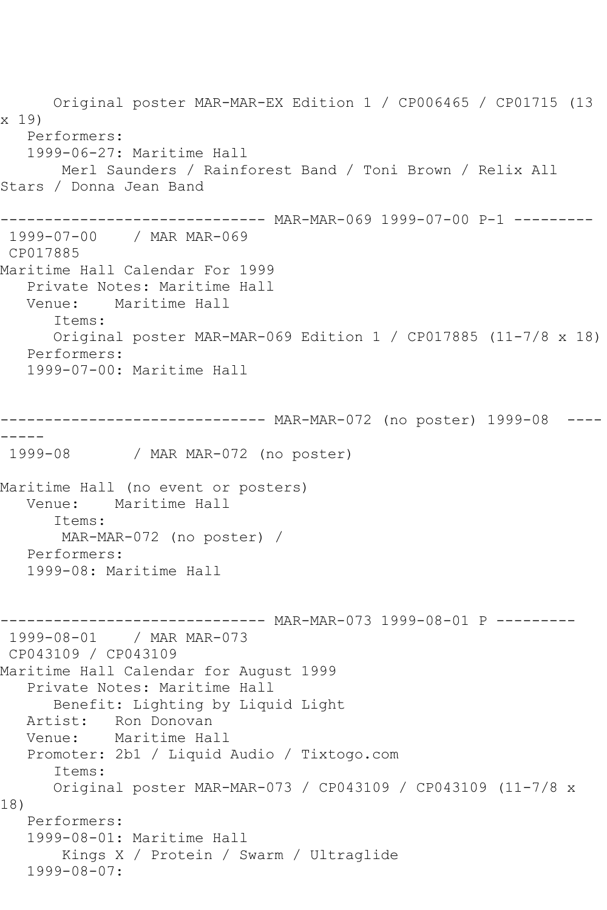Original poster MAR-MAR-EX Edition 1 / CP006465 / CP01715 (13 x 19) Performers: 1999-06-27: Maritime Hall Merl Saunders / Rainforest Band / Toni Brown / Relix All Stars / Donna Jean Band ------------------------------ MAR-MAR-069 1999-07-00 P-1 --------- 1999-07-00 / MAR MAR-069 CP017885 Maritime Hall Calendar For 1999 Private Notes: Maritime Hall Venue: Maritime Hall Items: Original poster MAR-MAR-069 Edition 1 / CP017885 (11-7/8 x 18) Performers: 1999-07-00: Maritime Hall ------------------------------ MAR-MAR-072 (no poster) 1999-08 ---- ----- 1999-08 / MAR MAR-072 (no poster) Maritime Hall (no event or posters) Venue: Maritime Hall Items: MAR-MAR-072 (no poster) / Performers: 1999-08: Maritime Hall ------------------------------ MAR-MAR-073 1999-08-01 P --------- 1999-08-01 / MAR MAR-073 CP043109 / CP043109 Maritime Hall Calendar for August 1999 Private Notes: Maritime Hall Benefit: Lighting by Liquid Light Artist: Ron Donovan Venue: Maritime Hall Promoter: 2b1 / Liquid Audio / Tixtogo.com Items: Original poster MAR-MAR-073 / CP043109 / CP043109 (11-7/8 x 18) Performers: 1999-08-01: Maritime Hall Kings X / Protein / Swarm / Ultraglide 1999-08-07: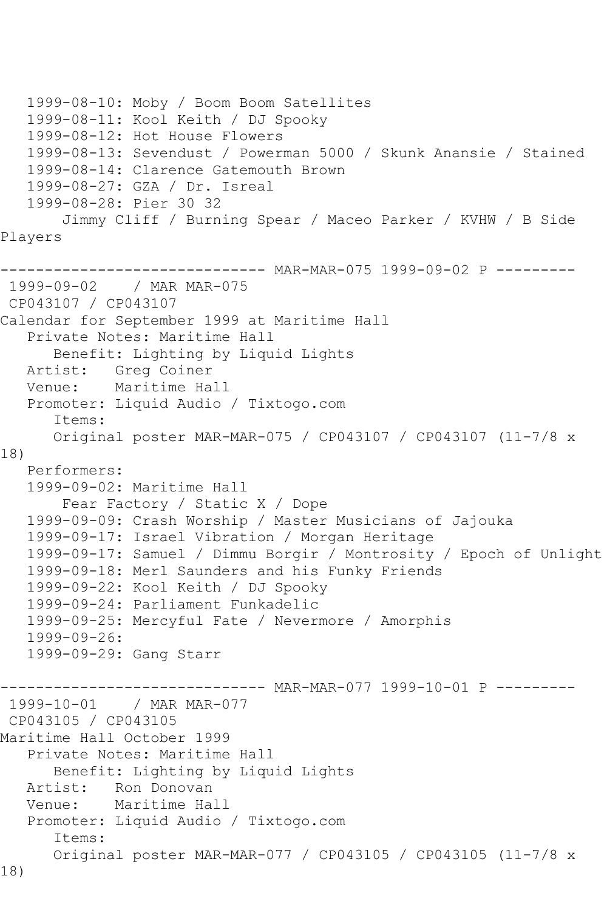```
 1999-08-10: Moby / Boom Boom Satellites
   1999-08-11: Kool Keith / DJ Spooky
    1999-08-12: Hot House Flowers
   1999-08-13: Sevendust / Powerman 5000 / Skunk Anansie / Stained
    1999-08-14: Clarence Gatemouth Brown
    1999-08-27: GZA / Dr. Isreal
    1999-08-28: Pier 30 32
        Jimmy Cliff / Burning Spear / Maceo Parker / KVHW / B Side 
Players
------------------------------ MAR-MAR-075 1999-09-02 P ---------
1999-09-02 / MAR MAR-075
CP043107 / CP043107
Calendar for September 1999 at Maritime Hall
    Private Notes: Maritime Hall
       Benefit: Lighting by Liquid Lights
  Artist: Greg Coiner<br>Venue: Maritime Ha
            Maritime Hall
   Promoter: Liquid Audio / Tixtogo.com
       Items:
       Original poster MAR-MAR-075 / CP043107 / CP043107 (11-7/8 x 
18)
   Performers:
    1999-09-02: Maritime Hall
        Fear Factory / Static X / Dope
   1999-09-09: Crash Worship / Master Musicians of Jajouka
    1999-09-17: Israel Vibration / Morgan Heritage
    1999-09-17: Samuel / Dimmu Borgir / Montrosity / Epoch of Unlight
    1999-09-18: Merl Saunders and his Funky Friends
    1999-09-22: Kool Keith / DJ Spooky
   1999-09-24: Parliament Funkadelic
    1999-09-25: Mercyful Fate / Nevermore / Amorphis
    1999-09-26:
    1999-09-29: Gang Starr
------------------------------ MAR-MAR-077 1999-10-01 P ---------
1999-10-01 / MAR MAR-077
CP043105 / CP043105
Maritime Hall October 1999
    Private Notes: Maritime Hall
       Benefit: Lighting by Liquid Lights
  Artist: Ron Donovan<br>Venue: Maritime Hal
            Maritime Hall
    Promoter: Liquid Audio / Tixtogo.com
       Items:
       Original poster MAR-MAR-077 / CP043105 / CP043105 (11-7/8 x 
18)
```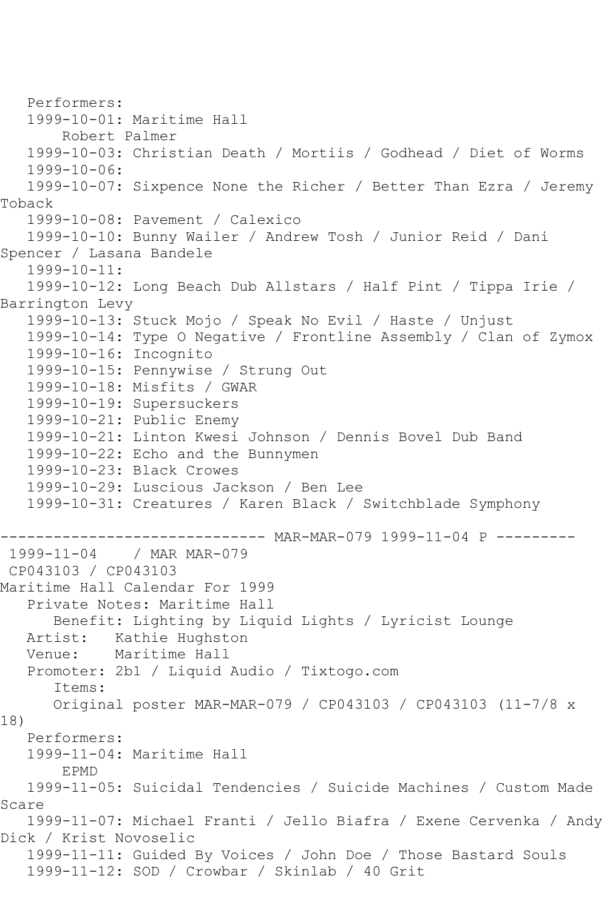Performers: 1999-10-01: Maritime Hall Robert Palmer 1999-10-03: Christian Death / Mortiis / Godhead / Diet of Worms 1999-10-06: 1999-10-07: Sixpence None the Richer / Better Than Ezra / Jeremy Toback 1999-10-08: Pavement / Calexico 1999-10-10: Bunny Wailer / Andrew Tosh / Junior Reid / Dani Spencer / Lasana Bandele 1999-10-11: 1999-10-12: Long Beach Dub Allstars / Half Pint / Tippa Irie / Barrington Levy 1999-10-13: Stuck Mojo / Speak No Evil / Haste / Unjust 1999-10-14: Type O Negative / Frontline Assembly / Clan of Zymox 1999-10-16: Incognito 1999-10-15: Pennywise / Strung Out 1999-10-18: Misfits / GWAR 1999-10-19: Supersuckers 1999-10-21: Public Enemy 1999-10-21: Linton Kwesi Johnson / Dennis Bovel Dub Band 1999-10-22: Echo and the Bunnymen 1999-10-23: Black Crowes 1999-10-29: Luscious Jackson / Ben Lee 1999-10-31: Creatures / Karen Black / Switchblade Symphony ------------------------------ MAR-MAR-079 1999-11-04 P ---------<br>1999-11-04 / MAR MAR-079 / MAR MAR-079 CP043103 / CP043103 Maritime Hall Calendar For 1999 Private Notes: Maritime Hall Benefit: Lighting by Liquid Lights / Lyricist Lounge Artist: Kathie Hughston<br>Venue: Maritime Hall Maritime Hall Promoter: 2b1 / Liquid Audio / Tixtogo.com Items: Original poster MAR-MAR-079 / CP043103 / CP043103 (11-7/8 x 18) Performers: 1999-11-04: Maritime Hall EPMD 1999-11-05: Suicidal Tendencies / Suicide Machines / Custom Made Scare 1999-11-07: Michael Franti / Jello Biafra / Exene Cervenka / Andy Dick / Krist Novoselic 1999-11-11: Guided By Voices / John Doe / Those Bastard Souls 1999-11-12: SOD / Crowbar / Skinlab / 40 Grit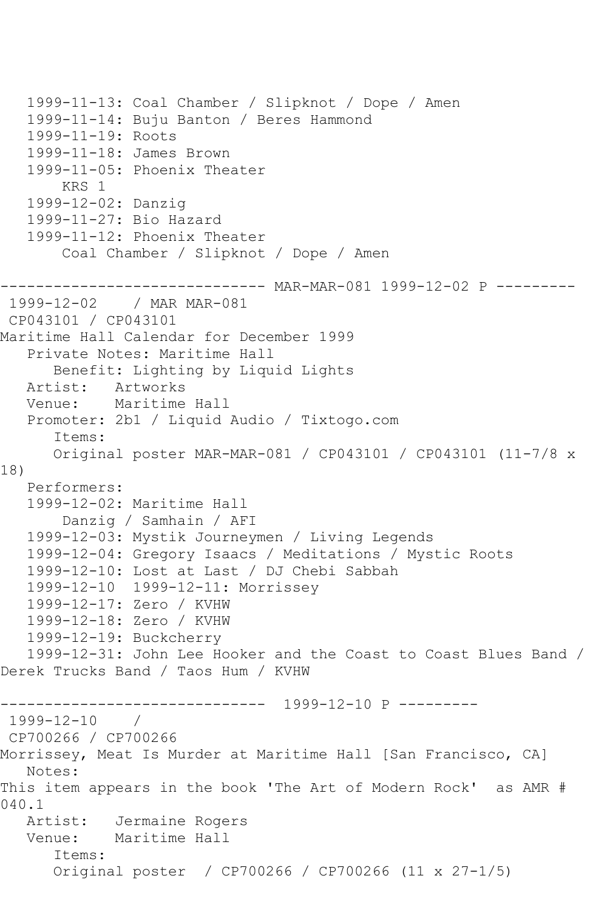```
 1999-11-13: Coal Chamber / Slipknot / Dope / Amen
    1999-11-14: Buju Banton / Beres Hammond
    1999-11-19: Roots
    1999-11-18: James Brown
    1999-11-05: Phoenix Theater
        KRS 1
   1999-12-02: Danzig
    1999-11-27: Bio Hazard
    1999-11-12: Phoenix Theater
        Coal Chamber / Slipknot / Dope / Amen
                   ------------------------------ MAR-MAR-081 1999-12-02 P ---------
1999-12-02 / MAR MAR-081
CP043101 / CP043101
Maritime Hall Calendar for December 1999
    Private Notes: Maritime Hall
       Benefit: Lighting by Liquid Lights
  Artist: Artworks<br>Venue: Maritime
           Maritime Hall
   Promoter: 2b1 / Liquid Audio / Tixtogo.com
       Items:
       Original poster MAR-MAR-081 / CP043101 / CP043101 (11-7/8 x 
18)
   Performers:
    1999-12-02: Maritime Hall
        Danzig / Samhain / AFI
    1999-12-03: Mystik Journeymen / Living Legends
    1999-12-04: Gregory Isaacs / Meditations / Mystic Roots
    1999-12-10: Lost at Last / DJ Chebi Sabbah
    1999-12-10 1999-12-11: Morrissey
   1999-12-17: Zero / KVHW
   1999-12-18: Zero / KVHW
    1999-12-19: Buckcherry
    1999-12-31: John Lee Hooker and the Coast to Coast Blues Band / 
Derek Trucks Band / Taos Hum / KVHW
                ------------------------------ 1999-12-10 P ---------
1999-12-10 / 
CP700266 / CP700266
Morrissey, Meat Is Murder at Maritime Hall [San Francisco, CA]
   Notes: 
This item appears in the book 'The Art of Modern Rock' as AMR # 
040.1<br>: Artist:
            Jermaine Rogers
   Venue: Maritime Hall
       Items:
       Original poster / CP700266 / CP700266 (11 x 27-1/5)
```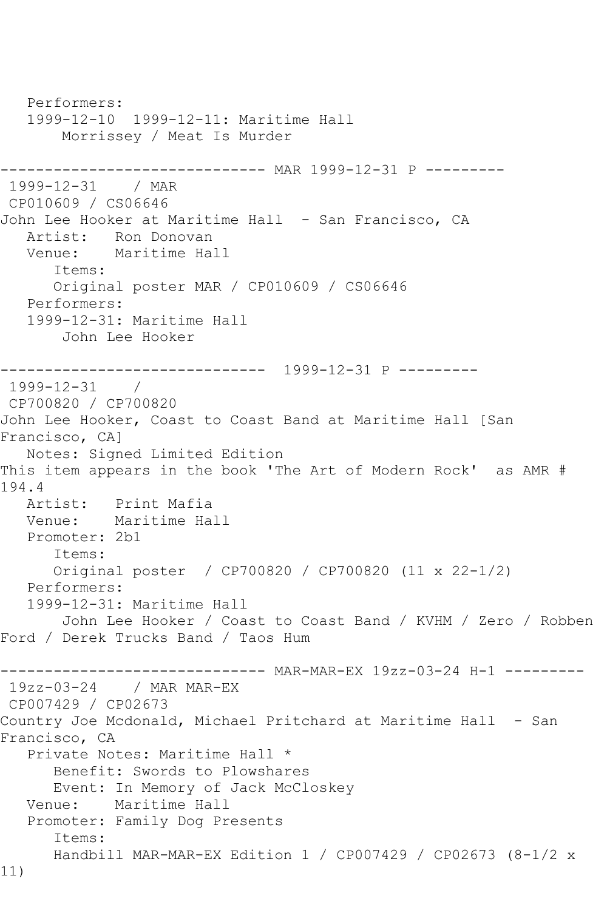Performers: 1999-12-10 1999-12-11: Maritime Hall Morrissey / Meat Is Murder ------------------------------ MAR 1999-12-31 P --------- 1999-12-31 / MAR CP010609 / CS06646 John Lee Hooker at Maritime Hall - San Francisco, CA Artist: Ron Donovan Venue: Maritime Hall Items: Original poster MAR / CP010609 / CS06646 Performers: 1999-12-31: Maritime Hall John Lee Hooker ------------------------------ 1999-12-31 P --------- 1999-12-31 / CP700820 / CP700820 John Lee Hooker, Coast to Coast Band at Maritime Hall [San Francisco, CA] Notes: Signed Limited Edition This item appears in the book 'The Art of Modern Rock' as AMR # 194.4 Artist: Print Mafia<br>Venue: Maritime Ha Maritime Hall Promoter: 2b1 Items: Original poster / CP700820 / CP700820 (11 x 22-1/2) Performers: 1999-12-31: Maritime Hall John Lee Hooker / Coast to Coast Band / KVHM / Zero / Robben Ford / Derek Trucks Band / Taos Hum ------------------------------ MAR-MAR-EX 19zz-03-24 H-1 --------- 19zz-03-24 / MAR MAR-EX CP007429 / CP02673 Country Joe Mcdonald, Michael Pritchard at Maritime Hall - San Francisco, CA Private Notes: Maritime Hall \* Benefit: Swords to Plowshares Event: In Memory of Jack McCloskey Venue: Maritime Hall Promoter: Family Dog Presents Items: Handbill MAR-MAR-EX Edition 1 / CP007429 / CP02673 (8-1/2 x 11)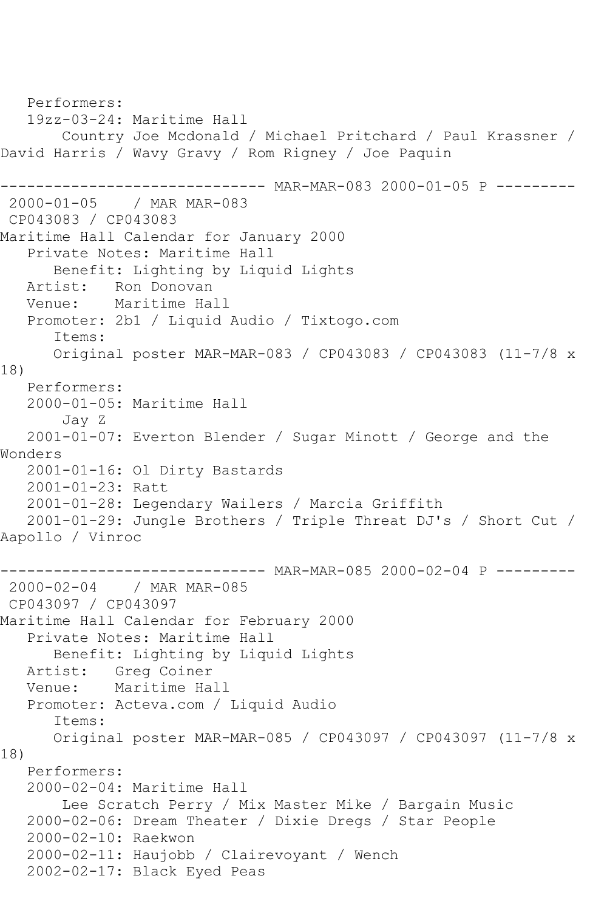Performers: 19zz-03-24: Maritime Hall Country Joe Mcdonald / Michael Pritchard / Paul Krassner / David Harris / Wavy Gravy / Rom Rigney / Joe Paquin ------------------------------ MAR-MAR-083 2000-01-05 P --------- 2000-01-05 / MAR MAR-083 CP043083 / CP043083 Maritime Hall Calendar for January 2000 Private Notes: Maritime Hall Benefit: Lighting by Liquid Lights<br>Artist: Ron Donovan Artist: Ron Donovan<br>Venue: Maritime Ha Maritime Hall Promoter: 2b1 / Liquid Audio / Tixtogo.com Items: Original poster MAR-MAR-083 / CP043083 / CP043083 (11-7/8 x 18) Performers: 2000-01-05: Maritime Hall Jay Z 2001-01-07: Everton Blender / Sugar Minott / George and the Wonders 2001-01-16: Ol Dirty Bastards 2001-01-23: Ratt 2001-01-28: Legendary Wailers / Marcia Griffith 2001-01-29: Jungle Brothers / Triple Threat DJ's / Short Cut / Aapollo / Vinroc ------------------------------ MAR-MAR-085 2000-02-04 P --------- 2000-02-04 / MAR MAR-085 CP043097 / CP043097 Maritime Hall Calendar for February 2000 Private Notes: Maritime Hall Benefit: Lighting by Liquid Lights Artist: Greg Coiner Venue: Maritime Hall Promoter: Acteva.com / Liquid Audio Items: Original poster MAR-MAR-085 / CP043097 / CP043097 (11-7/8 x 18) Performers: 2000-02-04: Maritime Hall Lee Scratch Perry / Mix Master Mike / Bargain Music 2000-02-06: Dream Theater / Dixie Dregs / Star People 2000-02-10: Raekwon 2000-02-11: Haujobb / Clairevoyant / Wench 2002-02-17: Black Eyed Peas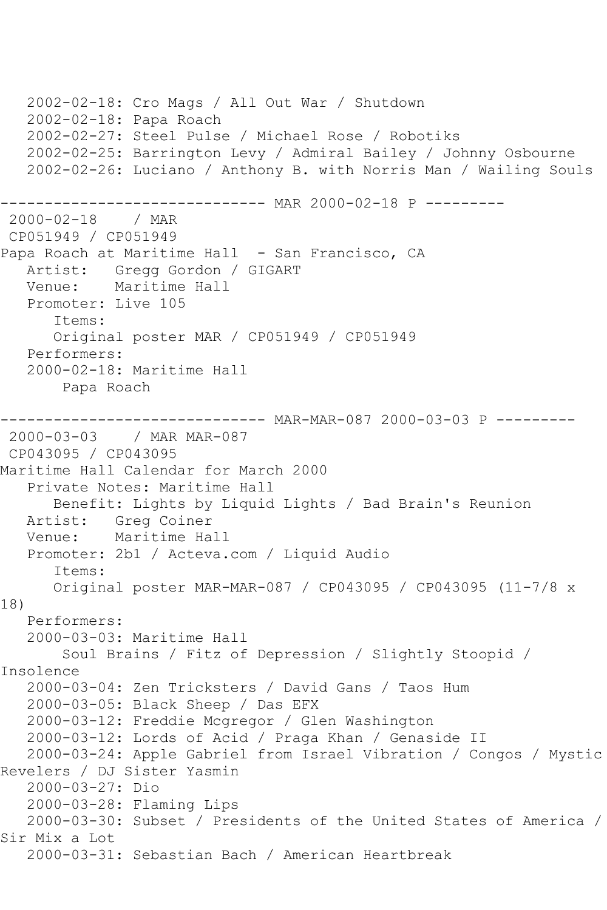```
 2002-02-18: Cro Mags / All Out War / Shutdown
    2002-02-18: Papa Roach
    2002-02-27: Steel Pulse / Michael Rose / Robotiks
    2002-02-25: Barrington Levy / Admiral Bailey / Johnny Osbourne
    2002-02-26: Luciano / Anthony B. with Norris Man / Wailing Souls
             -------------------- MAR 2000-02-18 P ----------<br>/ MAR
2000 - 02 - 18CP051949 / CP051949
Papa Roach at Maritime Hall - San Francisco, CA
  Artist: Gregg Gordon / GIGART<br>Venue: Maritime Hall
           Maritime Hall
    Promoter: Live 105
       Items:
       Original poster MAR / CP051949 / CP051949
    Performers:
    2000-02-18: Maritime Hall
        Papa Roach
------------------------------ MAR-MAR-087 2000-03-03 P ---------
2000-03-03 / MAR MAR-087
CP043095 / CP043095
Maritime Hall Calendar for March 2000
    Private Notes: Maritime Hall
       Benefit: Lights by Liquid Lights / Bad Brain's Reunion
   Artist: Greg Coiner
   Venue: Maritime Hall
    Promoter: 2b1 / Acteva.com / Liquid Audio
       Items:
       Original poster MAR-MAR-087 / CP043095 / CP043095 (11-7/8 x 
18)
   Performers:
    2000-03-03: Maritime Hall
        Soul Brains / Fitz of Depression / Slightly Stoopid / 
Insolence
    2000-03-04: Zen Tricksters / David Gans / Taos Hum
    2000-03-05: Black Sheep / Das EFX
   2000-03-12: Freddie Mcgregor / Glen Washington
    2000-03-12: Lords of Acid / Praga Khan / Genaside II
    2000-03-24: Apple Gabriel from Israel Vibration / Congos / Mystic 
Revelers / DJ Sister Yasmin
    2000-03-27: Dio
    2000-03-28: Flaming Lips
    2000-03-30: Subset / Presidents of the United States of America / 
Sir Mix a Lot
   2000-03-31: Sebastian Bach / American Heartbreak
```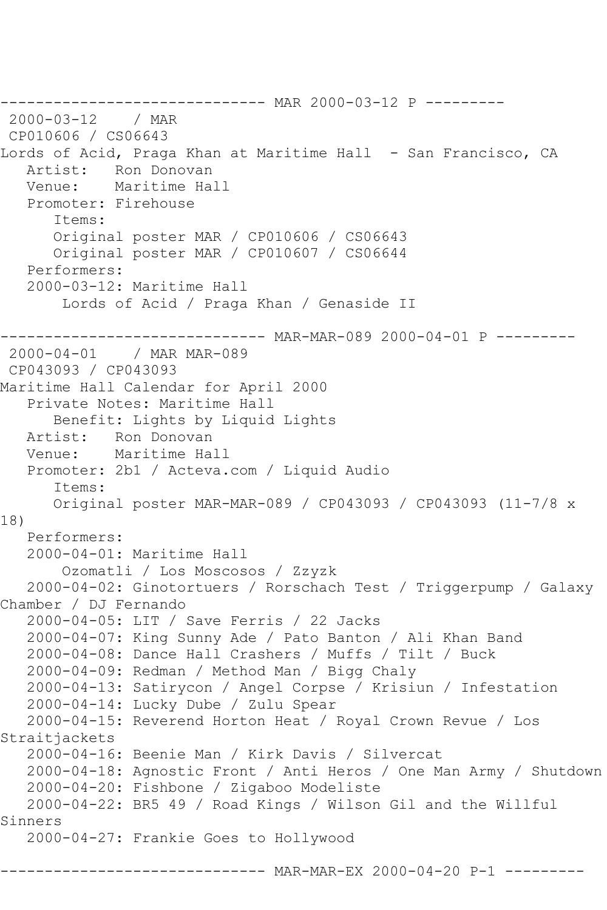```
------------------------------ MAR 2000-03-12 P ---------<br>2000-03-12   / MAR
2000 - 03 - 12CP010606 / CS06643
Lords of Acid, Praga Khan at Maritime Hall - San Francisco, CA
    Artist: Ron Donovan
   Venue: Maritime Hall
    Promoter: Firehouse
       Items:
       Original poster MAR / CP010606 / CS06643
       Original poster MAR / CP010607 / CS06644
    Performers:
    2000-03-12: Maritime Hall
        Lords of Acid / Praga Khan / Genaside II
      ------------------------------ MAR-MAR-089 2000-04-01 P ---------
2000-04-01 / MAR MAR-089
CP043093 / CP043093
Maritime Hall Calendar for April 2000
    Private Notes: Maritime Hall
       Benefit: Lights by Liquid Lights
   Artist: Ron Donovan
   Venue: Maritime Hall
   Promoter: 2b1 / Acteva.com / Liquid Audio
       Items:
       Original poster MAR-MAR-089 / CP043093 / CP043093 (11-7/8 x 
18)
   Performers:
    2000-04-01: Maritime Hall
        Ozomatli / Los Moscosos / Zzyzk
    2000-04-02: Ginotortuers / Rorschach Test / Triggerpump / Galaxy 
Chamber / DJ Fernando
    2000-04-05: LIT / Save Ferris / 22 Jacks
    2000-04-07: King Sunny Ade / Pato Banton / Ali Khan Band
    2000-04-08: Dance Hall Crashers / Muffs / Tilt / Buck
    2000-04-09: Redman / Method Man / Bigg Chaly
    2000-04-13: Satirycon / Angel Corpse / Krisiun / Infestation
    2000-04-14: Lucky Dube / Zulu Spear
    2000-04-15: Reverend Horton Heat / Royal Crown Revue / Los 
Straitjackets
    2000-04-16: Beenie Man / Kirk Davis / Silvercat
    2000-04-18: Agnostic Front / Anti Heros / One Man Army / Shutdown
    2000-04-20: Fishbone / Zigaboo Modeliste
    2000-04-22: BR5 49 / Road Kings / Wilson Gil and the Willful 
Sinners
   2000-04-27: Frankie Goes to Hollywood
                        ------- MAR-MAR-EX 2000-04-20 P-1 ---------
```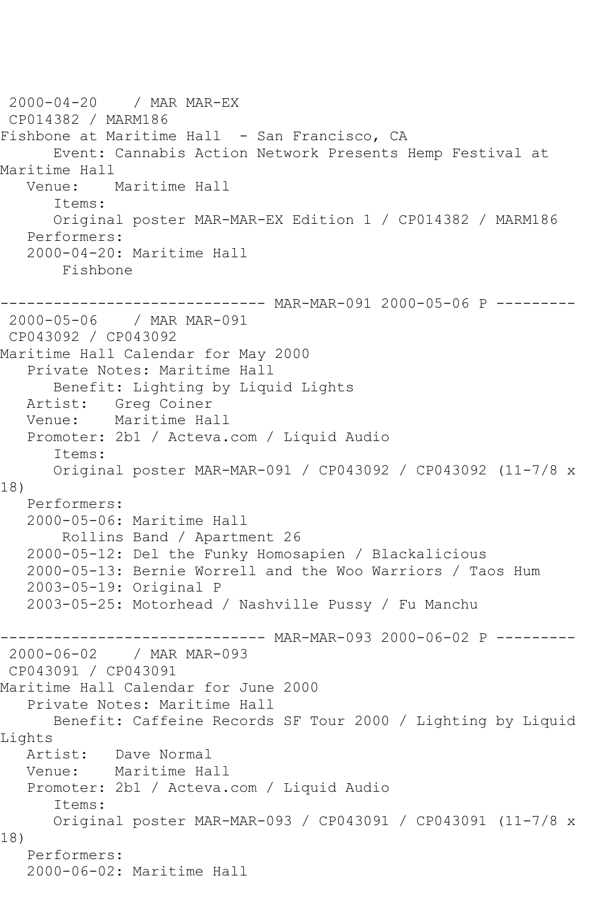```
2000-04-20 / MAR MAR-EX
CP014382 / MARM186
Fishbone at Maritime Hall - San Francisco, CA
       Event: Cannabis Action Network Presents Hemp Festival at 
Maritime Hall
   Venue: Maritime Hall
       Items:
       Original poster MAR-MAR-EX Edition 1 / CP014382 / MARM186
   Performers:
    2000-04-20: Maritime Hall
        Fishbone
------------------------------ MAR-MAR-091 2000-05-06 P ---------
2000-05-06 / MAR MAR-091
CP043092 / CP043092
Maritime Hall Calendar for May 2000
   Private Notes: Maritime Hall
  Benefit: Lighting by Liquid Lights<br>Artist: Greg Coiner
            Greg Coiner
   Venue: Maritime Hall
    Promoter: 2b1 / Acteva.com / Liquid Audio
       Items:
       Original poster MAR-MAR-091 / CP043092 / CP043092 (11-7/8 x 
18)
   Performers:
    2000-05-06: Maritime Hall
        Rollins Band / Apartment 26
    2000-05-12: Del the Funky Homosapien / Blackalicious
    2000-05-13: Bernie Worrell and the Woo Warriors / Taos Hum
    2003-05-19: Original P
    2003-05-25: Motorhead / Nashville Pussy / Fu Manchu
----------------------------- MAR-MAR-093 2000-06-02 P ---------<br>2000-06-02   / MAR MAR-093
               / MAR MAR-093
CP043091 / CP043091
Maritime Hall Calendar for June 2000
    Private Notes: Maritime Hall
       Benefit: Caffeine Records SF Tour 2000 / Lighting by Liquid 
Lights<br>Artist:
            Dave Normal
   Venue: Maritime Hall
   Promoter: 2b1 / Acteva.com / Liquid Audio
       Items:
       Original poster MAR-MAR-093 / CP043091 / CP043091 (11-7/8 x 
18)
   Performers:
    2000-06-02: Maritime Hall
```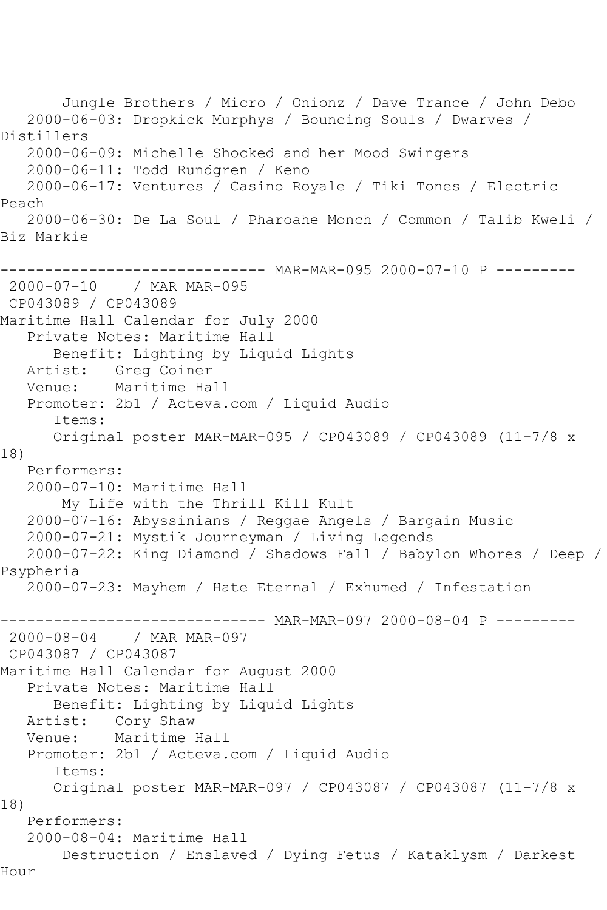Jungle Brothers / Micro / Onionz / Dave Trance / John Debo 2000-06-03: Dropkick Murphys / Bouncing Souls / Dwarves / Distillers 2000-06-09: Michelle Shocked and her Mood Swingers 2000-06-11: Todd Rundgren / Keno 2000-06-17: Ventures / Casino Royale / Tiki Tones / Electric Peach 2000-06-30: De La Soul / Pharoahe Monch / Common / Talib Kweli / Biz Markie ------------------------------ MAR-MAR-095 2000-07-10 P --------- 2000-07-10 / MAR MAR-095 CP043089 / CP043089 Maritime Hall Calendar for July 2000 Private Notes: Maritime Hall Benefit: Lighting by Liquid Lights Artist: Greg Coiner Venue: Maritime Hall Promoter: 2b1 / Acteva.com / Liquid Audio Items: Original poster MAR-MAR-095 / CP043089 / CP043089 (11-7/8 x 18) Performers: 2000-07-10: Maritime Hall My Life with the Thrill Kill Kult 2000-07-16: Abyssinians / Reggae Angels / Bargain Music 2000-07-21: Mystik Journeyman / Living Legends 2000-07-22: King Diamond / Shadows Fall / Babylon Whores / Deep / Psypheria 2000-07-23: Mayhem / Hate Eternal / Exhumed / Infestation --------- MAR-MAR-097 2000-08-04 P ---------2000-08-04 / MAR MAR-097 CP043087 / CP043087 Maritime Hall Calendar for August 2000 Private Notes: Maritime Hall Benefit: Lighting by Liquid Lights Artist: Cory Shaw Venue: Maritime Hall Promoter: 2b1 / Acteva.com / Liquid Audio Items: Original poster MAR-MAR-097 / CP043087 / CP043087 (11-7/8 x 18) Performers: 2000-08-04: Maritime Hall Destruction / Enslaved / Dying Fetus / Kataklysm / Darkest Hour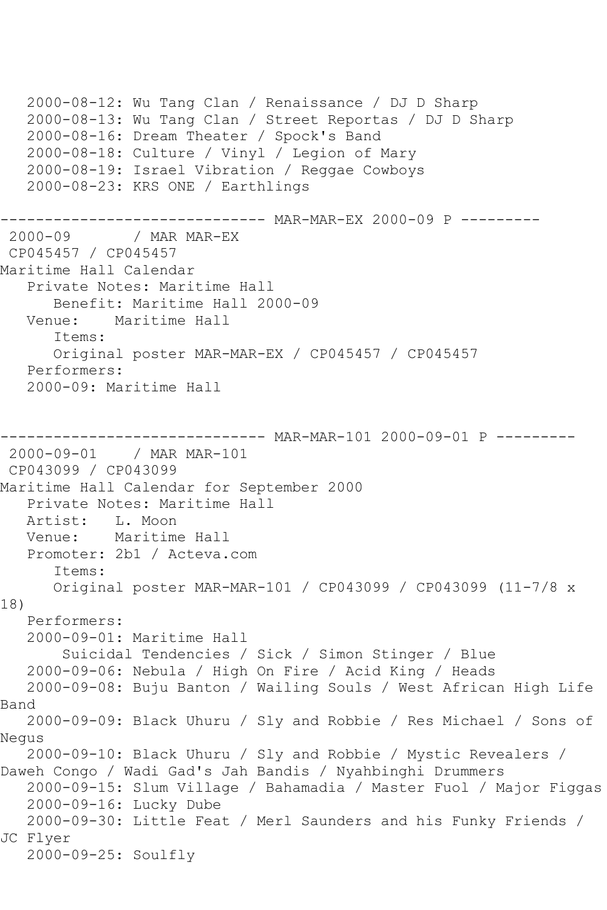```
 2000-08-12: Wu Tang Clan / Renaissance / DJ D Sharp
   2000-08-13: Wu Tang Clan / Street Reportas / DJ D Sharp
    2000-08-16: Dream Theater / Spock's Band
    2000-08-18: Culture / Vinyl / Legion of Mary
    2000-08-19: Israel Vibration / Reggae Cowboys
    2000-08-23: KRS ONE / Earthlings
----------------------------- MAR-MAR-EX 2000-09 P ---------<br>2000-09    / MAR MAR-EX
               / MAR MAR-EX
CP045457 / CP045457
Maritime Hall Calendar
    Private Notes: Maritime Hall
       Benefit: Maritime Hall 2000-09
   Venue: Maritime Hall
       Items:
       Original poster MAR-MAR-EX / CP045457 / CP045457
   Performers:
    2000-09: Maritime Hall
------------------------------ MAR-MAR-101 2000-09-01 P ---------
2000-09-01 / MAR MAR-101
CP043099 / CP043099
Maritime Hall Calendar for September 2000
  Private Notes: Maritime Hall<br>Artist: L. Moon
             Artist: L. Moon
   Venue: Maritime Hall
   Promoter: 2b1 / Acteva.com
       Items:
       Original poster MAR-MAR-101 / CP043099 / CP043099 (11-7/8 x 
18)
   Performers:
    2000-09-01: Maritime Hall
        Suicidal Tendencies / Sick / Simon Stinger / Blue
   2000-09-06: Nebula / High On Fire / Acid King / Heads
   2000-09-08: Buju Banton / Wailing Souls / West African High Life 
Band
    2000-09-09: Black Uhuru / Sly and Robbie / Res Michael / Sons of 
Negus
    2000-09-10: Black Uhuru / Sly and Robbie / Mystic Revealers / 
Daweh Congo / Wadi Gad's Jah Bandis / Nyahbinghi Drummers
    2000-09-15: Slum Village / Bahamadia / Master Fuol / Major Figgas
    2000-09-16: Lucky Dube
   2000-09-30: Little Feat / Merl Saunders and his Funky Friends / 
JC Flyer
    2000-09-25: Soulfly
```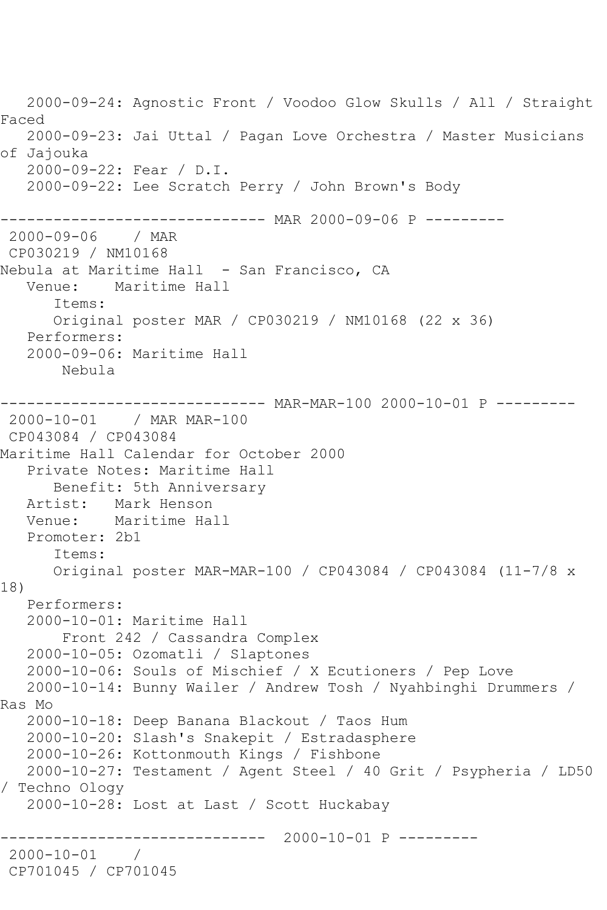2000-09-24: Agnostic Front / Voodoo Glow Skulls / All / Straight Faced 2000-09-23: Jai Uttal / Pagan Love Orchestra / Master Musicians of Jajouka 2000-09-22: Fear / D.I. 2000-09-22: Lee Scratch Perry / John Brown's Body ------------------------------ MAR 2000-09-06 P --------- 2000-09-06 / MAR CP030219 / NM10168 Nebula at Maritime Hall - San Francisco, CA Venue: Maritime Hall Items: Original poster MAR / CP030219 / NM10168 (22 x 36) Performers: 2000-09-06: Maritime Hall Nebula --------- MAR-MAR-100 2000-10-01 P ---------2000-10-01 / MAR MAR-100 CP043084 / CP043084 Maritime Hall Calendar for October 2000 Private Notes: Maritime Hall Benefit: 5th Anniversary Artist: Mark Henson<br>Venue: Maritime Ha Maritime Hall Promoter: 2b1 Items: Original poster MAR-MAR-100 / CP043084 / CP043084 (11-7/8 x 18) Performers: 2000-10-01: Maritime Hall Front 242 / Cassandra Complex 2000-10-05: Ozomatli / Slaptones 2000-10-06: Souls of Mischief / X Ecutioners / Pep Love 2000-10-14: Bunny Wailer / Andrew Tosh / Nyahbinghi Drummers / Ras Mo 2000-10-18: Deep Banana Blackout / Taos Hum 2000-10-20: Slash's Snakepit / Estradasphere 2000-10-26: Kottonmouth Kings / Fishbone 2000-10-27: Testament / Agent Steel / 40 Grit / Psypheria / LD50 / Techno Ology 2000-10-28: Lost at Last / Scott Huckabay ------------------------------ 2000-10-01 P --------- 2000-10-01 / CP701045 / CP701045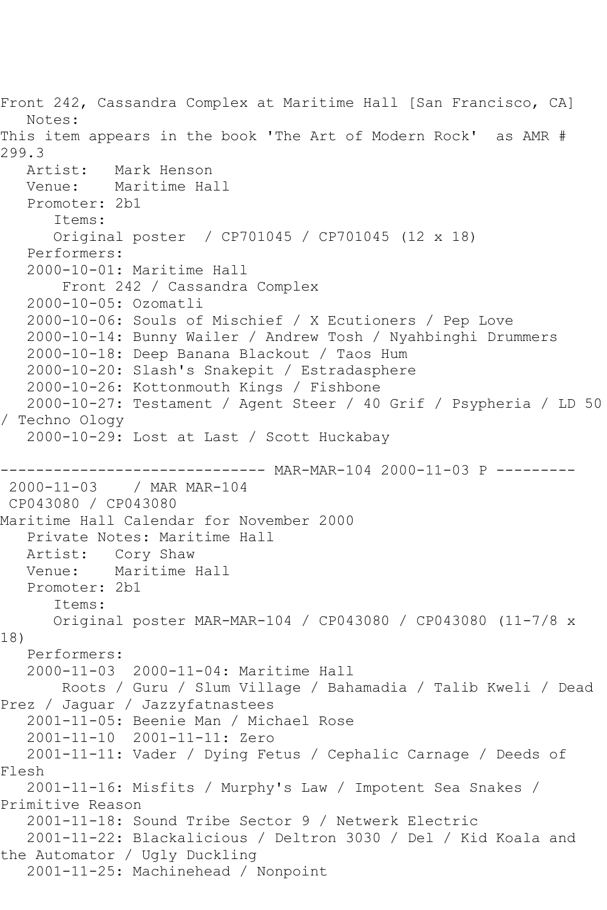```
Front 242, Cassandra Complex at Maritime Hall [San Francisco, CA]
   Notes: 
This item appears in the book 'The Art of Modern Rock' as AMR # 
299.3
   Artist: Mark Henson
   Venue: Maritime Hall
   Promoter: 2b1
       Items:
      Original poster / CP701045 / CP701045 (12 x 18)
   Performers:
   2000-10-01: Maritime Hall
        Front 242 / Cassandra Complex
   2000-10-05: Ozomatli
   2000-10-06: Souls of Mischief / X Ecutioners / Pep Love
   2000-10-14: Bunny Wailer / Andrew Tosh / Nyahbinghi Drummers
   2000-10-18: Deep Banana Blackout / Taos Hum
   2000-10-20: Slash's Snakepit / Estradasphere
   2000-10-26: Kottonmouth Kings / Fishbone
   2000-10-27: Testament / Agent Steer / 40 Grif / Psypheria / LD 50 
/ Techno Ology
   2000-10-29: Lost at Last / Scott Huckabay
------------------------------ MAR-MAR-104 2000-11-03 P ---------
2000-11-03 / MAR MAR-104
CP043080 / CP043080
Maritime Hall Calendar for November 2000
   Private Notes: Maritime Hall
   Artist: Cory Shaw
   Venue: Maritime Hall
   Promoter: 2b1
       Items:
       Original poster MAR-MAR-104 / CP043080 / CP043080 (11-7/8 x 
18)
   Performers:
   2000-11-03 2000-11-04: Maritime Hall
        Roots / Guru / Slum Village / Bahamadia / Talib Kweli / Dead 
Prez / Jaguar / Jazzyfatnastees
   2001-11-05: Beenie Man / Michael Rose
   2001-11-10 2001-11-11: Zero
   2001-11-11: Vader / Dying Fetus / Cephalic Carnage / Deeds of 
Flesh
   2001-11-16: Misfits / Murphy's Law / Impotent Sea Snakes / 
Primitive Reason
   2001-11-18: Sound Tribe Sector 9 / Netwerk Electric
   2001-11-22: Blackalicious / Deltron 3030 / Del / Kid Koala and 
the Automator / Ugly Duckling
   2001-11-25: Machinehead / Nonpoint
```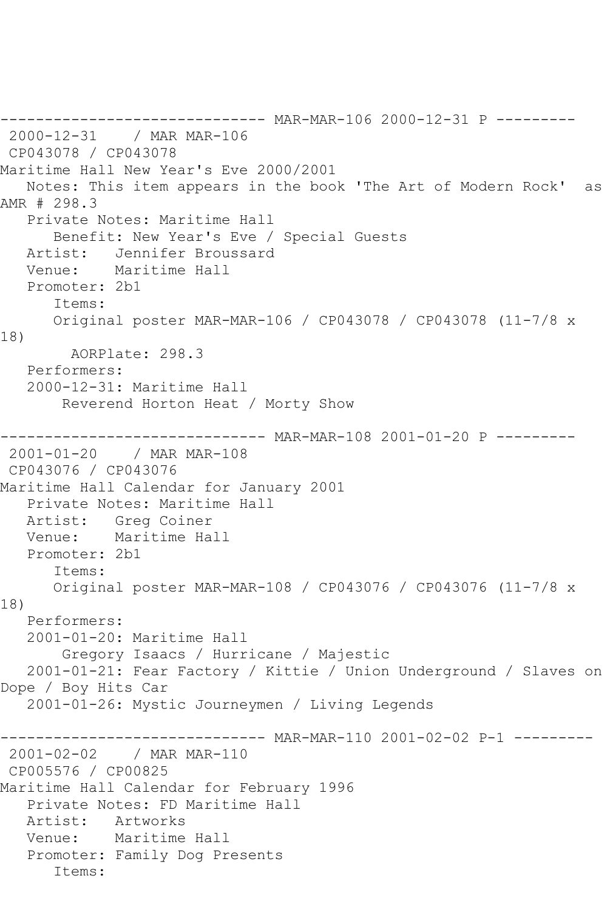```
------------------------------ MAR-MAR-106 2000-12-31 P ---------
2000-12-31 / MAR MAR-106
CP043078 / CP043078
Maritime Hall New Year's Eve 2000/2001
   Notes: This item appears in the book 'The Art of Modern Rock' as 
AMR # 298.3
   Private Notes: Maritime Hall
      Benefit: New Year's Eve / Special Guests
   Artist: Jennifer Broussard
   Venue: Maritime Hall
   Promoter: 2b1
      Items:
      Original poster MAR-MAR-106 / CP043078 / CP043078 (11-7/8 x 
18)
        AORPlate: 298.3 
   Performers:
   2000-12-31: Maritime Hall
       Reverend Horton Heat / Morty Show
------------------------------ MAR-MAR-108 2001-01-20 P ---------
2001-01-20 / MAR MAR-108
CP043076 / CP043076
Maritime Hall Calendar for January 2001
   Private Notes: Maritime Hall
   Artist: Greg Coiner
   Venue: Maritime Hall
   Promoter: 2b1
      Items:
      Original poster MAR-MAR-108 / CP043076 / CP043076 (11-7/8 x 
18)
   Performers:
   2001-01-20: Maritime Hall
       Gregory Isaacs / Hurricane / Majestic
   2001-01-21: Fear Factory / Kittie / Union Underground / Slaves on 
Dope / Boy Hits Car
   2001-01-26: Mystic Journeymen / Living Legends
------------------------------ MAR-MAR-110 2001-02-02 P-1 ---------
2001-02-02 / MAR MAR-110
CP005576 / CP00825
Maritime Hall Calendar for February 1996
   Private Notes: FD Maritime Hall
   Artist: Artworks
   Venue: Maritime Hall
   Promoter: Family Dog Presents
      Items:
```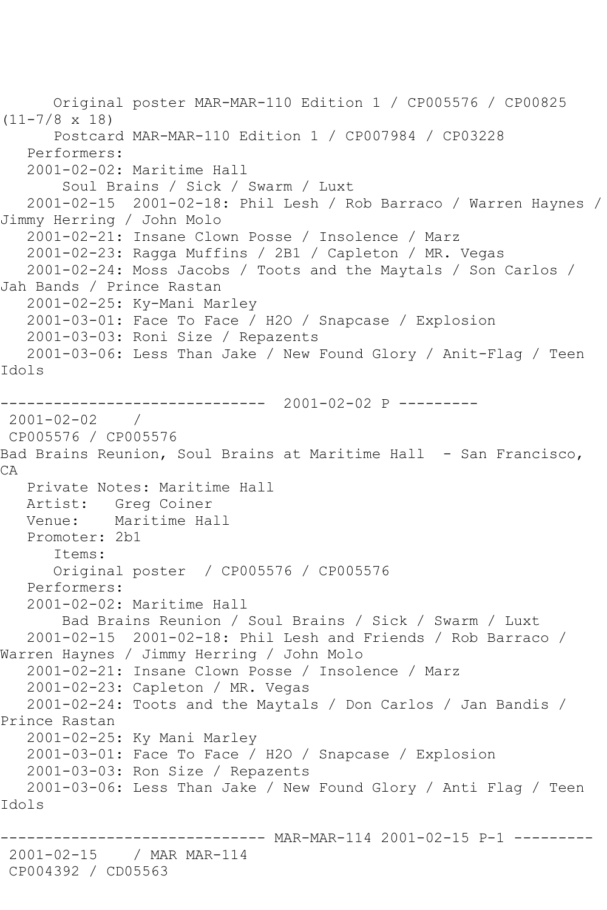Original poster MAR-MAR-110 Edition 1 / CP005576 / CP00825 (11-7/8 x 18) Postcard MAR-MAR-110 Edition 1 / CP007984 / CP03228 Performers: 2001-02-02: Maritime Hall Soul Brains / Sick / Swarm / Luxt 2001-02-15 2001-02-18: Phil Lesh / Rob Barraco / Warren Haynes / Jimmy Herring / John Molo 2001-02-21: Insane Clown Posse / Insolence / Marz 2001-02-23: Ragga Muffins / 2B1 / Capleton / MR. Vegas 2001-02-24: Moss Jacobs / Toots and the Maytals / Son Carlos / Jah Bands / Prince Rastan 2001-02-25: Ky-Mani Marley 2001-03-01: Face To Face / H2O / Snapcase / Explosion 2001-03-03: Roni Size / Repazents 2001-03-06: Less Than Jake / New Found Glory / Anit-Flag / Teen Idols ------------------------------ 2001-02-02 P --------- 2001-02-02 / CP005576 / CP005576 Bad Brains Reunion, Soul Brains at Maritime Hall - San Francisco, CA Private Notes: Maritime Hall Artist: Greg Coiner<br>Venue: Maritime Ha Maritime Hall Promoter: 2b1 Items: Original poster / CP005576 / CP005576 Performers: 2001-02-02: Maritime Hall Bad Brains Reunion / Soul Brains / Sick / Swarm / Luxt 2001-02-15 2001-02-18: Phil Lesh and Friends / Rob Barraco / Warren Haynes / Jimmy Herring / John Molo 2001-02-21: Insane Clown Posse / Insolence / Marz 2001-02-23: Capleton / MR. Vegas 2001-02-24: Toots and the Maytals / Don Carlos / Jan Bandis / Prince Rastan 2001-02-25: Ky Mani Marley 2001-03-01: Face To Face / H2O / Snapcase / Explosion 2001-03-03: Ron Size / Repazents 2001-03-06: Less Than Jake / New Found Glory / Anti Flag / Teen Idols ------------------------------ MAR-MAR-114 2001-02-15 P-1 --------- 2001-02-15 / MAR MAR-114 CP004392 / CD05563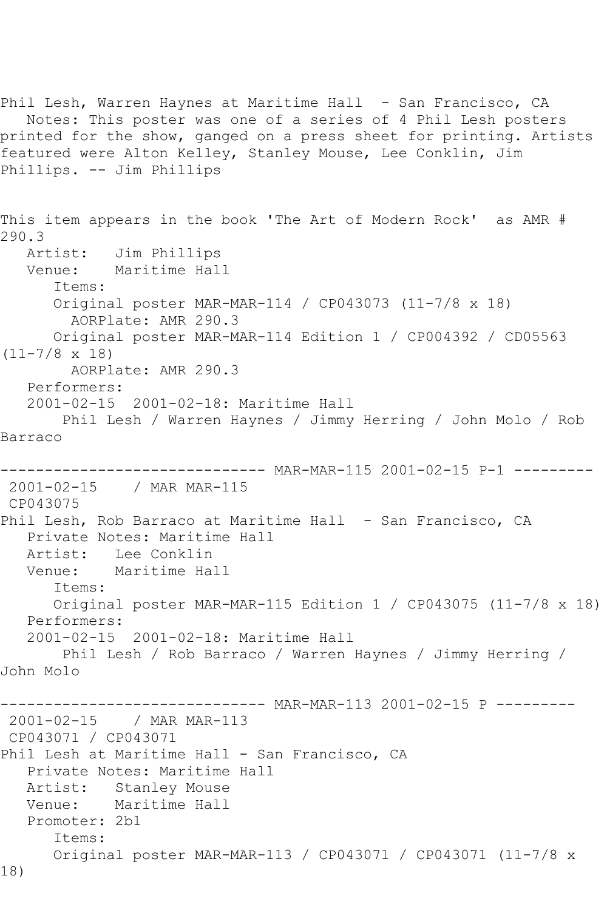Phil Lesh, Warren Haynes at Maritime Hall - San Francisco, CA Notes: This poster was one of a series of 4 Phil Lesh posters printed for the show, ganged on a press sheet for printing. Artists featured were Alton Kelley, Stanley Mouse, Lee Conklin, Jim Phillips. -- Jim Phillips This item appears in the book 'The Art of Modern Rock' as AMR # 290.3 Artist: Jim Phillips<br>Venue: Maritime Hal Maritime Hall Items: Original poster MAR-MAR-114 / CP043073 (11-7/8 x 18) AORPlate: AMR 290.3 Original poster MAR-MAR-114 Edition 1 / CP004392 / CD05563 (11-7/8 x 18) AORPlate: AMR 290.3 Performers: 2001-02-15 2001-02-18: Maritime Hall Phil Lesh / Warren Haynes / Jimmy Herring / John Molo / Rob Barraco ------------------------------ MAR-MAR-115 2001-02-15 P-1 --------- 2001-02-15 / MAR MAR-115 CP043075 Phil Lesh, Rob Barraco at Maritime Hall - San Francisco, CA Private Notes: Maritime Hall Artist: Lee Conklin Venue: Maritime Hall Items: Original poster MAR-MAR-115 Edition 1 / CP043075 (11-7/8 x 18) Performers: 2001-02-15 2001-02-18: Maritime Hall Phil Lesh / Rob Barraco / Warren Haynes / Jimmy Herring / John Molo ------------------------------ MAR-MAR-113 2001-02-15 P --------- 2001-02-15 / MAR MAR-113 CP043071 / CP043071 Phil Lesh at Maritime Hall - San Francisco, CA Private Notes: Maritime Hall Artist: Stanley Mouse Venue: Maritime Hall Promoter: 2b1 Items: Original poster MAR-MAR-113 / CP043071 / CP043071 (11-7/8 x 18)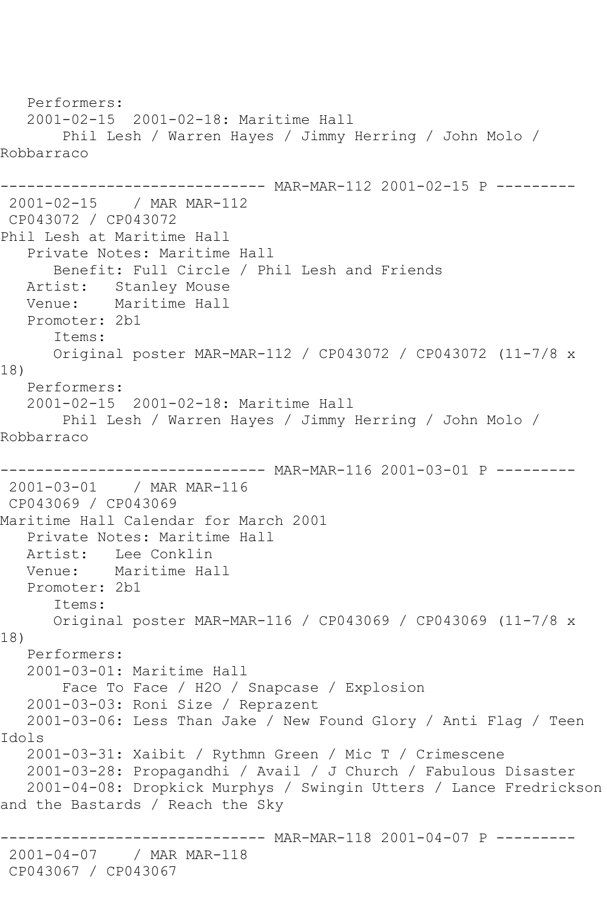Performers: 2001-02-15 2001-02-18: Maritime Hall Phil Lesh / Warren Hayes / Jimmy Herring / John Molo / Robbarraco ------------------------------ MAR-MAR-112 2001-02-15 P --------- 2001-02-15 / MAR MAR-112 CP043072 / CP043072 Phil Lesh at Maritime Hall Private Notes: Maritime Hall Benefit: Full Circle / Phil Lesh and Friends Artist: Stanley Mouse Venue: Maritime Hall Promoter: 2b1 Items: Original poster MAR-MAR-112 / CP043072 / CP043072 (11-7/8 x 18) Performers: 2001-02-15 2001-02-18: Maritime Hall Phil Lesh / Warren Hayes / Jimmy Herring / John Molo / Robbarraco ------------------------------ MAR-MAR-116 2001-03-01 P --------- 2001-03-01 / MAR MAR-116 CP043069 / CP043069 Maritime Hall Calendar for March 2001 Private Notes: Maritime Hall Artist: Lee Conklin Venue: Maritime Hall Promoter: 2b1 Items: Original poster MAR-MAR-116 / CP043069 / CP043069 (11-7/8 x 18) Performers: 2001-03-01: Maritime Hall Face To Face / H2O / Snapcase / Explosion 2001-03-03: Roni Size / Reprazent 2001-03-06: Less Than Jake / New Found Glory / Anti Flag / Teen Idols 2001-03-31: Xaibit / Rythmn Green / Mic T / Crimescene 2001-03-28: Propagandhi / Avail / J Church / Fabulous Disaster 2001-04-08: Dropkick Murphys / Swingin Utters / Lance Fredrickson and the Bastards / Reach the Sky ------------------------------ MAR-MAR-118 2001-04-07 P --------- 2001-04-07 / MAR MAR-118 CP043067 / CP043067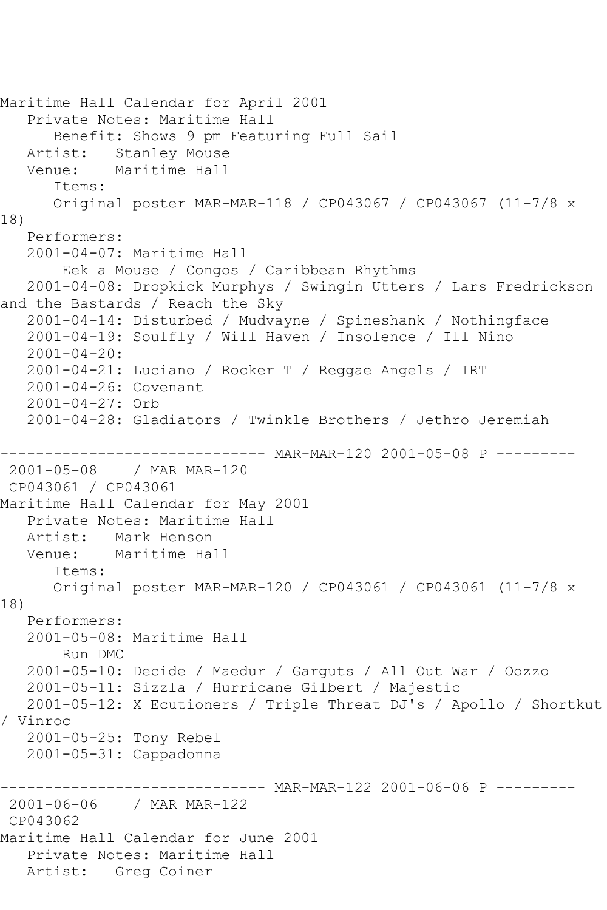```
Maritime Hall Calendar for April 2001
    Private Notes: Maritime Hall
       Benefit: Shows 9 pm Featuring Full Sail
  Artist: Stanley Mouse<br>Venue: Maritime Hall
            Maritime Hall
       Items:
       Original poster MAR-MAR-118 / CP043067 / CP043067 (11-7/8 x 
18)
   Performers:
    2001-04-07: Maritime Hall
        Eek a Mouse / Congos / Caribbean Rhythms
    2001-04-08: Dropkick Murphys / Swingin Utters / Lars Fredrickson 
and the Bastards / Reach the Sky
    2001-04-14: Disturbed / Mudvayne / Spineshank / Nothingface
    2001-04-19: Soulfly / Will Haven / Insolence / Ill Nino
    2001-04-20:
    2001-04-21: Luciano / Rocker T / Reggae Angels / IRT
    2001-04-26: Covenant
   2001-04-27: Orb
   2001-04-28: Gladiators / Twinkle Brothers / Jethro Jeremiah
                        ------- MAR-MAR-120 2001-05-08 P ---------
2001-05-08 / MAR MAR-120
CP043061 / CP043061
Maritime Hall Calendar for May 2001
   Private Notes: Maritime Hall
   Artist: Mark Henson
   Venue: Maritime Hall
       Items:
       Original poster MAR-MAR-120 / CP043061 / CP043061 (11-7/8 x 
18)
   Performers:
    2001-05-08: Maritime Hall
        Run DMC
    2001-05-10: Decide / Maedur / Garguts / All Out War / Oozzo
   2001-05-11: Sizzla / Hurricane Gilbert / Majestic
   2001-05-12: X Ecutioners / Triple Threat DJ's / Apollo / Shortkut 
/ Vinroc
   2001-05-25: Tony Rebel
    2001-05-31: Cappadonna
------------------------------ MAR-MAR-122 2001-06-06 P ---------
2001-06-06 / MAR MAR-122
CP043062
Maritime Hall Calendar for June 2001
    Private Notes: Maritime Hall
   Artist: Greg Coiner
```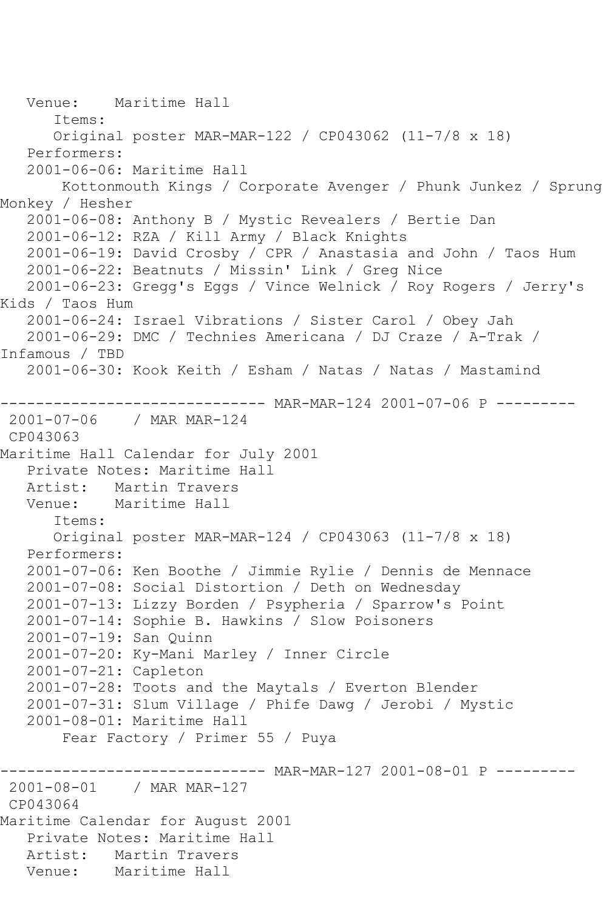Venue: Maritime Hall Items: Original poster MAR-MAR-122 / CP043062 (11-7/8 x 18) Performers: 2001-06-06: Maritime Hall Kottonmouth Kings / Corporate Avenger / Phunk Junkez / Sprung Monkey / Hesher 2001-06-08: Anthony B / Mystic Revealers / Bertie Dan 2001-06-12: RZA / Kill Army / Black Knights 2001-06-19: David Crosby / CPR / Anastasia and John / Taos Hum 2001-06-22: Beatnuts / Missin' Link / Greg Nice 2001-06-23: Gregg's Eggs / Vince Welnick / Roy Rogers / Jerry's Kids / Taos Hum 2001-06-24: Israel Vibrations / Sister Carol / Obey Jah 2001-06-29: DMC / Technies Americana / DJ Craze / A-Trak / Infamous / TBD 2001-06-30: Kook Keith / Esham / Natas / Natas / Mastamind ------------------------------ MAR-MAR-124 2001-07-06 P --------- 2001-07-06 / MAR MAR-124 CP043063 Maritime Hall Calendar for July 2001 Private Notes: Maritime Hall Artist: Martin Travers Venue: Maritime Hall Items: Original poster MAR-MAR-124 / CP043063 (11-7/8 x 18) Performers: 2001-07-06: Ken Boothe / Jimmie Rylie / Dennis de Mennace 2001-07-08: Social Distortion / Deth on Wednesday 2001-07-13: Lizzy Borden / Psypheria / Sparrow's Point 2001-07-14: Sophie B. Hawkins / Slow Poisoners 2001-07-19: San Quinn 2001-07-20: Ky-Mani Marley / Inner Circle 2001-07-21: Capleton 2001-07-28: Toots and the Maytals / Everton Blender 2001-07-31: Slum Village / Phife Dawg / Jerobi / Mystic 2001-08-01: Maritime Hall Fear Factory / Primer 55 / Puya ------------------------------ MAR-MAR-127 2001-08-01 P --------- 2001-08-01 / MAR MAR-127 CP043064 Maritime Calendar for August 2001 Private Notes: Maritime Hall Artist: Martin Travers<br>Venue: Maritime Hall Maritime Hall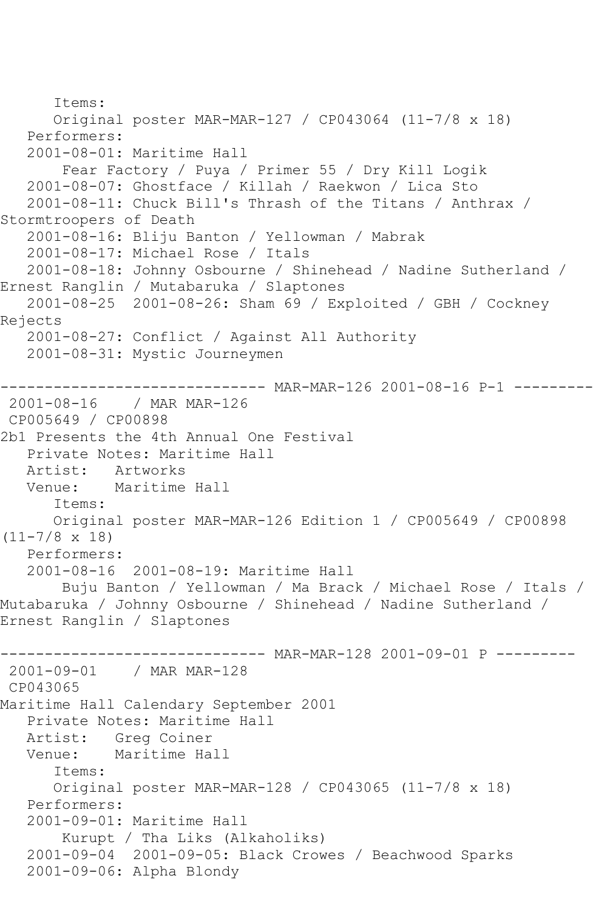```
 Items:
       Original poster MAR-MAR-127 / CP043064 (11-7/8 x 18)
   Performers:
    2001-08-01: Maritime Hall
        Fear Factory / Puya / Primer 55 / Dry Kill Logik
    2001-08-07: Ghostface / Killah / Raekwon / Lica Sto
    2001-08-11: Chuck Bill's Thrash of the Titans / Anthrax / 
Stormtroopers of Death
    2001-08-16: Bliju Banton / Yellowman / Mabrak
    2001-08-17: Michael Rose / Itals
    2001-08-18: Johnny Osbourne / Shinehead / Nadine Sutherland / 
Ernest Ranglin / Mutabaruka / Slaptones
    2001-08-25 2001-08-26: Sham 69 / Exploited / GBH / Cockney 
Rejects
    2001-08-27: Conflict / Against All Authority
    2001-08-31: Mystic Journeymen
------------------------------ MAR-MAR-126 2001-08-16 P-1 ---------
2001-08-16 / MAR MAR-126
CP005649 / CP00898
2b1 Presents the 4th Annual One Festival
   Private Notes: Maritime Hall
  Artist: Artworks<br>Venue: Maritime
           Maritime Hall
       Items:
       Original poster MAR-MAR-126 Edition 1 / CP005649 / CP00898 
(11-7/8 x 18)
   Performers:
    2001-08-16 2001-08-19: Maritime Hall
        Buju Banton / Yellowman / Ma Brack / Michael Rose / Itals / 
Mutabaruka / Johnny Osbourne / Shinehead / Nadine Sutherland / 
Ernest Ranglin / Slaptones
------------------------------ MAR-MAR-128 2001-09-01 P ---------
2001-09-01 / MAR MAR-128
CP043065
Maritime Hall Calendary September 2001
    Private Notes: Maritime Hall
  Artist: Greg Coiner<br>Venue: Maritime Ha
            Maritime Hall
       Items:
       Original poster MAR-MAR-128 / CP043065 (11-7/8 x 18)
   Performers:
   2001-09-01: Maritime Hall
        Kurupt / Tha Liks (Alkaholiks)
   2001-09-04 2001-09-05: Black Crowes / Beachwood Sparks
    2001-09-06: Alpha Blondy
```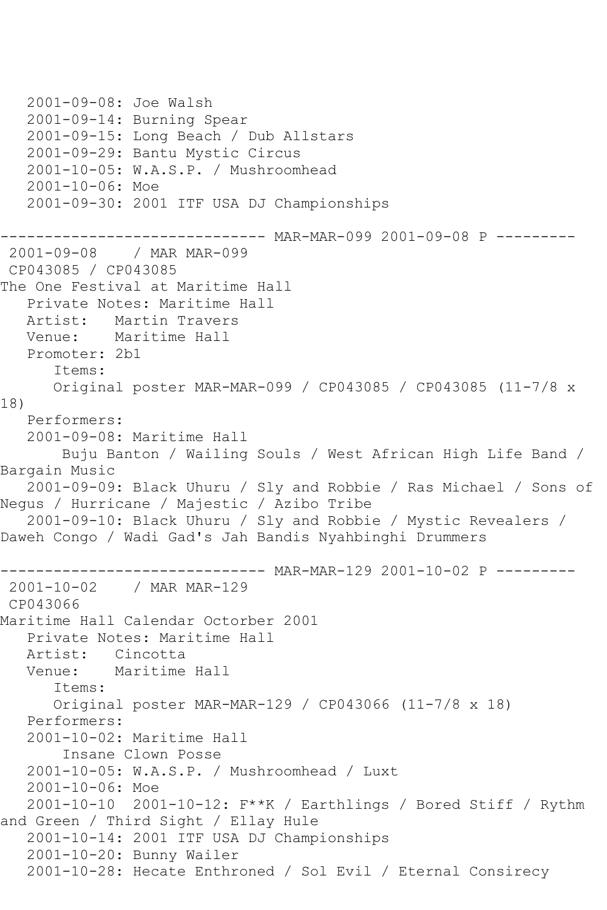2001-09-08: Joe Walsh 2001-09-14: Burning Spear 2001-09-15: Long Beach / Dub Allstars 2001-09-29: Bantu Mystic Circus 2001-10-05: W.A.S.P. / Mushroomhead 2001-10-06: Moe 2001-09-30: 2001 ITF USA DJ Championships ------------------------------ MAR-MAR-099 2001-09-08 P --------- 2001-09-08 / MAR MAR-099 CP043085 / CP043085 The One Festival at Maritime Hall Private Notes: Maritime Hall Artist: Martin Travers Venue: Maritime Hall Promoter: 2b1 Items: Original poster MAR-MAR-099 / CP043085 / CP043085 (11-7/8 x 18) Performers: 2001-09-08: Maritime Hall Buju Banton / Wailing Souls / West African High Life Band / Bargain Music 2001-09-09: Black Uhuru / Sly and Robbie / Ras Michael / Sons of Negus / Hurricane / Majestic / Azibo Tribe 2001-09-10: Black Uhuru / Sly and Robbie / Mystic Revealers / Daweh Congo / Wadi Gad's Jah Bandis Nyahbinghi Drummers --------- MAR-MAR-129 2001-10-02 P ---------2001-10-02 / MAR MAR-129 CP043066 Maritime Hall Calendar Octorber 2001 Private Notes: Maritime Hall Artist: Cincotta Venue: Maritime Hall Items: Original poster MAR-MAR-129 / CP043066 (11-7/8 x 18) Performers: 2001-10-02: Maritime Hall Insane Clown Posse 2001-10-05: W.A.S.P. / Mushroomhead / Luxt 2001-10-06: Moe 2001-10-10 2001-10-12: F\*\*K / Earthlings / Bored Stiff / Rythm and Green / Third Sight / Ellay Hule 2001-10-14: 2001 ITF USA DJ Championships 2001-10-20: Bunny Wailer 2001-10-28: Hecate Enthroned / Sol Evil / Eternal Consirecy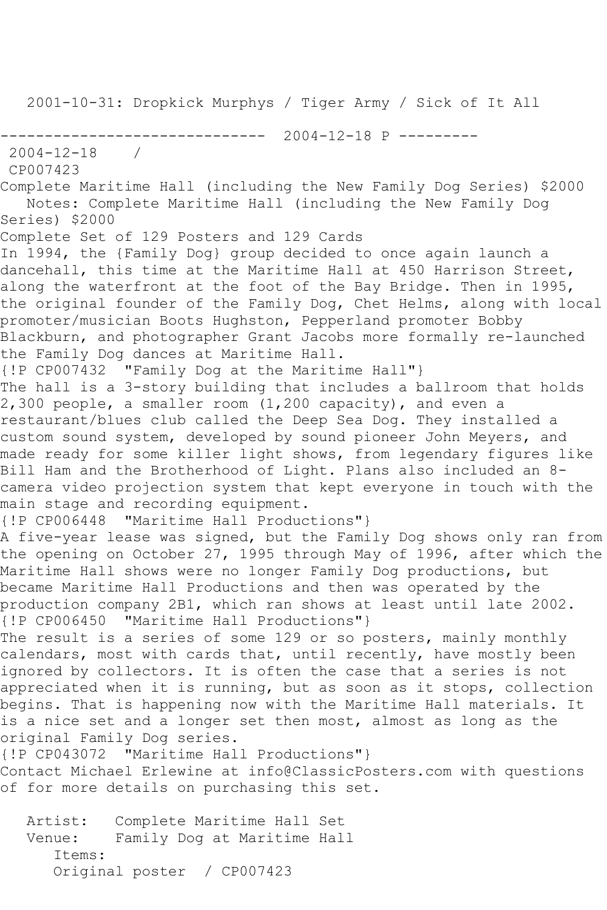2001-10-31: Dropkick Murphys / Tiger Army / Sick of It All ------------------------------ 2004-12-18 P --------- 2004-12-18 / CP007423 Complete Maritime Hall (including the New Family Dog Series) \$2000 Notes: Complete Maritime Hall (including the New Family Dog Series) \$2000 Complete Set of 129 Posters and 129 Cards In 1994, the {Family Dog} group decided to once again launch a dancehall, this time at the Maritime Hall at 450 Harrison Street, along the waterfront at the foot of the Bay Bridge. Then in 1995, the original founder of the Family Dog, Chet Helms, along with local promoter/musician Boots Hughston, Pepperland promoter Bobby Blackburn, and photographer Grant Jacobs more formally re-launched the Family Dog dances at Maritime Hall. {!P CP007432 "Family Dog at the Maritime Hall"} The hall is a 3-story building that includes a ballroom that holds  $2,300$  people, a smaller room  $(1,200$  capacity), and even a restaurant/blues club called the Deep Sea Dog. They installed a custom sound system, developed by sound pioneer John Meyers, and made ready for some killer light shows, from legendary figures like Bill Ham and the Brotherhood of Light. Plans also included an 8 camera video projection system that kept everyone in touch with the main stage and recording equipment. {!P CP006448 "Maritime Hall Productions"} A five-year lease was signed, but the Family Dog shows only ran from the opening on October 27, 1995 through May of 1996, after which the Maritime Hall shows were no longer Family Dog productions, but became Maritime Hall Productions and then was operated by the production company 2B1, which ran shows at least until late 2002. {!P CP006450 "Maritime Hall Productions"} The result is a series of some 129 or so posters, mainly monthly calendars, most with cards that, until recently, have mostly been ignored by collectors. It is often the case that a series is not appreciated when it is running, but as soon as it stops, collection begins. That is happening now with the Maritime Hall materials. It is a nice set and a longer set then most, almost as long as the original Family Dog series. {!P CP043072 "Maritime Hall Productions"} Contact Michael Erlewine at info@ClassicPosters.com with questions of for more details on purchasing this set. Artist: Complete Maritime Hall Set

 Venue: Family Dog at Maritime Hall Items: Original poster / CP007423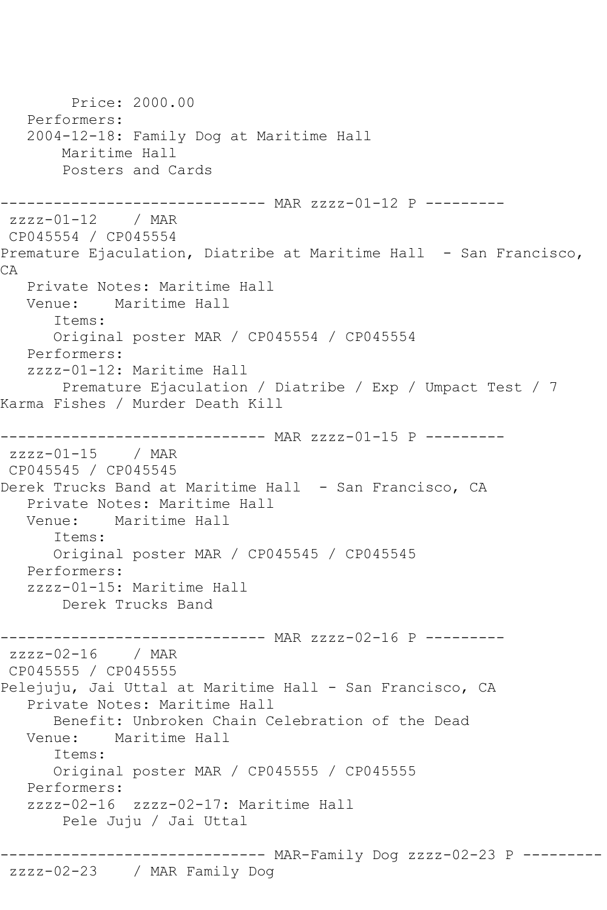```
 Price: 2000.00
   Performers:
   2004-12-18: Family Dog at Maritime Hall
       Maritime Hall
       Posters and Cards
------------------------------ MAR zzzz-01-12 P ---------
zzzz-01-12 / MAR 
CP045554 / CP045554
Premature Ejaculation, Diatribe at Maritime Hall - San Francisco,
CA
   Private Notes: Maritime Hall
   Venue: Maritime Hall
       Items:
      Original poster MAR / CP045554 / CP045554
   Performers:
   zzzz-01-12: Maritime Hall
       Premature Ejaculation / Diatribe / Exp / Umpact Test / 7 
Karma Fishes / Murder Death Kill
------------------------------ MAR zzzz-01-15 P ---------
zzzz-01-15 / MAR 
CP045545 / CP045545
Derek Trucks Band at Maritime Hall - San Francisco, CA
   Private Notes: Maritime Hall
   Venue: Maritime Hall
       Items:
      Original poster MAR / CP045545 / CP045545
   Performers:
   zzzz-01-15: Maritime Hall
       Derek Trucks Band
------------------------------ MAR zzzz-02-16 P ---------
zzzz - 02 - 16 / MAR
CP045555 / CP045555
Pelejuju, Jai Uttal at Maritime Hall - San Francisco, CA
   Private Notes: Maritime Hall
      Benefit: Unbroken Chain Celebration of the Dead
   Venue: Maritime Hall
       Items:
       Original poster MAR / CP045555 / CP045555
   Performers:
   zzzz-02-16 zzzz-02-17: Maritime Hall
       Pele Juju / Jai Uttal
------------------------------ MAR-Family Dog zzzz-02-23 P ---------
```
## zzzz-02-23 / MAR Family Dog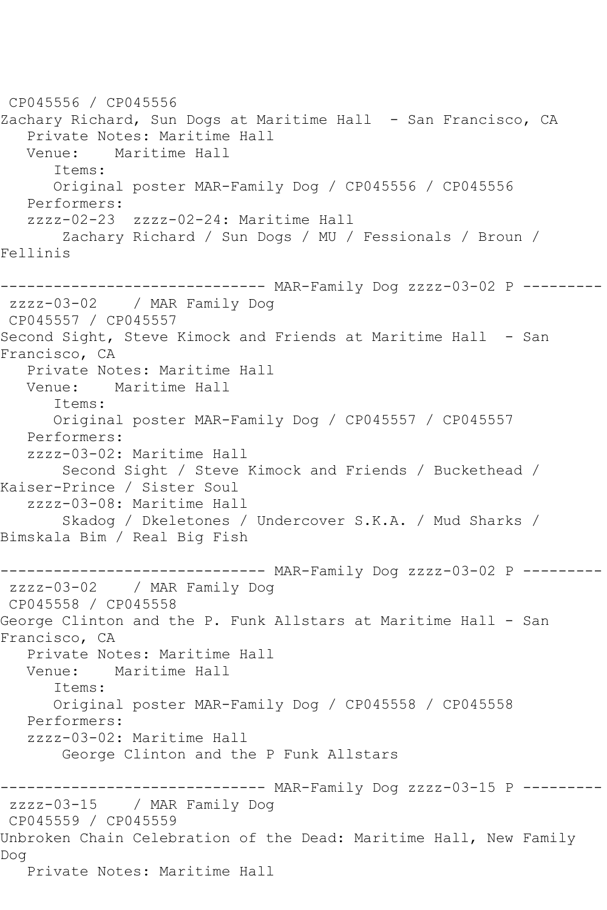CP045556 / CP045556 Zachary Richard, Sun Dogs at Maritime Hall - San Francisco, CA Private Notes: Maritime Hall Venue: Maritime Hall Items: Original poster MAR-Family Dog / CP045556 / CP045556 Performers: zzzz-02-23 zzzz-02-24: Maritime Hall Zachary Richard / Sun Dogs / MU / Fessionals / Broun / Fellinis ------------------------------ MAR-Family Dog zzzz-03-02 P -------- zzzz-03-02 / MAR Family Dog CP045557 / CP045557 Second Sight, Steve Kimock and Friends at Maritime Hall - San Francisco, CA Private Notes: Maritime Hall Venue: Maritime Hall Items: Original poster MAR-Family Dog / CP045557 / CP045557 Performers: zzzz-03-02: Maritime Hall Second Sight / Steve Kimock and Friends / Buckethead / Kaiser-Prince / Sister Soul zzzz-03-08: Maritime Hall Skadog / Dkeletones / Undercover S.K.A. / Mud Sharks / Bimskala Bim / Real Big Fish ------------------------------ MAR-Family Dog zzzz-03-02 P -------- zzzz-03-02 / MAR Family Dog CP045558 / CP045558 George Clinton and the P. Funk Allstars at Maritime Hall - San Francisco, CA Private Notes: Maritime Hall Venue: Maritime Hall Items: Original poster MAR-Family Dog / CP045558 / CP045558 Performers: zzzz-03-02: Maritime Hall George Clinton and the P Funk Allstars ------------------------------ MAR-Family Dog zzzz-03-15 P -------- zzzz-03-15 / MAR Family Dog CP045559 / CP045559 Unbroken Chain Celebration of the Dead: Maritime Hall, New Family Dog Private Notes: Maritime Hall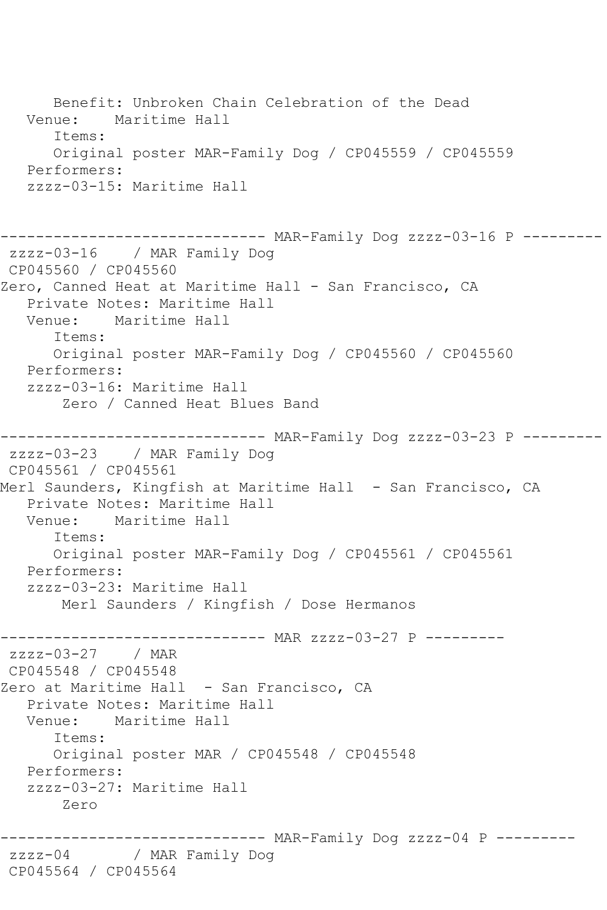```
 Benefit: Unbroken Chain Celebration of the Dead
   Venue: Maritime Hall
      Items:
      Original poster MAR-Family Dog / CP045559 / CP045559
   Performers:
   zzzz-03-15: Maritime Hall
------------------------------ MAR-Family Dog zzzz-03-16 P ---------
zzzz-03-16 / MAR Family Dog
CP045560 / CP045560
Zero, Canned Heat at Maritime Hall - San Francisco, CA
   Private Notes: Maritime Hall
   Venue: Maritime Hall
      Items:
      Original poster MAR-Family Dog / CP045560 / CP045560
   Performers:
   zzzz-03-16: Maritime Hall
        Zero / Canned Heat Blues Band
------------------------------ MAR-Family Dog zzzz-03-23 P ---------
zzzz-03-23 / MAR Family Dog
CP045561 / CP045561
Merl Saunders, Kingfish at Maritime Hall - San Francisco, CA
   Private Notes: Maritime Hall
   Venue: Maritime Hall
      Items:
      Original poster MAR-Family Dog / CP045561 / CP045561
   Performers:
   zzzz-03-23: Maritime Hall
       Merl Saunders / Kingfish / Dose Hermanos
------------------------------ MAR zzzz-03-27 P ---------
zzzz-03-27 / MAR 
CP045548 / CP045548
Zero at Maritime Hall - San Francisco, CA
   Private Notes: Maritime Hall
   Venue: Maritime Hall
      Items:
      Original poster MAR / CP045548 / CP045548
   Performers:
   zzzz-03-27: Maritime Hall
       Zero
------------------------------ MAR-Family Dog zzzz-04 P ---------
zzzz-04 / MAR Family Dog
CP045564 / CP045564
```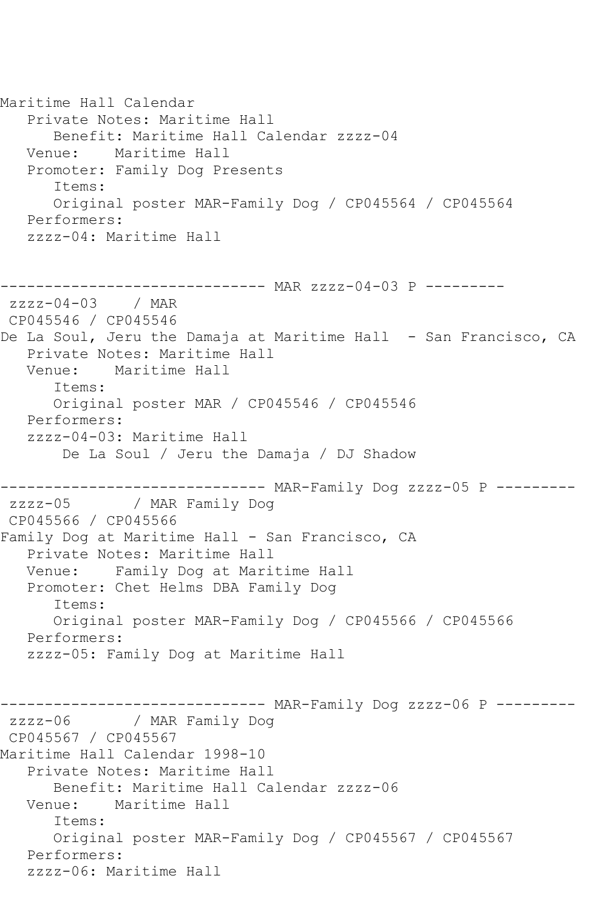Maritime Hall Calendar Private Notes: Maritime Hall Benefit: Maritime Hall Calendar zzzz-04 Venue: Maritime Hall Promoter: Family Dog Presents Items: Original poster MAR-Family Dog / CP045564 / CP045564 Performers: zzzz-04: Maritime Hall ------------------------------ MAR zzzz-04-03 P -------- zzzz-04-03 / MAR CP045546 / CP045546 De La Soul, Jeru the Damaja at Maritime Hall - San Francisco, CA Private Notes: Maritime Hall Venue: Maritime Hall Items: Original poster MAR / CP045546 / CP045546 Performers: zzzz-04-03: Maritime Hall De La Soul / Jeru the Damaja / DJ Shadow ------------------------------ MAR-Family Dog zzzz-05 P --------- / MAR Family Dog CP045566 / CP045566 Family Dog at Maritime Hall - San Francisco, CA Private Notes: Maritime Hall Venue: Family Dog at Maritime Hall Promoter: Chet Helms DBA Family Dog Items: Original poster MAR-Family Dog / CP045566 / CP045566 Performers: zzzz-05: Family Dog at Maritime Hall ------------------------------ MAR-Family Dog zzzz-06 P -------- zzzz-06 / MAR Family Dog CP045567 / CP045567 Maritime Hall Calendar 1998-10 Private Notes: Maritime Hall Benefit: Maritime Hall Calendar zzzz-06 Venue: Maritime Hall Items: Original poster MAR-Family Dog / CP045567 / CP045567 Performers: zzzz-06: Maritime Hall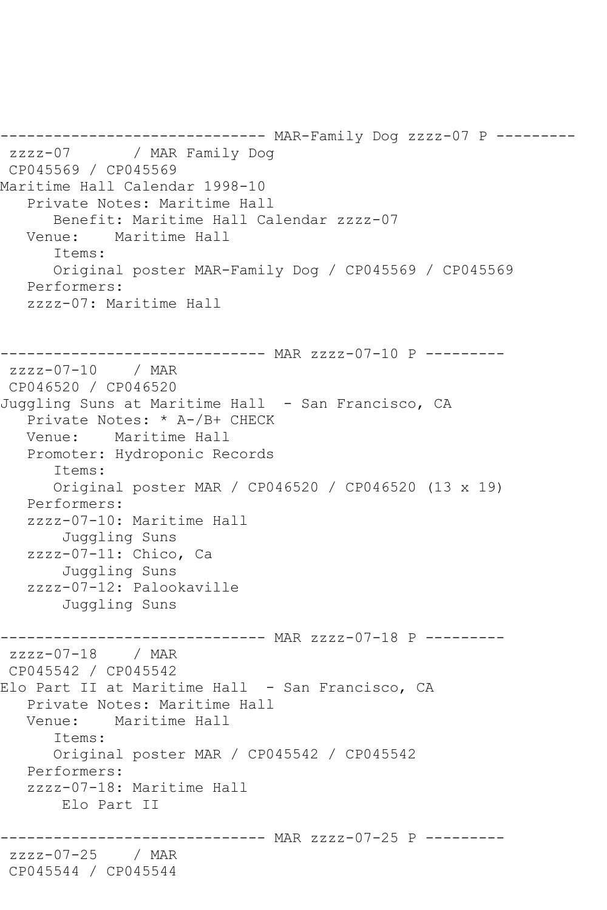------------------------------ MAR-Family Dog zzzz-07 P -------- zzzz-07 / MAR Family Dog CP045569 / CP045569 Maritime Hall Calendar 1998-10 Private Notes: Maritime Hall Benefit: Maritime Hall Calendar zzzz-07 Venue: Maritime Hall Items: Original poster MAR-Family Dog / CP045569 / CP045569 Performers: zzzz-07: Maritime Hall ------------------------------ MAR zzzz-07-10 P -------- zzzz-07-10 / MAR CP046520 / CP046520 Juggling Suns at Maritime Hall - San Francisco, CA Private Notes: \* A-/B+ CHECK Venue: Maritime Hall Promoter: Hydroponic Records Items: Original poster MAR / CP046520 / CP046520 (13 x 19) Performers: zzzz-07-10: Maritime Hall Juggling Suns zzzz-07-11: Chico, Ca Juggling Suns zzzz-07-12: Palookaville Juggling Suns ------------------------------ MAR zzzz-07-18 P --------  $zzzz-07-18$  / MAR CP045542 / CP045542 Elo Part II at Maritime Hall - San Francisco, CA Private Notes: Maritime Hall Venue: Maritime Hall Items: Original poster MAR / CP045542 / CP045542 Performers: zzzz-07-18: Maritime Hall Elo Part II ------------------------------ MAR zzzz-07-25 P -------- zzzz-07-25 / MAR CP045544 / CP045544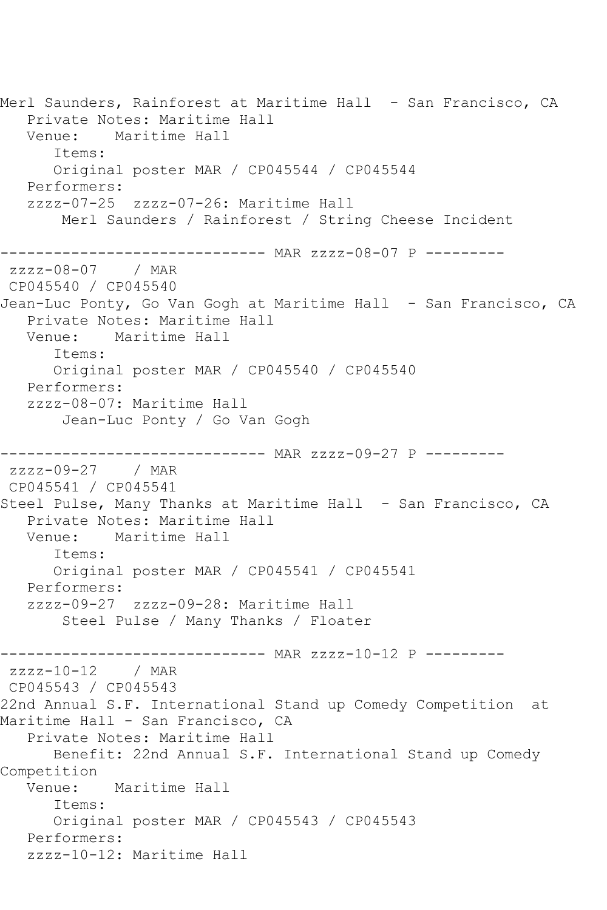Merl Saunders, Rainforest at Maritime Hall - San Francisco, CA Private Notes: Maritime Hall Venue: Maritime Hall Items: Original poster MAR / CP045544 / CP045544 Performers: zzzz-07-25 zzzz-07-26: Maritime Hall Merl Saunders / Rainforest / String Cheese Incident ------------------------------ MAR zzzz-08-07 P -------- zzzz-08-07 / MAR CP045540 / CP045540 Jean-Luc Ponty, Go Van Gogh at Maritime Hall - San Francisco, CA Private Notes: Maritime Hall Venue: Maritime Hall Items: Original poster MAR / CP045540 / CP045540 Performers: zzzz-08-07: Maritime Hall Jean-Luc Ponty / Go Van Gogh ------------------------------ MAR zzzz-09-27 P -------- zzzz-09-27 / MAR CP045541 / CP045541 Steel Pulse, Many Thanks at Maritime Hall - San Francisco, CA Private Notes: Maritime Hall Venue: Maritime Hall Items: Original poster MAR / CP045541 / CP045541 Performers: zzzz-09-27 zzzz-09-28: Maritime Hall Steel Pulse / Many Thanks / Floater ------------------------------ MAR zzzz-10-12 P -------- zzzz-10-12 / MAR CP045543 / CP045543 22nd Annual S.F. International Stand up Comedy Competition at Maritime Hall - San Francisco, CA Private Notes: Maritime Hall Benefit: 22nd Annual S.F. International Stand up Comedy Competition Venue: Maritime Hall Items: Original poster MAR / CP045543 / CP045543 Performers: zzzz-10-12: Maritime Hall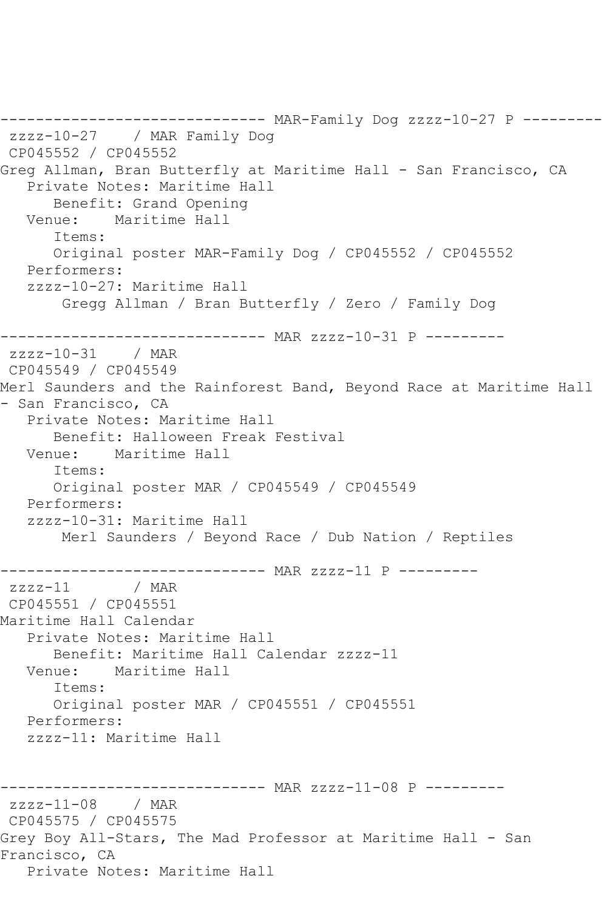```
------------------------------ MAR-Family Dog zzzz-10-27 P ---------
zzzz-10-27 / MAR Family Dog
CP045552 / CP045552
Greg Allman, Bran Butterfly at Maritime Hall - San Francisco, CA
   Private Notes: Maritime Hall
      Benefit: Grand Opening
   Venue: Maritime Hall
       Items:
      Original poster MAR-Family Dog / CP045552 / CP045552
   Performers:
   zzzz-10-27: Maritime Hall
        Gregg Allman / Bran Butterfly / Zero / Family Dog
------------------------------ MAR zzzz-10-31 P ---------
zzzz-10-31 / MAR 
CP045549 / CP045549
Merl Saunders and the Rainforest Band, Beyond Race at Maritime Hall 
- San Francisco, CA
   Private Notes: Maritime Hall
      Benefit: Halloween Freak Festival
   Venue: Maritime Hall
       Items:
       Original poster MAR / CP045549 / CP045549
   Performers:
   zzzz-10-31: Maritime Hall
        Merl Saunders / Beyond Race / Dub Nation / Reptiles
------------------------------ MAR zzzz-11 P ---------<br>zzzz-11    / MAR
zzzz-11CP045551 / CP045551
Maritime Hall Calendar
   Private Notes: Maritime Hall
      Benefit: Maritime Hall Calendar zzzz-11
   Venue: Maritime Hall
       Items:
      Original poster MAR / CP045551 / CP045551
   Performers:
   zzzz-11: Maritime Hall
------------------------------ MAR zzzz-11-08 P ---------
zzzz-11-08 / MAR 
CP045575 / CP045575
Grey Boy All-Stars, The Mad Professor at Maritime Hall - San 
Francisco, CA
   Private Notes: Maritime Hall
```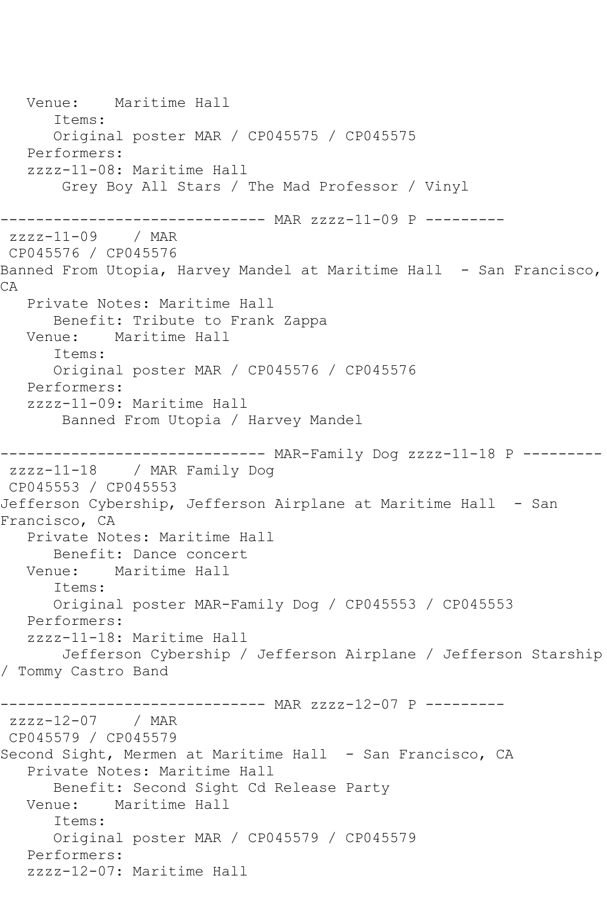Venue: Maritime Hall Items: Original poster MAR / CP045575 / CP045575 Performers: zzzz-11-08: Maritime Hall Grey Boy All Stars / The Mad Professor / Vinyl ------------------------------ MAR zzzz-11-09 P -------- zzzz-11-09 / MAR CP045576 / CP045576 Banned From Utopia, Harvey Mandel at Maritime Hall - San Francisco, CA Private Notes: Maritime Hall Benefit: Tribute to Frank Zappa Venue: Maritime Hall Items: Original poster MAR / CP045576 / CP045576 Performers: zzzz-11-09: Maritime Hall Banned From Utopia / Harvey Mandel ------------------------------ MAR-Family Dog zzzz-11-18 P -------- zzzz-11-18 / MAR Family Dog CP045553 / CP045553 Jefferson Cybership, Jefferson Airplane at Maritime Hall - San Francisco, CA Private Notes: Maritime Hall Benefit: Dance concert Venue: Maritime Hall Items: Original poster MAR-Family Dog / CP045553 / CP045553 Performers: zzzz-11-18: Maritime Hall Jefferson Cybership / Jefferson Airplane / Jefferson Starship / Tommy Castro Band ------------------------------ MAR zzzz-12-07 P -------- zzzz-12-07 / MAR CP045579 / CP045579 Second Sight, Mermen at Maritime Hall - San Francisco, CA Private Notes: Maritime Hall Benefit: Second Sight Cd Release Party Venue: Maritime Hall Items: Original poster MAR / CP045579 / CP045579 Performers: zzzz-12-07: Maritime Hall